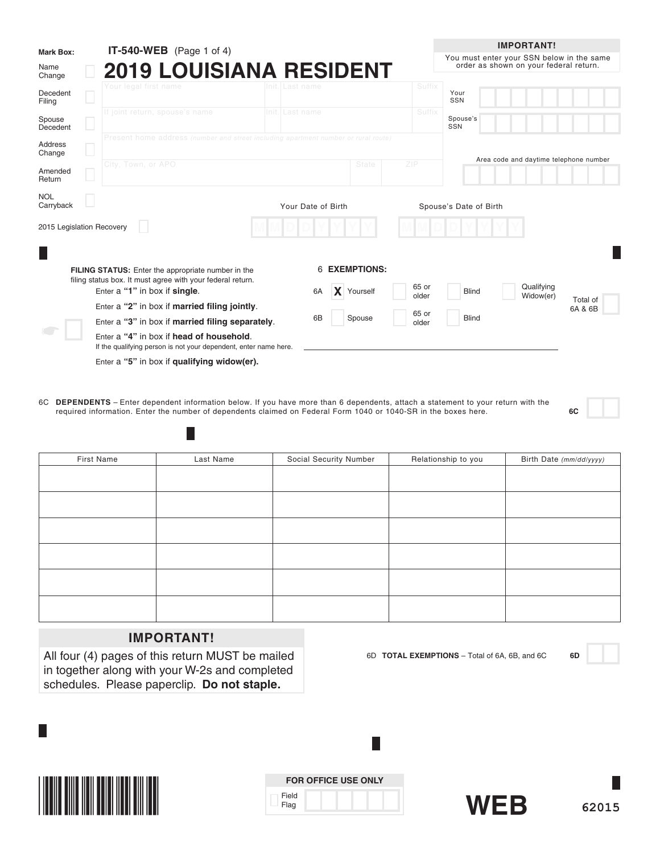| <b>Mark Box:</b>          | <b>IT-540-WEB</b> (Page 1 of 4)                                                                              |                    |                      |        |                        | <b>IMPORTANT!</b>                                                                   |  |
|---------------------------|--------------------------------------------------------------------------------------------------------------|--------------------|----------------------|--------|------------------------|-------------------------------------------------------------------------------------|--|
| Name<br>Change            | <b>2019 LOUISIANA RESIDENT</b>                                                                               |                    |                      |        |                        | You must enter your SSN below in the same<br>order as shown on your federal return. |  |
| Decedent<br>Filing        | Your legal first name                                                                                        | Init.I Last name   |                      | Suffix | Your<br>SSN            |                                                                                     |  |
| Spouse<br>Decedent        | If joint return, spouse's name                                                                               | Init. Last name    |                      | Suffix | Spouse's<br>SSN        |                                                                                     |  |
| <b>Address</b><br>Change  | Present home address (number and street including apartment number or rural route)                           |                    |                      |        |                        | Area code and daytime telephone number                                              |  |
| Amended<br>Return         | City, Town, or APO                                                                                           |                    | State                | ZIP    |                        |                                                                                     |  |
| <b>NOL</b><br>Carryback   |                                                                                                              | Your Date of Birth |                      |        | Spouse's Date of Birth |                                                                                     |  |
| 2015 Legislation Recovery |                                                                                                              |                    |                      |        |                        |                                                                                     |  |
|                           | FILING STATUS: Enter the appropriate number in the                                                           |                    | <b>6 EXEMPTIONS:</b> |        |                        |                                                                                     |  |
|                           | filing status box. It must agree with your federal return.                                                   |                    |                      | 65 or  |                        | Qualifying                                                                          |  |
|                           | Enter a "1" in box if single.                                                                                | 6A                 | Yourself             | older  | <b>Blind</b>           | Widow(er)<br>Total of                                                               |  |
|                           | Enter a "2" in box if married filing jointly.                                                                |                    |                      | 65 or  |                        | 6A & 6B                                                                             |  |
|                           | Enter a "3" in box if married filing separately.                                                             | 6B                 | Spouse               | older  | <b>Blind</b>           |                                                                                     |  |
|                           | Enter a "4" in box if head of household.<br>If the qualifying person is not your dependent, enter name here. |                    |                      |        |                        |                                                                                     |  |
|                           | Enter a "5" in box if qualifying widow(er).                                                                  |                    |                      |        |                        |                                                                                     |  |

6C **DEPENDENTS** – Enter dependent information below. If you have more than 6 dependents, attach a statement to your return with the required information. Enter the number of dependents claimed on Federal Form 1040 or 1040-SR in the boxes here. **6C**

| First Name | Last Name | Social Security Number | Relationship to you | Birth Date (mm/dd/yyyy) |
|------------|-----------|------------------------|---------------------|-------------------------|
|            |           |                        |                     |                         |
|            |           |                        |                     |                         |
|            |           |                        |                     |                         |
|            |           |                        |                     |                         |
|            |           |                        |                     |                         |
|            |           |                        |                     |                         |
|            |           |                        |                     |                         |
|            |           |                        |                     |                         |
|            |           |                        |                     |                         |
|            |           |                        |                     |                         |
|            |           |                        |                     |                         |
|            |           |                        |                     |                         |

# **IMPORTANT!**

H

All four (4) pages of this return MUST be mailed in together along with your W-2s and completed schedules. Please paperclip. **Do not staple.**



|               | <b>FOR OFFICE USE ONLY</b> |
|---------------|----------------------------|
| Field<br>Flag |                            |

L



6D **TOTAL EXEMPTIONS** – Total of 6A, 6B, and 6C **6D**

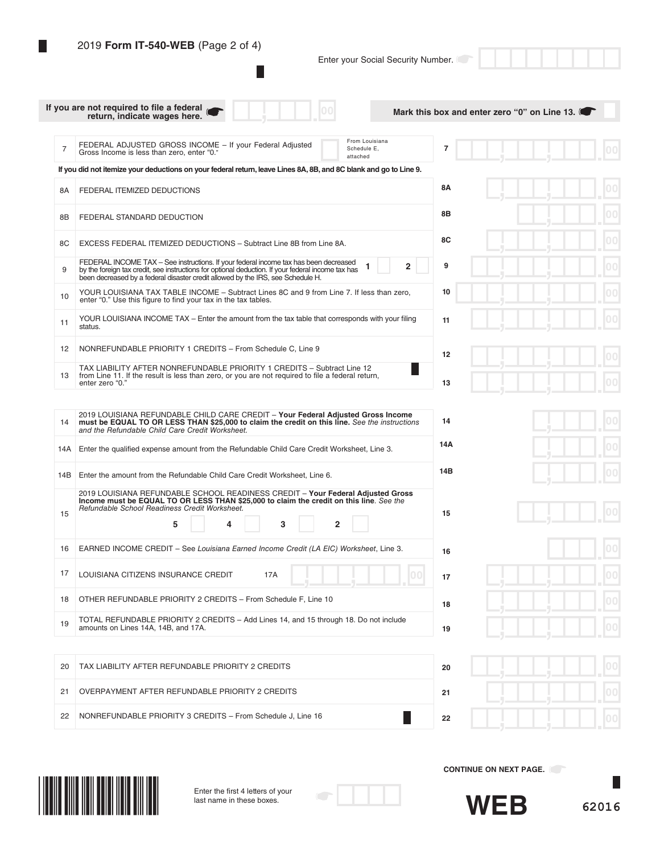I

L

Enter your Social Security Number.

|                | If you are not required to file a federal<br>return, indicate wages here.                                                                                                                                                                                                     |                                           |                     | Mark this box and enter zero "0" on Line 13. |     |
|----------------|-------------------------------------------------------------------------------------------------------------------------------------------------------------------------------------------------------------------------------------------------------------------------------|-------------------------------------------|---------------------|----------------------------------------------|-----|
| $\overline{7}$ | FEDERAL ADJUSTED GROSS INCOME - If your Federal Adjusted<br>Gross Income is less than zero, enter "0."                                                                                                                                                                        | From Louisiana<br>Schedule E,<br>attached | 7                   |                                              |     |
|                | If you did not itemize your deductions on your federal return, leave Lines 8A, 8B, and 8C blank and go to Line 9.                                                                                                                                                             |                                           |                     |                                              |     |
| 8A             | FEDERAL ITEMIZED DEDUCTIONS                                                                                                                                                                                                                                                   |                                           | 8Α                  |                                              |     |
| 8B             | FEDERAL STANDARD DEDUCTION                                                                                                                                                                                                                                                    |                                           | 8Β                  |                                              |     |
| 8C             | EXCESS FEDERAL ITEMIZED DEDUCTIONS - Subtract Line 8B from Line 8A.                                                                                                                                                                                                           |                                           | 8C                  |                                              | 00  |
| 9              | FEDERAL INCOME TAX - See instructions. If your federal income tax has been decreased<br>by the foreign tax credit, see instructions for optional deduction. If your federal income tax has<br>been decreased by a federal disaster credit allowed by the IRS, see Schedule H. |                                           | $\overline{2}$<br>9 |                                              | 000 |
| 10             | YOUR LOUISIANA TAX TABLE INCOME - Subtract Lines 8C and 9 from Line 7. If less than zero,<br>enter "0." Use this figure to find your tax in the tax tables.                                                                                                                   |                                           | 10                  |                                              | 00  |
| 11             | YOUR LOUISIANA INCOME TAX – Enter the amount from the tax table that corresponds with your filing<br>status.                                                                                                                                                                  |                                           | 11                  |                                              |     |
| 12             | NONREFUNDABLE PRIORITY 1 CREDITS - From Schedule C, Line 9                                                                                                                                                                                                                    |                                           | 12                  |                                              |     |
| 13             | TAX LIABILITY AFTER NONREFUNDABLE PRIORITY 1 CREDITS - Subtract Line 12<br>from Line 11. If the result is less than zero, or you are not required to file a federal return,<br>enter zero "0."                                                                                |                                           | 13                  |                                              |     |
|                |                                                                                                                                                                                                                                                                               |                                           |                     |                                              |     |
| 14             | 2019 LOUISIANA REFUNDABLE CHILD CARE CREDIT - Your Federal Adjusted Gross Income<br>must be EQUAL TO OR LESS THAN \$25,000 to claim the credit on this line. See the instructions<br>and the Refundable Child Care Credit Worksheet.                                          |                                           | 14                  |                                              |     |
| 14A            | Enter the qualified expense amount from the Refundable Child Care Credit Worksheet, Line 3.                                                                                                                                                                                   |                                           | 14A                 |                                              | 00  |
| 14B            | Enter the amount from the Refundable Child Care Credit Worksheet, Line 6.                                                                                                                                                                                                     |                                           | 14B                 |                                              |     |
| 15             | 2019 LOUISIANA REFUNDABLE SCHOOL READINESS CREDIT - Your Federal Adjusted Gross<br>Income must be EQUAL TO OR LESS THAN \$25,000 to claim the credit on this line. See the<br>Refundable School Readiness Credit Worksheet.                                                   |                                           | 15                  |                                              |     |
|                | 5<br>3                                                                                                                                                                                                                                                                        | $\overline{2}$                            |                     |                                              |     |
| 16             | EARNED INCOME CREDIT - See Louisiana Earned Income Credit (LA EIC) Worksheet, Line 3.                                                                                                                                                                                         |                                           | 16                  |                                              |     |
| 17             | LOUISIANA CITIZENS INSURANCE CREDIT<br>17A                                                                                                                                                                                                                                    |                                           | 00<br>17            |                                              |     |
| 18             | OTHER REFUNDABLE PRIORITY 2 CREDITS - From Schedule F, Line 10                                                                                                                                                                                                                |                                           | 18                  |                                              | 00  |
| 19             | TOTAL REFUNDABLE PRIORITY 2 CREDITS - Add Lines 14, and 15 through 18. Do not include<br>amounts on Lines 14A, 14B, and 17A.                                                                                                                                                  |                                           | 19                  |                                              |     |
|                |                                                                                                                                                                                                                                                                               |                                           |                     |                                              |     |
| 20             | TAX LIABILITY AFTER REFUNDABLE PRIORITY 2 CREDITS                                                                                                                                                                                                                             |                                           | 20                  |                                              |     |
| 21             | OVERPAYMENT AFTER REFUNDABLE PRIORITY 2 CREDITS                                                                                                                                                                                                                               |                                           | 21                  |                                              |     |
| 22             | NONREFUNDABLE PRIORITY 3 CREDITS - From Schedule J, Line 16                                                                                                                                                                                                                   |                                           | 22                  |                                              |     |
|                |                                                                                                                                                                                                                                                                               |                                           |                     |                                              |     |



Enter the frst 4 letters of your last name in these boxes.



**CONTINUE ON NEXT PAGE.** 

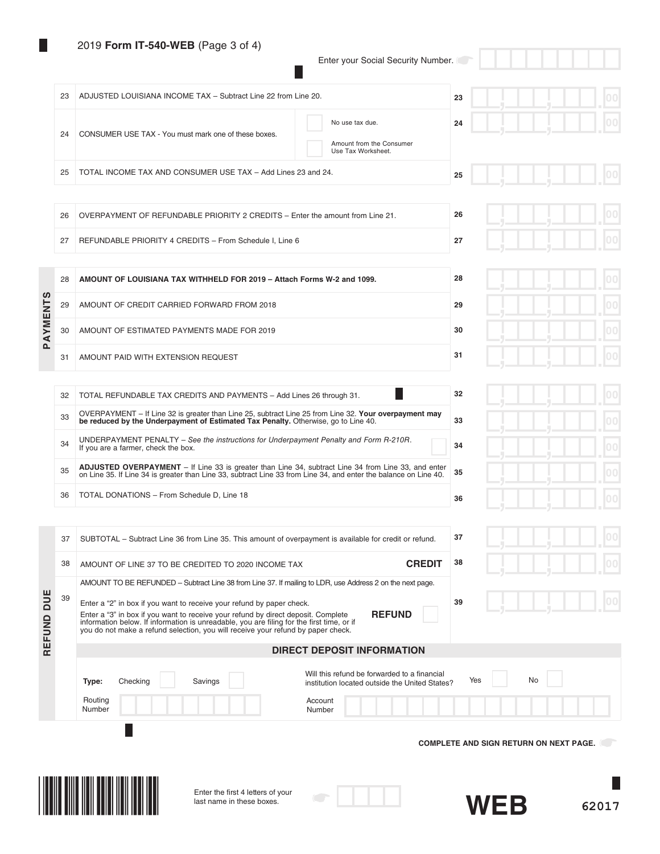# 2019 **Form IT-540-WEB** (Page 3 of 4)

 $\mathbb{R}^n$ 

Enter your Social Security Number.

 $\Box$ 

|            | 23 | ADJUSTED LOUISIANA INCOME TAX - Subtract Line 22 from Line 20.                                                                                                                                                                                                                                                                                               | 23                                            |
|------------|----|--------------------------------------------------------------------------------------------------------------------------------------------------------------------------------------------------------------------------------------------------------------------------------------------------------------------------------------------------------------|-----------------------------------------------|
|            | 24 | No use tax due.<br>CONSUMER USE TAX - You must mark one of these boxes.<br>Amount from the Consumer<br>Use Tax Worksheet.                                                                                                                                                                                                                                    | 24                                            |
|            | 25 | TOTAL INCOME TAX AND CONSUMER USE TAX - Add Lines 23 and 24.                                                                                                                                                                                                                                                                                                 | 25                                            |
|            |    |                                                                                                                                                                                                                                                                                                                                                              |                                               |
|            | 26 | OVERPAYMENT OF REFUNDABLE PRIORITY 2 CREDITS - Enter the amount from Line 21.                                                                                                                                                                                                                                                                                | 26                                            |
|            | 27 | REFUNDABLE PRIORITY 4 CREDITS - From Schedule I, Line 6                                                                                                                                                                                                                                                                                                      | 27                                            |
|            | 28 | AMOUNT OF LOUISIANA TAX WITHHELD FOR 2019 - Attach Forms W-2 and 1099.                                                                                                                                                                                                                                                                                       | 28                                            |
|            | 29 | AMOUNT OF CREDIT CARRIED FORWARD FROM 2018                                                                                                                                                                                                                                                                                                                   | 29                                            |
| PAYMENTS   | 30 | AMOUNT OF ESTIMATED PAYMENTS MADE FOR 2019                                                                                                                                                                                                                                                                                                                   | 30                                            |
|            | 31 | AMOUNT PAID WITH EXTENSION REQUEST                                                                                                                                                                                                                                                                                                                           | 31                                            |
|            |    |                                                                                                                                                                                                                                                                                                                                                              |                                               |
|            | 32 | TOTAL REFUNDABLE TAX CREDITS AND PAYMENTS - Add Lines 26 through 31.                                                                                                                                                                                                                                                                                         | 32                                            |
|            | 33 | OVERPAYMENT - If Line 32 is greater than Line 25, subtract Line 25 from Line 32. Your overpayment may<br>be reduced by the Underpayment of Estimated Tax Penalty. Otherwise, go to Line 40.                                                                                                                                                                  | 33                                            |
|            | 34 | UNDERPAYMENT PENALTY - See the instructions for Underpayment Penalty and Form R-210R.<br>If you are a farmer, check the box.                                                                                                                                                                                                                                 | 34                                            |
|            | 35 | ADJUSTED OVERPAYMENT - If Line 33 is greater than Line 34, subtract Line 34 from Line 33, and enter<br>on Line 35. If Line 34 is greater than Line 33, subtract Line 33 from Line 34, and enter the balance on Line 40.                                                                                                                                      | 35                                            |
|            | 36 | TOTAL DONATIONS - From Schedule D, Line 18                                                                                                                                                                                                                                                                                                                   | 36                                            |
|            |    |                                                                                                                                                                                                                                                                                                                                                              |                                               |
|            | 37 | SUBTOTAL - Subtract Line 36 from Line 35. This amount of overpayment is available for credit or refund.                                                                                                                                                                                                                                                      | 37                                            |
|            | 38 | AMOUNT OF LINE 37 TO BE CREDITED TO 2020 INCOME TAX                                                                                                                                                                                                                                                                                                          |                                               |
|            | 39 | AMOUNT TO BE REFUNDED - Subtract Line 38 from Line 37. If mailing to LDR, use Address 2 on the next page.                                                                                                                                                                                                                                                    |                                               |
| REFUND DUE |    | Enter a "2" in box if you want to receive your refund by paper check.<br><b>REFUND</b><br>Enter a "3" in box if you want to receive your refund by direct deposit. Complete<br>information below. If information is unreadable, you are filing for the first time, or if<br>you do not make a refund selection, you will receive your refund by paper check. | 39                                            |
|            |    | <b>DIRECT DEPOSIT INFORMATION</b>                                                                                                                                                                                                                                                                                                                            |                                               |
|            |    | Will this refund be forwarded to a financial                                                                                                                                                                                                                                                                                                                 |                                               |
|            |    | Type:<br>Checking<br>Savings<br>institution located outside the United States?                                                                                                                                                                                                                                                                               | No<br>Yes                                     |
|            |    | Routing<br>Account<br>Number<br>Number                                                                                                                                                                                                                                                                                                                       |                                               |
|            |    |                                                                                                                                                                                                                                                                                                                                                              | <b>COMPLETE AND SIGN RETURN ON NEXT PAGE.</b> |
|            |    |                                                                                                                                                                                                                                                                                                                                                              |                                               |
|            |    |                                                                                                                                                                                                                                                                                                                                                              |                                               |
|            |    | Enter the first 4 letters of your<br>last name in these boxes.                                                                                                                                                                                                                                                                                               | <b>WEB</b><br>62017                           |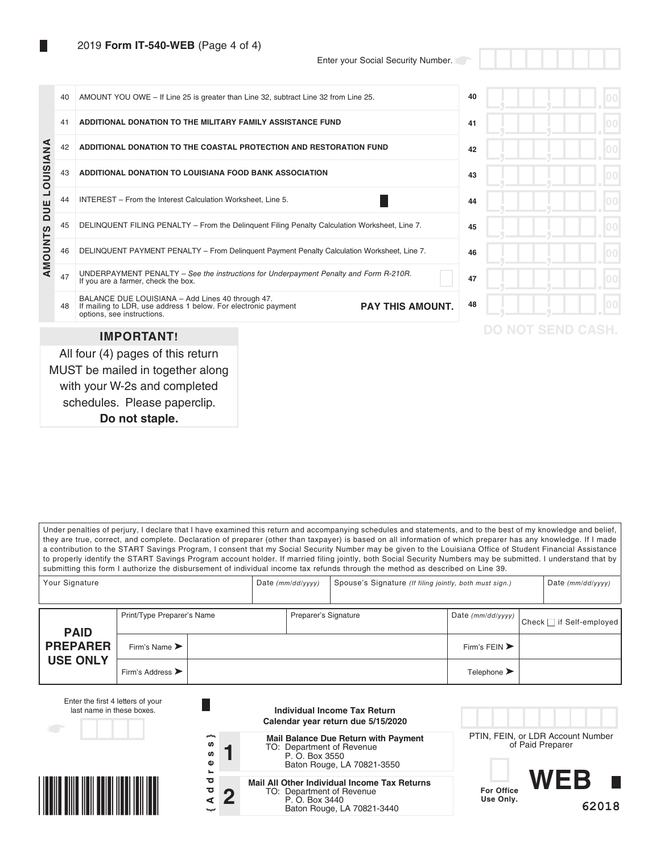with your W-2s and completed schedules. Please paperclip. **Do not staple.**

Enter your Social Security Number.

|                  | 40 | AMOUNT YOU OWE - If Line 25 is greater than Line 32, subtract Line 32 from Line 25.                                                                                         | 40 |                         |  |
|------------------|----|-----------------------------------------------------------------------------------------------------------------------------------------------------------------------------|----|-------------------------|--|
|                  | 41 | ADDITIONAL DONATION TO THE MILITARY FAMILY ASSISTANCE FUND                                                                                                                  | 41 |                         |  |
|                  | 42 | ADDITIONAL DONATION TO THE COASTAL PROTECTION AND RESTORATION FUND                                                                                                          | 42 |                         |  |
| <b>LOUISIANA</b> | 43 | ADDITIONAL DONATION TO LOUISIANA FOOD BANK ASSOCIATION                                                                                                                      | 43 |                         |  |
|                  | 44 | INTEREST - From the Interest Calculation Worksheet, Line 5.                                                                                                                 | 44 |                         |  |
| AMOUNTS DUE      | 45 | DELINQUENT FILING PENALTY - From the Delinguent Filing Penalty Calculation Worksheet, Line 7.                                                                               | 45 |                         |  |
|                  | 46 | DELINQUENT PAYMENT PENALTY - From Delinquent Payment Penalty Calculation Worksheet, Line 7.                                                                                 | 46 |                         |  |
|                  | 47 | UNDERPAYMENT PENALTY - See the instructions for Underpayment Penalty and Form R-210R.<br>If you are a farmer, check the box.                                                | 47 |                         |  |
|                  | 48 | BALANCE DUE LOUISIANA - Add Lines 40 through 47.<br>If mailing to LDR, use address 1 below. For electronic payment<br><b>PAY THIS AMOUNT.</b><br>options, see instructions. | 48 |                         |  |
|                  |    | <b>IMPORTANT!</b>                                                                                                                                                           |    | <b>DO NOT SEND CASH</b> |  |
|                  |    | All four (4) pages of this return<br>MUST be mailed in together along                                                                                                       |    |                         |  |

Under penalties of perjury, I declare that I have examined this return and accompanying schedules and statements, and to the best of my knowledge and belief, they are true, correct, and complete. Declaration of preparer (other than taxpayer) is based on all information of which preparer has any knowledge. If I made a contribution to the START Savings Program, I consent that my Social Security Number may be given to the Louisiana Office of Student Financial Assistance to properly identify the START Savings Program account holder. If married filing jointly, both Social Security Numbers may be submitted. I understand that by submitting this form I authorize the disbursement of individual income tax refunds through the method as described on Line 39.

| Your Signature  |                                      |  |  | Date $(mm/dd/yyyy)$  |  | Spouse's Signature (If filing jointly, both must sign.) |                          |  |  |
|-----------------|--------------------------------------|--|--|----------------------|--|---------------------------------------------------------|--------------------------|--|--|
| <b>PAID</b>     | Print/Type Preparer's Name           |  |  | Preparer's Signature |  | Date (mm/dd/yyyy) '                                     | Check   if Self-employed |  |  |
| <b>PREPARER</b> | Firm's Name $\blacktriangleright$    |  |  |                      |  | Firm's FEIN $\blacktriangleright$                       |                          |  |  |
| <b>USE ONLY</b> | Firm's Address $\blacktriangleright$ |  |  |                      |  | Telephone $\blacktriangleright$                         |                          |  |  |

| Enter the first 4 letters of your<br>last name in these boxes. |                                         | Individual Income Tax Return<br>Calendar year return due 5/15/2020                                                               |                                                       |       |
|----------------------------------------------------------------|-----------------------------------------|----------------------------------------------------------------------------------------------------------------------------------|-------------------------------------------------------|-------|
|                                                                | ∼<br>w<br>w<br>$\bullet$                | <b>Mail Balance Due Return with Payment</b><br>TO: Department of Revenue<br>P. O. Box 3550<br>Baton Rouge, LA 70821-3550         | PTIN, FEIN, or LDR Account Number<br>of Paid Preparer |       |
|                                                                | ਠ<br>$\overline{\mathbf{C}}$<br>n<br>ىپ | <b>Mail All Other Individual Income Tax Returns</b><br>TO: Department of Revenue<br>P. O. Box 3440<br>Baton Rouge, LA 70821-3440 | WFR<br><b>For Office</b><br>Use Only.                 | 62018 |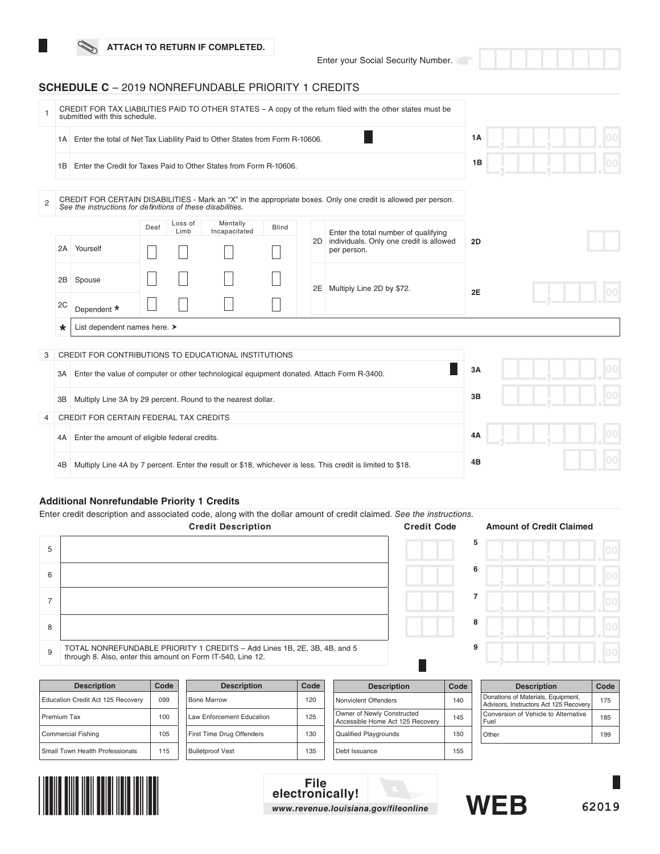Enter your Social Security Number.

## **SCHEDULE C** – 2019 NONREFUNDABLE PRIORITY 1 CREDITS

|   | CREDIT FOR TAX LIABILITIES PAID TO OTHER STATES - A copy of the return filed with the other states must be<br>submitted with this schedule. |                                                                                           |      |                 |                           |              |  |    |                                                                                                                |    |  |  |
|---|---------------------------------------------------------------------------------------------------------------------------------------------|-------------------------------------------------------------------------------------------|------|-----------------|---------------------------|--------------|--|----|----------------------------------------------------------------------------------------------------------------|----|--|--|
|   | Enter the total of Net Tax Liability Paid to Other States from Form R-10606.<br>1A                                                          |                                                                                           |      |                 |                           |              |  |    |                                                                                                                | 1A |  |  |
|   | 1B                                                                                                                                          | Enter the Credit for Taxes Paid to Other States from Form R-10606.                        |      |                 |                           |              |  |    |                                                                                                                | 1B |  |  |
| 2 |                                                                                                                                             | See the instructions for definitions of these disabilities.                               |      |                 |                           |              |  |    | CREDIT FOR CERTAIN DISABILITIES - Mark an "X" in the appropriate boxes. Only one credit is allowed per person. |    |  |  |
|   |                                                                                                                                             | 2A Yourself                                                                               | Deaf | Loss of<br>Limb | Mentally<br>Incapacitated | <b>Blind</b> |  |    | Enter the total number of qualifying<br>2D individuals. Only one credit is allowed<br>per person.              | 2D |  |  |
|   | 2B<br>2C                                                                                                                                    | Spouse<br>Dependent *                                                                     |      |                 |                           |              |  | 2E | Multiply Line 2D by \$72.                                                                                      | 2E |  |  |
|   | $\star$                                                                                                                                     | List dependent names here. >                                                              |      |                 |                           |              |  |    |                                                                                                                |    |  |  |
| 3 |                                                                                                                                             | CREDIT FOR CONTRIBUTIONS TO EDUCATIONAL INSTITUTIONS                                      |      |                 |                           |              |  |    |                                                                                                                |    |  |  |
|   | 3A I                                                                                                                                        | Enter the value of computer or other technological equipment donated. Attach Form R-3400. |      |                 |                           |              |  |    |                                                                                                                | 3A |  |  |
|   | ЗB                                                                                                                                          | Multiply Line 3A by 29 percent. Round to the nearest dollar.                              |      |                 |                           |              |  |    |                                                                                                                | 3B |  |  |
| 4 | CREDIT FOR CERTAIN FEDERAL TAX CREDITS                                                                                                      |                                                                                           |      |                 |                           |              |  |    |                                                                                                                |    |  |  |
|   | Enter the amount of eligible federal credits.<br>4A                                                                                         |                                                                                           |      |                 |                           |              |  | 4A |                                                                                                                |    |  |  |
|   | 4B                                                                                                                                          |                                                                                           |      |                 |                           |              |  |    | Multiply Line 4A by 7 percent. Enter the result or \$18, whichever is less. This credit is limited to \$18.    | 4B |  |  |

## **Additional Nonrefundable Priority 1 Credits**

Enter credit description and associated code, along with the dollar amount of credit claimed. *See the instructions.*

|   | <b>Credit Description</b>                                                                                                               | <b>Credit Code</b> | <b>Amount of Credit Claimed</b> |  |
|---|-----------------------------------------------------------------------------------------------------------------------------------------|--------------------|---------------------------------|--|
| 5 |                                                                                                                                         |                    | 5                               |  |
| 6 |                                                                                                                                         |                    | 6                               |  |
|   |                                                                                                                                         |                    |                                 |  |
| 8 |                                                                                                                                         |                    | 8                               |  |
| 9 | TOTAL NONREFUNDABLE PRIORITY 1 CREDITS - Add Lines 1B, 2E, 3B, 4B, and 5<br>through 8. Also, enter this amount on Form IT-540, Line 12. |                    | 9                               |  |

| <b>Description</b>                | Code | <b>Description</b>        | Code | <b>Description</b>                                             | Code            | <b>Description</b>                                                           | Cod |
|-----------------------------------|------|---------------------------|------|----------------------------------------------------------------|-----------------|------------------------------------------------------------------------------|-----|
| Education Credit Act 125 Recovery | 099  | <b>Bone Marrow</b>        | 120  | Nonviolent Offenders                                           | 140             | Donations of Materials, Equipment,<br>Advisors, Instructors Act 125 Recovery | 175 |
| Premium Tax                       | 100  | Law Enforcement Education | 125  | Owner of Newly Constructed<br>Accessible Home Act 125 Recovery | 145             | Conversion of Vehicle to Alternative<br>Fuel                                 | 185 |
| <b>Commercial Fishing</b>         | 105  | First Time Drug Offenders | 130  | <b>Qualified Playgrounds</b>                                   | 15 <sub>C</sub> | Other                                                                        | 199 |
| Small Town Health Professionals   | 115  | <b>Bulletproof Vest</b>   | 135  | Debt Issuance                                                  | 155             |                                                                              |     |



## **File electronically!** *www.revenue.louisiana.gov/fileonline*





**Description Code**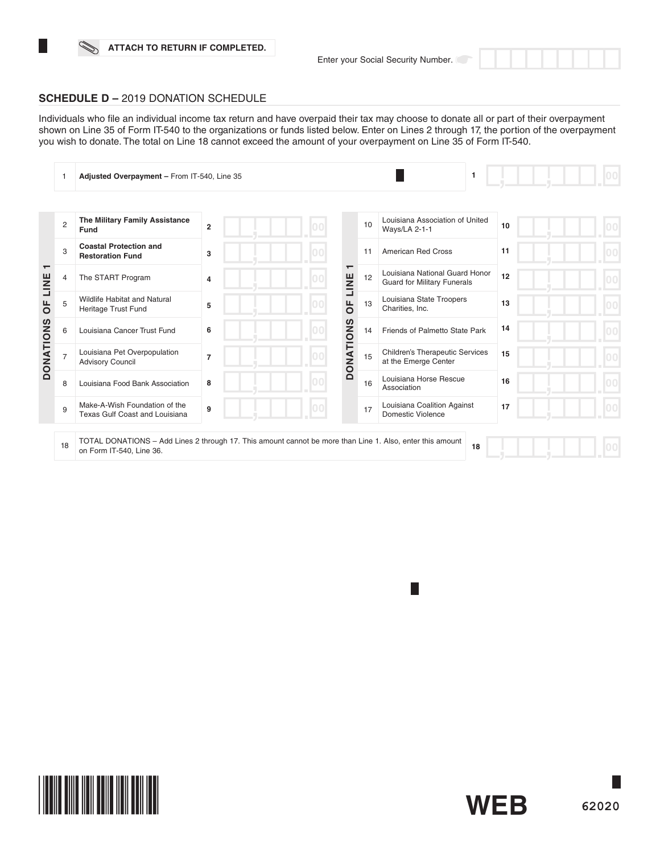

## **SCHEDULE D –** 2019 DONATION SCHEDULE

Individuals who fle an individual income tax return and have overpaid their tax may choose to donate all or part of their overpayment shown on Line 35 of Form IT-540 to the organizations or funds listed below. Enter on Lines 2 through 17, the portion of the overpayment you wish to donate. The total on Line 18 cannot exceed the amount of your overpayment on Line 35 of Form IT-540.

|                   |                | Adjusted Overpayment - From IT-540, Line 35                                                                                           |                |     |                              |    | 1                                                                    |    |
|-------------------|----------------|---------------------------------------------------------------------------------------------------------------------------------------|----------------|-----|------------------------------|----|----------------------------------------------------------------------|----|
|                   |                |                                                                                                                                       |                |     |                              |    |                                                                      |    |
|                   | $\overline{2}$ | The Military Family Assistance<br>Fund                                                                                                | $\overline{2}$ |     |                              | 10 | Louisiana Association of United<br><b>Ways/LA 2-1-1</b>              | 10 |
|                   | 3              | <b>Coastal Protection and</b><br><b>Restoration Fund</b>                                                                              | 3              |     |                              | 11 | <b>American Red Cross</b>                                            | 11 |
| $\mathbf$<br>LINE | 4              | The START Program                                                                                                                     | 4              |     | LINE                         | 12 | Louisiana National Guard Honor<br><b>Guard for Military Funerals</b> | 12 |
| <b>UF</b>         | 5              | Wildlife Habitat and Natural<br>Heritage Trust Fund                                                                                   | 5              | l00 | щ<br>$\overline{\mathsf{o}}$ | 13 | Louisiana State Troopers<br>Charities, Inc.                          | 13 |
|                   | 6              | Louisiana Cancer Trust Fund                                                                                                           | 6              |     |                              | 14 | Friends of Palmetto State Park                                       | 14 |
| <b>DONATIONS</b>  |                | Louisiana Pet Overpopulation<br><b>Advisory Council</b>                                                                               | $\overline{7}$ |     | <b>DONATIONS</b>             | 15 | <b>Children's Therapeutic Services</b><br>at the Emerge Center       | 15 |
|                   | 8              | Louisiana Food Bank Association                                                                                                       | 8              |     |                              | 16 | Louisiana Horse Rescue<br>Association                                | 16 |
|                   | 9              | Make-A-Wish Foundation of the<br><b>Texas Gulf Coast and Louisiana</b>                                                                | 9              | 00  |                              | 17 | Louisiana Coalition Against<br><b>Domestic Violence</b>              | 17 |
|                   | 18             | TOTAL DONATIONS – Add Lines 2 through 17. This amount cannot be more than Line 1. Also, enter this amount<br>on Form IT-540, Line 36. |                |     |                              |    | 18                                                                   |    |



**T**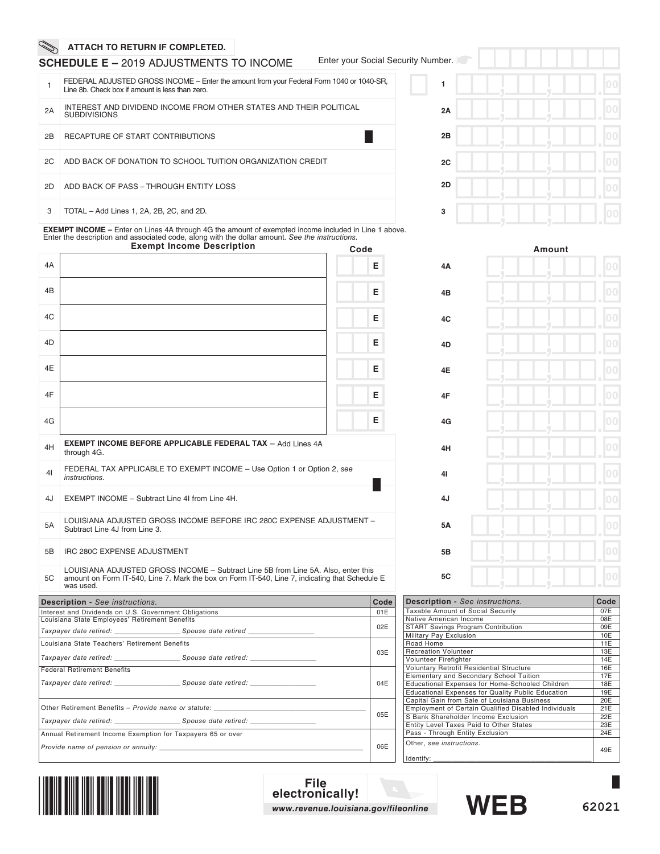## **SCHEDULE E –** 2019 ADJUSTMENTS TO INCOME

Enter your Social Security Num

|    | FEDERAL ADJUSTED GROSS INCOME – Enter the amount from your Federal Form 1040 or 1040-SR.<br>Line 8b. Check box if amount is less than zero. |
|----|---------------------------------------------------------------------------------------------------------------------------------------------|
| 2A | INTEREST AND DIVIDEND INCOME FROM OTHER STATES AND THEIR POLITICAL<br><b>SUBDIVISIONS</b>                                                   |
| 2B | RECAPTURE OF START CONTRIBUTIONS                                                                                                            |
| 2C | ADD BACK OF DONATION TO SCHOOL TUITION ORGANIZATION CREDIT                                                                                  |
| 2D | ADD BACK OF PASS - THROUGH ENTITY LOSS                                                                                                      |
| 3  | TOTAL - Add Lines 1, 2A, 2B, 2C, and 2D.                                                                                                    |

EXEMPT INCOME – Enter on Lines 4A through 4G the amount of exempted income included in Line 1 above.<br>Enter the description and associated code, along with the dollar amount. See the instructions.<br>**Exempt Income Description** 

|                |                                                                                                                                                                                                  | Juu |      |
|----------------|--------------------------------------------------------------------------------------------------------------------------------------------------------------------------------------------------|-----|------|
| 4A             |                                                                                                                                                                                                  |     | Е    |
| 4 <sub>B</sub> |                                                                                                                                                                                                  |     | Е    |
| 4C             |                                                                                                                                                                                                  |     | Е    |
| 4D             |                                                                                                                                                                                                  |     | Е    |
| 4E             |                                                                                                                                                                                                  |     | Е    |
| 4F             |                                                                                                                                                                                                  |     | Е    |
| 4G             |                                                                                                                                                                                                  |     | E.   |
| 4H             | <b>EXEMPT INCOME BEFORE APPLICABLE FEDERAL TAX - Add Lines 4A</b><br>through 4G.                                                                                                                 |     |      |
| 41             | FEDERAL TAX APPLICABLE TO EXEMPT INCOME - Use Option 1 or Option 2, see<br><i>instructions.</i>                                                                                                  |     |      |
| 4J             | EXEMPT INCOME - Subtract Line 4I from Line 4H.                                                                                                                                                   |     |      |
| 5A             | LOUISIANA ADJUSTED GROSS INCOME BEFORE IRC 280C EXPENSE ADJUSTMENT -<br>Subtract Line 4J from Line 3.                                                                                            |     |      |
| 5B             | IRC 280C EXPENSE ADJUSTMENT                                                                                                                                                                      |     |      |
| 5C             | LOUISIANA ADJUSTED GROSS INCOME - Subtract Line 5B from Line 5A. Also, enter this<br>amount on Form IT-540, Line 7. Mark the box on Form IT-540, Line 7, indicating that Schedule E<br>was used. |     |      |
|                | <b>Description - See instructions.</b>                                                                                                                                                           |     | Code |
|                | Interest and Dividends on U.S. Government Obligations                                                                                                                                            |     | 01E  |
|                | Louisiana State Employees' Retirement Benefits                                                                                                                                                   |     | 02E  |
|                | Louisiana State Teachers' Retirement Benefits                                                                                                                                                    |     |      |
|                |                                                                                                                                                                                                  |     | 03E  |
|                | <b>Federal Retirement Benefits</b><br>Taxpayer date retired: Spouse date retired:                                                                                                                |     | 04E  |
|                |                                                                                                                                                                                                  |     | 05E  |
|                | Annual Retirement Income Exemption for Taxpayers 65 or over                                                                                                                                      |     |      |

*Provide name of pension or annuity: \_\_\_\_\_\_\_\_\_\_\_\_\_\_\_\_\_\_\_\_\_\_\_\_\_\_\_\_\_\_\_\_\_\_\_\_\_\_\_\_\_\_\_\_\_\_\_\_\_\_\_\_\_\_\_\_\_\_\_\_\_\_\_* 06E

| $\mathsf{r}$ |  |                |
|--------------|--|----------------|
|              |  | 0 <sub>0</sub> |
| 2A           |  | 00             |
| 2B           |  | 00             |
| 2C           |  | 0 <sup>0</sup> |
| 2D           |  | 0 <sub>0</sub> |
| 3            |  | 00             |

|    |    | Amount |                     |
|----|----|--------|---------------------|
| 4A |    | ij     | 00                  |
| 4B |    |        | 0 <sub>0</sub><br>ш |
| 4C |    | ī.     | 00<br>п             |
| 4D | Ę  | ŋ      | 00<br>г             |
| 4E |    |        | 0 <sup>0</sup><br>ш |
| 4F |    | Ľ      | 0 <sub>0</sub>      |
| 4G |    | ij     | 0 <sub>0</sub><br>ш |
| 4H | Ę  | r      | 0 <sub>0</sub>      |
| 41 |    |        | 00<br>ш             |
| 4J |    |        | 0 <sub>0</sub><br>п |
| 5Α | ŋ  | ij     | 0 <sub>0</sub>      |
| 5B | ij |        | 00                  |
| 5C | ٠  | ٠      | 00                  |

| <b>Description - See instructions.</b>                      | Code |
|-------------------------------------------------------------|------|
| Taxable Amount of Social Security                           | 07E  |
| Native American Income                                      | 08E  |
| <b>START Savings Program Contribution</b>                   | 09E  |
| Military Pay Exclusion                                      | 10E  |
| Road Home                                                   | 11E  |
| <b>Recreation Volunteer</b>                                 | 13E  |
| Volunteer Firefighter                                       | 14E  |
| Voluntary Retrofit Residential Structure                    | 16E  |
| Elementary and Secondary School Tuition                     | 17E  |
| Educational Expenses for Home-Schooled Children             | 18E  |
| <b>Educational Expenses for Quality Public Education</b>    | 19E  |
| Capital Gain from Sale of Louisiana Business                | 20E  |
| <b>Employment of Certain Qualified Disabled Individuals</b> | 21E  |
| S Bank Shareholder Income Exclusion                         | 22E  |
| <b>Entity Level Taxes Paid to Other States</b>              | 23E  |
| Pass - Through Entity Exclusion                             | 24E  |
| Other, see instructions.<br>Identify:                       | 49E  |



**File electronically!** *www.revenue.louisiana.gov/fileonline*



L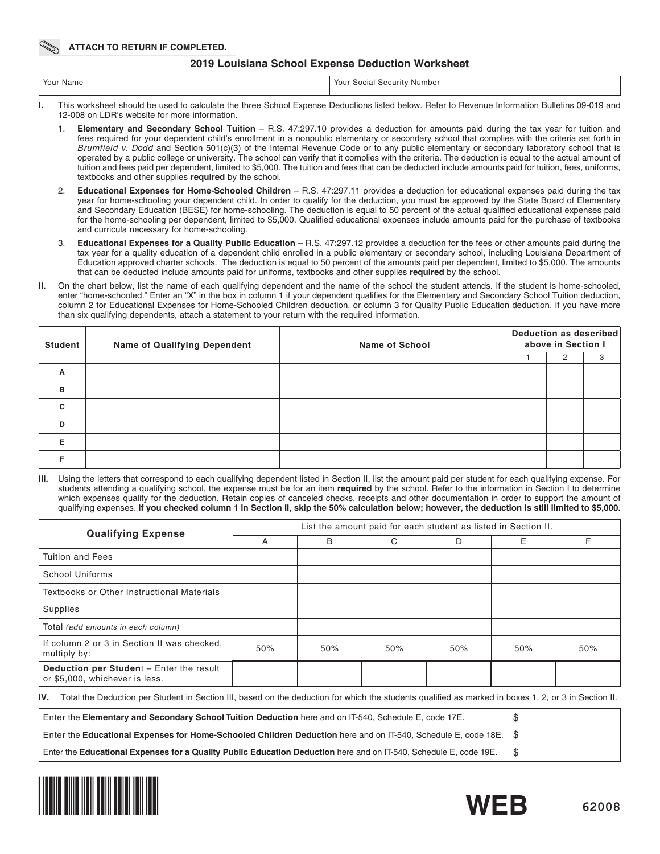## **2019 Louisiana School Expense Deduction Worksheet**

| Your Name | Your<br>: Number<br>`ocial<br>5e<br>. |
|-----------|---------------------------------------|
|           |                                       |

- **I.** This worksheet should be used to calculate the three School Expense Deductions listed below. Refer to Revenue Information Bulletins 09-019 and 12-008 on LDR's website for more information.
	- 1. **Elementary and Secondary School Tuition** R.S. 47:297.10 provides a deduction for amounts paid during the tax year for tuition and fees required for your dependent child's enrollment in a nonpublic elementary or secondary school that complies with the criteria set forth in *Brumfield v. Dodd* and Section 501(c)(3) of the Internal Revenue Code or to any public elementary or secondary laboratory school that is operated by a public college or university. The school can verify that it complies with the criteria. The deduction is equal to the actual amount of tuition and fees paid per dependent, limited to \$5,000. The tuition and fees that can be deducted include amounts paid for tuition, fees, uniforms, textbooks and other supplies **required** by the school.
	- 2. **Educational Expenses for Home-Schooled Children** R.S. 47:297.11 provides a deduction for educational expenses paid during the tax year for home-schooling your dependent child. In order to qualify for the deduction, you must be approved by the State Board of Elementary and Secondary Education (BESE) for home-schooling. The deduction is equal to 50 percent of the actual qualifed educational expenses paid for the home-schooling per dependent, limited to \$5,000. Qualifed educational expenses include amounts paid for the purchase of textbooks and curricula necessary for home-schooling.
	- 3. **Educational Expenses for a Quality Public Education** R.S. 47:297.12 provides a deduction for the fees or other amounts paid during the tax year for a quality education of a dependent child enrolled in a public elementary or secondary school, including Louisiana Department of Education approved charter schools. The deduction is equal to 50 percent of the amounts paid per dependent, limited to \$5,000. The amounts that can be deducted include amounts paid for uniforms, textbooks and other supplies **required** by the school.
- **II.** On the chart below, list the name of each qualifying dependent and the name of the school the student attends. If the student is home-schooled, enter "home-schooled." Enter an "X" in the box in column 1 if your dependent qualifes for the Elementary and Secondary School Tuition deduction, column 2 for Educational Expenses for Home-Schooled Children deduction, or column 3 for Quality Public Education deduction. If you have more than six qualifying dependents, attach a statement to your return with the required information.

| <b>Student</b> | <b>Name of Qualifying Dependent</b> | <b>Name of School</b> | Deduction as described<br>above in Section I |   |   |
|----------------|-------------------------------------|-----------------------|----------------------------------------------|---|---|
|                |                                     |                       |                                              | 2 | 3 |
| A              |                                     |                       |                                              |   |   |
| в              |                                     |                       |                                              |   |   |
| C              |                                     |                       |                                              |   |   |
| D              |                                     |                       |                                              |   |   |
| Е              |                                     |                       |                                              |   |   |
|                |                                     |                       |                                              |   |   |

**III.** Using the letters that correspond to each qualifying dependent listed in Section II, list the amount paid per student for each qualifying expense. For students attending a qualifying school, the expense must be for an item **required** by the school. Refer to the information in Section I to determine which expenses qualify for the deduction. Retain copies of canceled checks, receipts and other documentation in order to support the amount of qualifying expenses. **If you checked column 1 in Section II, skip the 50% calculation below; however, the deduction is still limited to \$5,000.**

| <b>Qualifying Expense</b>                                                  | List the amount paid for each student as listed in Section II. |     |     |     |     |     |  |
|----------------------------------------------------------------------------|----------------------------------------------------------------|-----|-----|-----|-----|-----|--|
|                                                                            | A                                                              | B   | C   | D   | Ε   | F   |  |
| <b>Tuition and Fees</b>                                                    |                                                                |     |     |     |     |     |  |
| School Uniforms                                                            |                                                                |     |     |     |     |     |  |
| Textbooks or Other Instructional Materials                                 |                                                                |     |     |     |     |     |  |
| Supplies                                                                   |                                                                |     |     |     |     |     |  |
| Total (add amounts in each column)                                         |                                                                |     |     |     |     |     |  |
| If column 2 or 3 in Section II was checked.<br>multiply by:                | 50%                                                            | 50% | 50% | 50% | 50% | 50% |  |
| Deduction per Student - Enter the result<br>or \$5,000, whichever is less. |                                                                |     |     |     |     |     |  |

**IV.** Total the Deduction per Student in Section III, based on the deduction for which the students qualifed as marked in boxes 1, 2, or 3 in Section II.

| Enter the Elementary and Secondary School Tuition Deduction here and on IT-540, Schedule E, code 17E.             |  |
|-------------------------------------------------------------------------------------------------------------------|--|
| Enter the Educational Expenses for Home-Schooled Children Deduction here and on IT-540, Schedule E, code 18E. \$  |  |
| Enter the Educational Expenses for a Quality Public Education Deduction here and on IT-540, Schedule E, code 19E. |  |



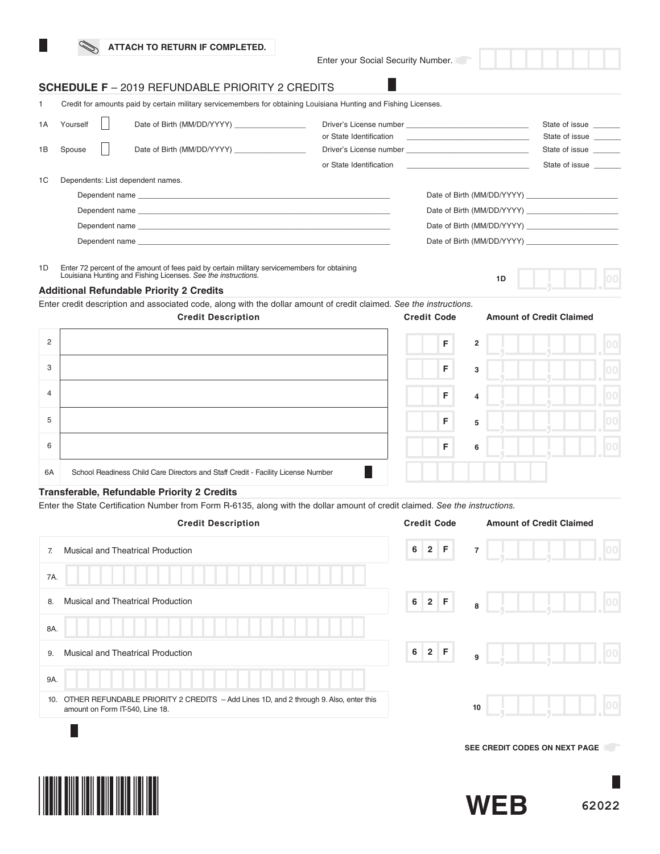Enter your Social Security Number.

L

**1D**

## **SCHEDULE F** – 2019 REFUNDABLE PRIORITY 2 CREDITS

|    |          | Credit for amounts paid by certain military servicemembers for obtaining Louisiana Hunting and Fishing Licenses.                                                                                                              |                                                                                                                                                                                                                                      |                            |                                  |
|----|----------|-------------------------------------------------------------------------------------------------------------------------------------------------------------------------------------------------------------------------------|--------------------------------------------------------------------------------------------------------------------------------------------------------------------------------------------------------------------------------------|----------------------------|----------------------------------|
| 1A | Yourself | Date of Birth (MM/DD/YYYY)                                                                                                                                                                                                    |                                                                                                                                                                                                                                      |                            | State of issue<br>State of issue |
| 1B | Spouse   | Date of Birth (MM/DD/YYYY)                                                                                                                                                                                                    |                                                                                                                                                                                                                                      |                            | State of issue                   |
|    |          |                                                                                                                                                                                                                               | or State Identification <b>Constanting Constanting Constanting Constanting Constanting Constanting Constanting Constanting Constanting Constanting Constanting Constanting Constanting Constanting Constanting Constanting Const</b> |                            | State of issue                   |
| 1C |          | Dependents: List dependent names.                                                                                                                                                                                             |                                                                                                                                                                                                                                      |                            |                                  |
|    |          |                                                                                                                                                                                                                               |                                                                                                                                                                                                                                      | Date of Birth (MM/DD/YYYY) |                                  |
|    |          | Dependent name experience and the control of the control of the control of the control of the control of the control of the control of the control of the control of the control of the control of the control of the control |                                                                                                                                                                                                                                      | Date of Birth (MM/DD/YYYY) |                                  |
|    |          |                                                                                                                                                                                                                               |                                                                                                                                                                                                                                      | Date of Birth (MM/DD/YYYY) |                                  |
|    |          |                                                                                                                                                                                                                               |                                                                                                                                                                                                                                      |                            |                                  |
|    |          |                                                                                                                                                                                                                               |                                                                                                                                                                                                                                      |                            |                                  |

1D Enter 72 percent of the amount of fees paid by certain military servicemembers for obtaining Louisiana Hunting and Fishing Licenses. *See the instructions.*

## **Additional Refundable Priority 2 Credits**

Enter credit description and associated code, along with the dollar amount of credit claimed. *See the instructions.*



### **Transferable, Refundable Priority 2 Credits**

Enter the State Certifcation Number from Form R-6135, along with the dollar amount of credit claimed. *See the instructions.*

| <b>Credit Description</b>                                                                                                       | <b>Credit Code</b>                       | <b>Amount of Credit Claimed</b> |
|---------------------------------------------------------------------------------------------------------------------------------|------------------------------------------|---------------------------------|
| Musical and Theatrical Production<br>7.                                                                                         | 6<br>2 F                                 | 00 <br>$\overline{7}$           |
| 7A.                                                                                                                             |                                          |                                 |
| Musical and Theatrical Production<br>8.                                                                                         | $\bf 6$<br>$2$ F                         | $ 00\rangle$<br>8               |
| 8A.                                                                                                                             |                                          |                                 |
| Musical and Theatrical Production<br>9.                                                                                         | $\bf 6$<br>2 <sup>1</sup><br>$\mathsf F$ | 100<br>9                        |
| 9A.                                                                                                                             |                                          |                                 |
| OTHER REFUNDABLE PRIORITY 2 CREDITS - Add Lines 1D, and 2 through 9. Also, enter this<br>10.<br>amount on Form IT-540, Line 18. |                                          | 100<br>10                       |
|                                                                                                                                 |                                          |                                 |
|                                                                                                                                 |                                          | SEE CREDIT CODES ON NEXT PAGE   |
| <u>I INNIH MIIIN IINII MUITU IINII IINI IINI</u>                                                                                |                                          |                                 |



**WEB**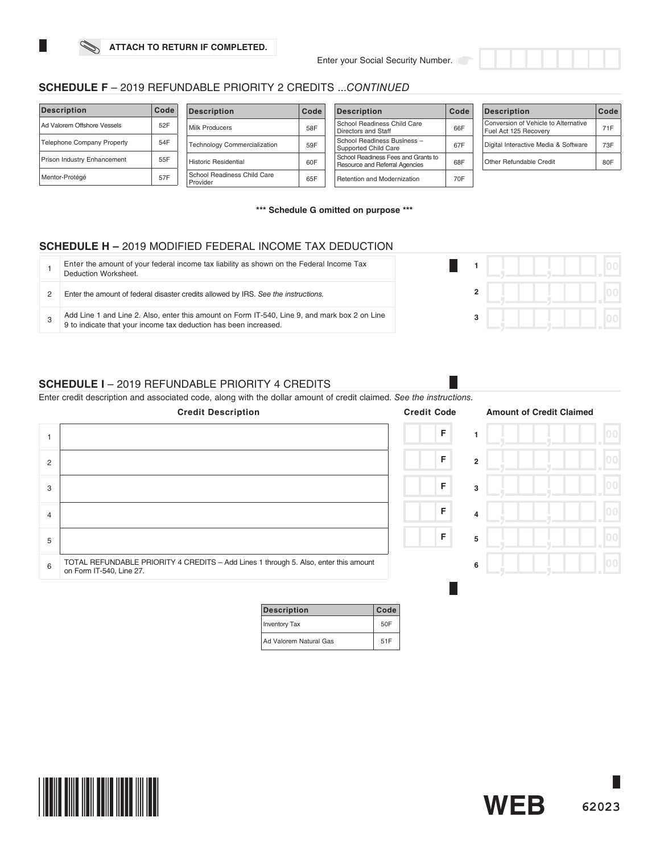

| <b>Description</b>                 | Code | <b>Description</b>                      | Code | <b>Description</b>                                                    | Code | <b>Description</b>                                            | Code |
|------------------------------------|------|-----------------------------------------|------|-----------------------------------------------------------------------|------|---------------------------------------------------------------|------|
| Ad Valorem Offshore Vessels        | 52F  | Milk Producers                          | 58F  | School Readiness Child Care<br>Directors and Staff                    | 66F  | Conversion of Vehicle to Alternative<br>Fuel Act 125 Recovery | 71F  |
| <b>Telephone Company Property</b>  | 54F  | <b>Technology Commercialization</b>     | 59F  | School Readiness Business -<br>Supported Child Care                   | 67F  | Digital Interactive Media & Software                          | 73F  |
| <b>Prison Industry Enhancement</b> | 55F  | Historic Residential                    | 60F  | School Readiness Fees and Grants to<br>Resource and Referral Agencies | 68F  | Other Refundable Credit                                       | 80F  |
| Mentor-Protégé                     | 57F  | School Readiness Child Care<br>Provider | 65F  | Retention and Modernization                                           | 70F  |                                                               |      |

**\*\*\* Schedule G omitted on purpose \*\*\***

# **SCHEDULE H –** 2019 MODIFIED FEDERAL INCOME TAX DEDUCTION

| Enter the amount of your federal income tax liability as shown on the Federal Income Tax<br>Deduction Worksheet.                                                  |  |  |  |
|-------------------------------------------------------------------------------------------------------------------------------------------------------------------|--|--|--|
| Enter the amount of federal disaster credits allowed by IRS. See the instructions.                                                                                |  |  |  |
| Add Line 1 and Line 2. Also, enter this amount on Form IT-540, Line 9, and mark box 2 on Line<br>9 to indicate that your income tax deduction has been increased. |  |  |  |

## **SCHEDULE I** – 2019 REFUNDABLE PRIORITY 4 CREDITS

Enter credit description and associated code, along with the dollar amount of credit claimed. *See the instructions.*

|   | <b>Credit Description</b>                                                                                        | <b>Credit Code</b> |                | <b>Amount of Credit Claimed</b> |  |
|---|------------------------------------------------------------------------------------------------------------------|--------------------|----------------|---------------------------------|--|
|   |                                                                                                                  | $\mathsf F$        |                |                                 |  |
| 2 |                                                                                                                  | F                  | $\overline{2}$ |                                 |  |
| 3 |                                                                                                                  | F                  | 3              |                                 |  |
| 4 |                                                                                                                  | F                  | 4              |                                 |  |
| 5 |                                                                                                                  | F                  | 5              |                                 |  |
| 6 | TOTAL REFUNDABLE PRIORITY 4 CREDITS - Add Lines 1 through 5. Also, enter this amount<br>on Form IT-540, Line 27. |                    | 6              |                                 |  |
|   |                                                                                                                  |                    |                |                                 |  |

| <b>Description</b>     | Code |
|------------------------|------|
| <b>Inventory Tax</b>   | 50F  |
| Ad Valorem Natural Gas | 51F  |





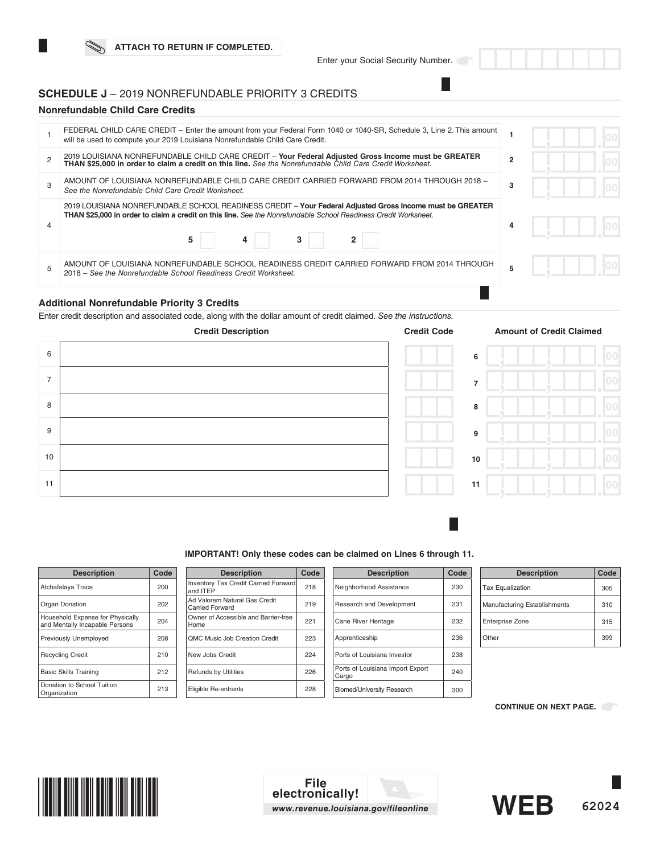## **SCHEDULE J** – 2019 NONREFUNDABLE PRIORITY 3 CREDITS

## **Nonrefundable Child Care Credits**

| FEDERAL CHILD CARE CREDIT – Enter the amount from your Federal Form 1040 or 1040-SR, Schedule 3, Line 2. This amount<br>will be used to compute your 2019 Louisiana Nonrefundable Child Care Credit.                                        |                |  |
|---------------------------------------------------------------------------------------------------------------------------------------------------------------------------------------------------------------------------------------------|----------------|--|
| 2019 LOUISIANA NONREFUNDABLE CHILD CARE CREDIT - Your Federal Adjusted Gross Income must be GREATER<br>THAN \$25,000 in order to claim a credit on this line. See the Nonrefundable Child Care Credit Worksheet.                            | $\overline{2}$ |  |
| AMOUNT OF LOUISIANA NONREFUNDABLE CHILD CARE CREDIT CARRIED FORWARD FROM 2014 THROUGH 2018 -<br>See the Nonrefundable Child Care Credit Worksheet.                                                                                          | 3              |  |
| 2019 LOUISIANA NONREFUNDABLE SCHOOL READINESS CREDIT - Your Federal Adjusted Gross Income must be GREATER<br>THAN \$25,000 in order to claim a credit on this line. See the Nonrefundable School Readiness Credit Worksheet.<br>5<br>3<br>4 |                |  |
| AMOUNT OF LOUISIANA NONREFUNDABLE SCHOOL READINESS CREDIT CARRIED FORWARD FROM 2014 THROUGH<br>2018 – See the Nonrefundable School Readiness Credit Worksheet.                                                                              |                |  |
|                                                                                                                                                                                                                                             |                |  |

## **Additional Nonrefundable Priority 3 Credits**

Enter credit description and associated code, along with the dollar amount of credit claimed. *See the instructions.* 



| ue, |    | Allioulit of Credit |
|-----|----|---------------------|
|     | 6  |                     |
|     | 7  |                     |
|     | 8  |                     |
|     | 9  |                     |
|     | 10 |                     |
|     | 11 |                     |
|     |    |                     |

### **IMPORTANT! Only these codes can be claimed on Lines 6 through 11.**

| <b>Description</b>                                                 | Code |
|--------------------------------------------------------------------|------|
| Atchafalaya Trace                                                  | 200  |
| Organ Donation                                                     | 202  |
| Household Expense for Physically<br>and Mentally Incapable Persons | 204  |
| <b>Previously Unemployed</b>                                       | 208  |
| <b>Recycling Credit</b>                                            | 210  |
| <b>Basic Skills Training</b>                                       | 212  |
| Donation to School Tuition<br>Organization                         | 213  |
|                                                                    |      |

| <b>Description</b>                                      | Code |
|---------------------------------------------------------|------|
| Inventory Tax Credit Carried Forward<br>and ITEP        | 218  |
| Ad Valorem Natural Gas Credit<br><b>Carried Forward</b> | 219  |
| Owner of Accessible and Barrier-free<br>Home            | 221  |
| <b>OMC Music Job Creation Credit</b>                    | 223  |
| New Jobs Credit                                         | 224  |
| <b>Refunds by Utilities</b>                             | 226  |
| Eligible Re-entrants                                    | 228  |

| <b>Description</b>                        | Code |
|-------------------------------------------|------|
| Neighborhood Assistance                   | 230  |
| Research and Development                  | 231  |
| Cane River Heritage                       | 232  |
| Apprenticeship                            | 236  |
| Ports of Louisiana Investor               | 238  |
| Ports of Louisiana Import Export<br>Cargo | 240  |
| <b>Biomed/University Research</b>         | 300  |

| <b>Description</b>           | Code |
|------------------------------|------|
| <b>Tax Equalization</b>      | 305  |
| Manufacturing Establishments | 310  |
| Enterprise Zone              | 315  |
| Other                        | 399  |

**CONTINUE ON NEXT PAGE.** 



**File electronically!** *www.revenue.louisiana.gov/fileonline*

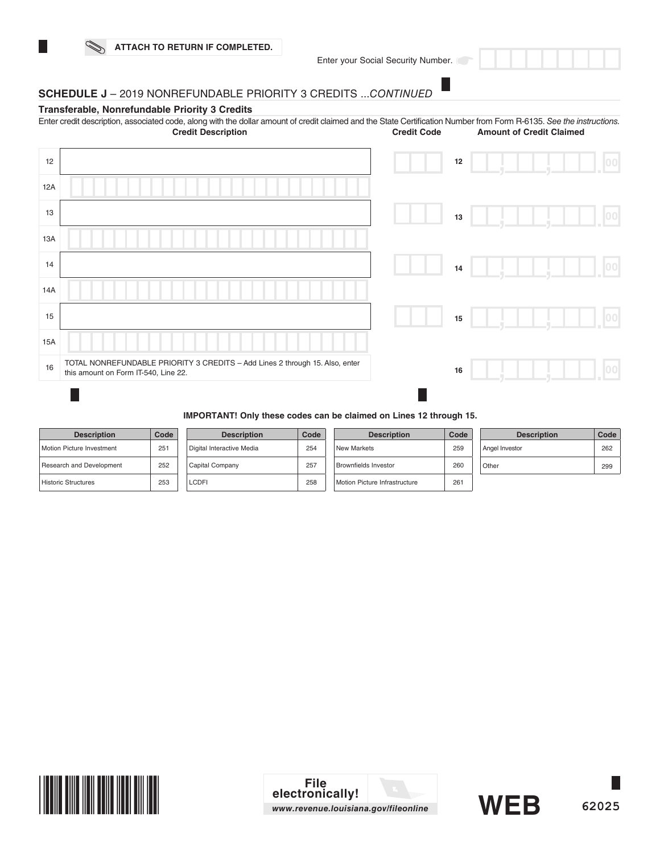# **SCHEDULE J** – 2019 NONREFUNDABLE PRIORITY 3 CREDITS ...*CONTINUED*

## **Transferable, Nonrefundable Priority 3 Credits**

Enter credit description, associated code, along with the dollar amount of credit claimed and the State Certifcation Number from Form R-6135. *See the instructions.* **Amount of Credit Claimed** 

| 12  |                                                                                                                      | $12\,$ |  |  | 00  |
|-----|----------------------------------------------------------------------------------------------------------------------|--------|--|--|-----|
| 12A |                                                                                                                      |        |  |  |     |
| 13  |                                                                                                                      | 13     |  |  | 100 |
| 13A |                                                                                                                      |        |  |  |     |
| 14  |                                                                                                                      | 14     |  |  | 00  |
| 14A |                                                                                                                      |        |  |  |     |
| 15  |                                                                                                                      | 15     |  |  | 00  |
| 15A |                                                                                                                      |        |  |  |     |
| 16  | TOTAL NONREFUNDABLE PRIORITY 3 CREDITS - Add Lines 2 through 15. Also, enter<br>this amount on Form IT-540, Line 22. | 16     |  |  |     |

## **IMPORTANT! Only these codes can be claimed on Lines 12 through 15.**

| <b>Description</b>               | Code |
|----------------------------------|------|
| <b>Motion Picture Investment</b> | 251  |
| Research and Development         | 252  |
| <b>Historic Structures</b>       | 253  |

| <b>Description</b>        | Code |
|---------------------------|------|
| Digital Interactive Media | 254  |
| Capital Company           | 257  |
| I CDEI                    | 258  |

| <b>Description</b>            | Code |
|-------------------------------|------|
| New Markets                   | 259  |
| <b>Brownfields Investor</b>   | 260  |
| Motion Picture Infrastructure | 261  |

| <b>Description</b> | Code |
|--------------------|------|
| Angel Investor     | 262  |
| Other              | 299  |



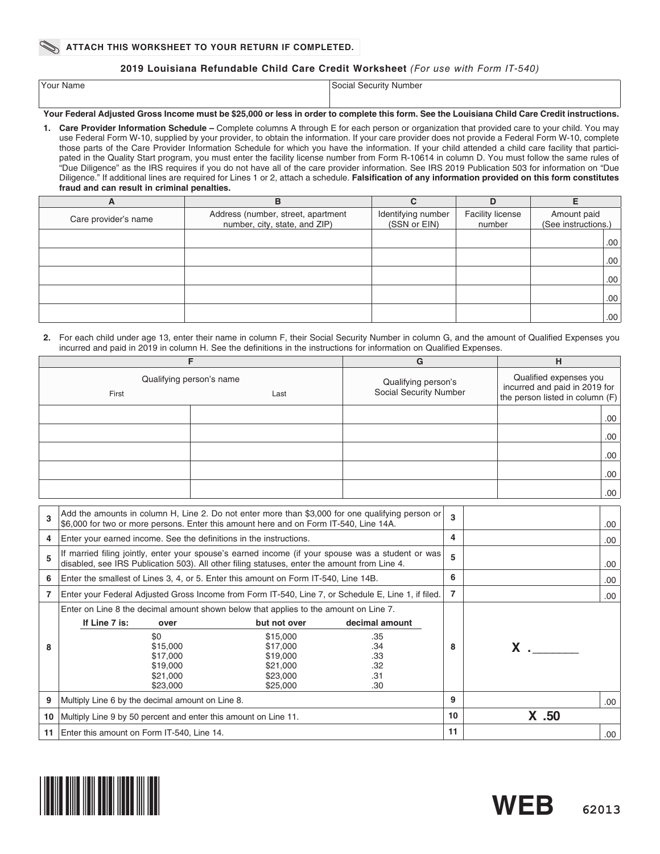## **2019 Louisiana Refundable Child Care Credit Worksheet** *(For use with Form IT-540)*

| Your Name | Social Security Number<br>- - - - - - - - |
|-----------|-------------------------------------------|
|           |                                           |

## **Your Federal Adjusted Gross Income must be \$25,000 or less in order to complete this form. See the Louisiana Child Care Credit instructions.**

**1. Care Provider Information Schedule –** Complete columns A through E for each person or organization that provided care to your child. You may use Federal Form W-10, supplied by your provider, to obtain the information. If your care provider does not provide a Federal Form W-10, complete those parts of the Care Provider Information Schedule for which you have the information. If your child attended a child care facility that participated in the Quality Start program, you must enter the facility license number from Form R-10614 in column D. You must follow the same rules of "Due Diligence" as the IRS requires if you do not have all of the care provider information. See IRS 2019 Publication 503 for information on "Due Diligence." If additional lines are required for Lines 1 or 2, attach a schedule. **Falsifcation of any information provided on this form constitutes fraud and can result in criminal penalties.**

| A                    | в                                                                   |                                    |                                   |                                    |
|----------------------|---------------------------------------------------------------------|------------------------------------|-----------------------------------|------------------------------------|
| Care provider's name | Address (number, street, apartment<br>number, city, state, and ZIP) | Identifying number<br>(SSN or EIN) | <b>Facility license</b><br>number | Amount paid<br>(See instructions.) |
|                      |                                                                     |                                    |                                   | .00 <sub>1</sub>                   |
|                      |                                                                     |                                    |                                   | .00 <sub>1</sub>                   |
|                      |                                                                     |                                    |                                   | .00 <sub>1</sub>                   |
|                      |                                                                     |                                    |                                   | .00 <sub>1</sub>                   |
|                      |                                                                     |                                    |                                   | .00 <sub>1</sub>                   |

### **2.** For each child under age 13, enter their name in column F, their Social Security Number in column G, and the amount of Qualifed Expenses you incurred and paid in 2019 in column H. See the defnitions in the instructions for information on Qualifed Expenses.

|                                           |  | G                                             | н                                                                                                        |
|-------------------------------------------|--|-----------------------------------------------|----------------------------------------------------------------------------------------------------------|
| Qualifying person's name<br>First<br>Last |  | Qualifying person's<br>Social Security Number | Qualified expenses you<br>$\left  \right $ incurred and paid in 2019 for the person listed in column (F) |
|                                           |  |                                               | .00.                                                                                                     |
|                                           |  |                                               | .00.                                                                                                     |
|                                           |  |                                               | .00.                                                                                                     |
|                                           |  |                                               | .00                                                                                                      |
|                                           |  |                                               | .00                                                                                                      |

| 3  | Add the amounts in column H, Line 2. Do not enter more than \$3,000 for one qualifying person or<br>\$6,000 for two or more persons. Enter this amount here and on Form IT-540, Line 14A.          |                                                                                      |                                                          | $\mathbf{3}$ |       | .00  |
|----|----------------------------------------------------------------------------------------------------------------------------------------------------------------------------------------------------|--------------------------------------------------------------------------------------|----------------------------------------------------------|--------------|-------|------|
| 4  | Enter your earned income. See the definitions in the instructions.                                                                                                                                 |                                                                                      |                                                          | 4            |       | .00  |
| 5  | If married filing jointly, enter your spouse's earned income (if your spouse was a student or was)<br>disabled, see IRS Publication 503). All other filing statuses, enter the amount from Line 4. |                                                                                      |                                                          | 5            |       | .00  |
| 6  | Enter the smallest of Lines 3, 4, or 5. Enter this amount on Form IT-540, Line 14B.                                                                                                                |                                                                                      |                                                          | 6            |       | .00  |
|    | Enter your Federal Adjusted Gross Income from Form IT-540, Line 7, or Schedule E, Line 1, if filed.                                                                                                |                                                                                      |                                                          | 7            |       | .00  |
| 8  | Enter on Line 8 the decimal amount shown below that applies to the amount on Line 7.<br>If Line 7 is:<br>over<br>\$0<br>\$15,000<br>\$17,000<br>\$19,000<br>\$21,000<br>\$23,000                   | but not over<br>\$15,000<br>\$17,000<br>\$19,000<br>\$21,000<br>\$23,000<br>\$25,000 | decimal amount<br>.35<br>.34<br>.33<br>.32<br>.31<br>.30 | 8            |       |      |
| 9  | Multiply Line 6 by the decimal amount on Line 8.                                                                                                                                                   |                                                                                      |                                                          | 9            |       | .00. |
| 10 | Multiply Line 9 by 50 percent and enter this amount on Line 11.                                                                                                                                    |                                                                                      |                                                          | 10           | X .50 |      |
| 11 | Enter this amount on Form IT-540, Line 14.                                                                                                                                                         |                                                                                      |                                                          | 11           |       | .00  |



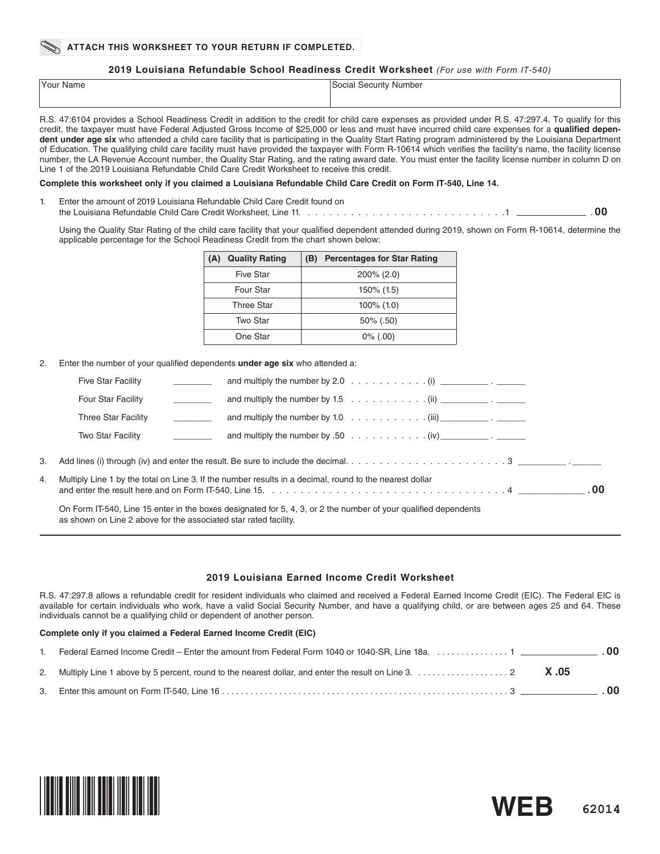**2019 Louisiana Refundable School Readiness Credit Worksheet** *(For use with Form IT-540)*

| Your Name | Social Security Number |
|-----------|------------------------|
|           |                        |
|           |                        |

R.S. 47:6104 provides a School Readiness Credit in addition to the credit for child care expenses as provided under R.S. 47:297.4. To qualify for this credit, the taxpayer must have Federal Adjusted Gross Income of \$25,000 or less and must have incurred child care expenses for a **qualifed dependent under age six** who attended a child care facility that is participating in the Quality Start Rating program administered by the Louisiana Department of Education. The qualifying child care facility must have provided the taxpayer with Form R-10614 which verifes the facility's name, the facility license number, the LA Revenue Account number, the Quality Star Rating, and the rating award date. You must enter the facility license number in column D on Line 1 of the 2019 Louisiana Refundable Child Care Credit Worksheet to receive this credit.

### **Complete this worksheet only if you claimed a Louisiana Refundable Child Care Credit on Form IT-540, Line 14.**

Enter the amount of 2019 Louisiana Refundable Child Care Credit found on the Louisiana Refundable Child Care Credit Worksheet, Line 11. . . . . . . . . . . . . . . . . . . . . . . . . . . . .1 . **00**

Using the Quality Star Rating of the child care facility that your qualifed dependent attended during 2019, shown on Form R-10614, determine the applicable percentage for the School Readiness Credit from the chart shown below:

| <b>Quality Rating</b><br>(A) | <b>Percentages for Star Rating</b><br>(B) |
|------------------------------|-------------------------------------------|
| Five Star                    | $200\% (2.0)$                             |
| Four Star                    | 150% (1.5)                                |
| <b>Three Star</b>            | $100\%$ (1.0)                             |
| Two Star                     | $50\%$ (.50)                              |
| One Star                     | $0\%$ (.00)                               |

2. Enter the number of your qualifed dependents **under age six** who attended a:

|    | <b>Five Star Facility</b>                                        | and multiply the number by 2.0 $\ldots$ $\ldots$ $\ldots$ $\ldots$ . $(i)$ $\ldots$ $\ldots$ $\ldots$           |  |
|----|------------------------------------------------------------------|-----------------------------------------------------------------------------------------------------------------|--|
|    | Four Star Facility                                               | and multiply the number by 1.5 $\ldots \ldots \ldots \ldots$ (ii) _____________.                                |  |
|    | Three Star Facility                                              |                                                                                                                 |  |
|    | Two Star Facility                                                | and multiply the number by .50 $\ldots$ $\ldots$ $\ldots$ $\ldots$ $\ldots$ (iv) ______________.                |  |
| 3. |                                                                  |                                                                                                                 |  |
| 4. |                                                                  | Multiply Line 1 by the total on Line 3. If the number results in a decimal, round to the nearest dollar         |  |
|    | as shown on Line 2 above for the associated star rated facility. | On Form IT-540, Line 15 enter in the boxes designated for 5, 4, 3, or 2 the number of your qualified dependents |  |

### **2019 Louisiana Earned Income Credit Worksheet**

R.S. 47:297.8 allows a refundable credit for resident individuals who claimed and received a Federal Earned Income Credit (EIC). The Federal EIC is available for certain individuals who work, have a valid Social Security Number, and have a qualifying child, or are between ages 25 and 64. These individuals cannot be a qualifying child or dependent of another person.

### **Complete only if you claimed a Federal Earned Income Credit (EIC)**

| Federal Earned Income Credit – Enter the amount from Federal Form 1040 or 1040-SR. Line 18a. $\ldots$ . $\ldots$ . $\ldots$ 1               |  |
|---------------------------------------------------------------------------------------------------------------------------------------------|--|
| 2. Multiply Line 1 above by 5 percent, round to the nearest dollar, and enter the result on Line 3. $\ldots$ . $\ldots$ . $\ldots$ . 2 X.05 |  |
|                                                                                                                                             |  |



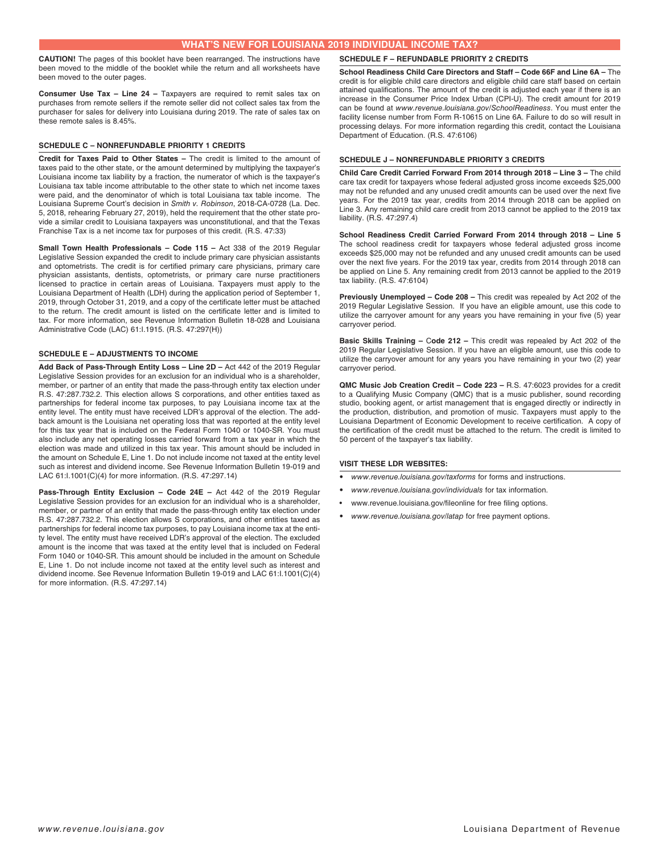### **WHAT'S NEW FOR LOUISIANA 2019 INDIVIDUAL INCOME TAX?**

**CAUTION!** The pages of this booklet have been rearranged. The instructions have been moved to the middle of the booklet while the return and all worksheets have been moved to the outer pages.

**Consumer Use Tax – Line 24 –** Taxpayers are required to remit sales tax on purchases from remote sellers if the remote seller did not collect sales tax from the purchaser for sales for delivery into Louisiana during 2019. The rate of sales tax on these remote sales is 8.45%.

### **SCHEDULE C – NONREFUNDABLE PRIORITY 1 CREDITS**

**Credit for Taxes Paid to Other States –** The credit is limited to the amount of taxes paid to the other state, or the amount determined by multiplying the taxpayer's Louisiana income tax liability by a fraction, the numerator of which is the taxpayer's Louisiana tax table income attributable to the other state to which net income taxes were paid, and the denominator of which is total Louisiana tax table income. The Louisiana Supreme Court's decision in *Smith v. Robinson*, 2018-CA-0728 (La. Dec. 5, 2018, rehearing February 27, 2019), held the requirement that the other state provide a similar credit to Louisiana taxpayers was unconstitutional, and that the Texas Franchise Tax is a net income tax for purposes of this credit. (R.S. 47:33)

**Small Town Health Professionals - Code 115 - Act 338 of the 2019 Regular** Legislative Session expanded the credit to include primary care physician assistants and optometrists. The credit is for certifed primary care physicians, primary care physician assistants, dentists, optometrists, or primary care nurse practitioners licensed to practice in certain areas of Louisiana. Taxpayers must apply to the Louisiana Department of Health (LDH) during the application period of September 1, 2019, through October 31, 2019, and a copy of the certificate letter must be attached to the return. The credit amount is listed on the certifcate letter and is limited to tax. For more information, see Revenue Information Bulletin 18-028 and Louisiana Administrative Code (LAC) 61:I.1915. (R.S. 47:297(H))

### **SCHEDULE E – ADJUSTMENTS TO INCOME**

**Add Back of Pass-Through Entity Loss – Line 2D –** Act 442 of the 2019 Regular Legislative Session provides for an exclusion for an individual who is a shareholder, member, or partner of an entity that made the pass-through entity tax election under R.S. 47:287.732.2. This election allows S corporations, and other entities taxed as partnerships for federal income tax purposes, to pay Louisiana income tax at the entity level. The entity must have received LDR's approval of the election. The addback amount is the Louisiana net operating loss that was reported at the entity level for this tax year that is included on the Federal Form 1040 or 1040-SR. You must also include any net operating losses carried forward from a tax year in which the election was made and utilized in this tax year. This amount should be included in the amount on Schedule E, Line 1. Do not include income not taxed at the entity level such as interest and dividend income. See Revenue Information Bulletin 19-019 and LAC 61:I.1001(C)(4) for more information. (R.S. 47:297.14)

**Pass-Through Entity Exclusion – Code 24E –** Act 442 of the 2019 Regular Legislative Session provides for an exclusion for an individual who is a shareholder, member, or partner of an entity that made the pass-through entity tax election under R.S. 47:287.732.2. This election allows S corporations, and other entities taxed as partnerships for federal income tax purposes, to pay Louisiana income tax at the entity level. The entity must have received LDR's approval of the election. The excluded amount is the income that was taxed at the entity level that is included on Federal Form 1040 or 1040-SR. This amount should be included in the amount on Schedule E, Line 1. Do not include income not taxed at the entity level such as interest and dividend income. See Revenue Information Bulletin 19-019 and LAC 61:I.1001(C)(4) for more information. (R.S. 47:297.14)

### **SCHEDULE F – REFUNDABLE PRIORITY 2 CREDITS**

**School Readiness Child Care Directors and Staff – Code 66F and Line 6A –** The credit is for eligible child care directors and eligible child care staff based on certain attained qualifcations. The amount of the credit is adjusted each year if there is an increase in the Consumer Price Index Urban (CPI-U). The credit amount for 2019 can be found at *www.revenue.louisiana.gov/SchoolReadiness*. You must enter the facility license number from Form R-10615 on Line 6A. Failure to do so will result in processing delays. For more information regarding this credit, contact the Louisiana Department of Education. (R.S. 47:6106)

### **SCHEDULE J – NONREFUNDABLE PRIORITY 3 CREDITS**

**Child Care Credit Carried Forward From 2014 through 2018 – Line 3 –** The child care tax credit for taxpayers whose federal adjusted gross income exceeds \$25,000 may not be refunded and any unused credit amounts can be used over the next five years. For the 2019 tax year, credits from 2014 through 2018 can be applied on Line 3. Any remaining child care credit from 2013 cannot be applied to the 2019 tax liability. (R.S. 47:297.4)

**School Readiness Credit Carried Forward From 2014 through 2018 – Line 5**  The school readiness credit for taxpayers whose federal adjusted gross income exceeds \$25,000 may not be refunded and any unused credit amounts can be used over the next five years. For the 2019 tax year, credits from 2014 through 2018 can be applied on Line 5. Any remaining credit from 2013 cannot be applied to the 2019 tax liability. (R.S. 47:6104)

**Previously Unemployed – Code 208 –** This credit was repealed by Act 202 of the 2019 Regular Legislative Session. If you have an eligible amount, use this code to utilize the carryover amount for any years you have remaining in your five (5) year carryover period.

**Basic Skills Training –** C**ode 212 –** This credit was repealed by Act 202 of the 2019 Regular Legislative Session. If you have an eligible amount, use this code to utilize the carryover amount for any years you have remaining in your two (2) year carryover period.

**QMC Music Job Creation Credit – Code 223 –** R.S. 47:6023 provides for a credit to a Qualifying Music Company (QMC) that is a music publisher, sound recording studio, booking agent, or artist management that is engaged directly or indirectly in the production, distribution, and promotion of music. Taxpayers must apply to the Louisiana Department of Economic Development to receive certification. A copy of the certifcation of the credit must be attached to the return. The credit is limited to 50 percent of the taxpayer's tax liability.

### **VISIT THESE LDR WEBSITES:**

- *• www.revenue.louisiana.gov/taxforms* for forms and instructions.
- *• www.revenue.louisiana.gov/individuals* for tax information.
- www.revenue.louisiana.gov/fileonline for free filing options.
- *• www.revenue.louisiana.gov/latap* for free payment options.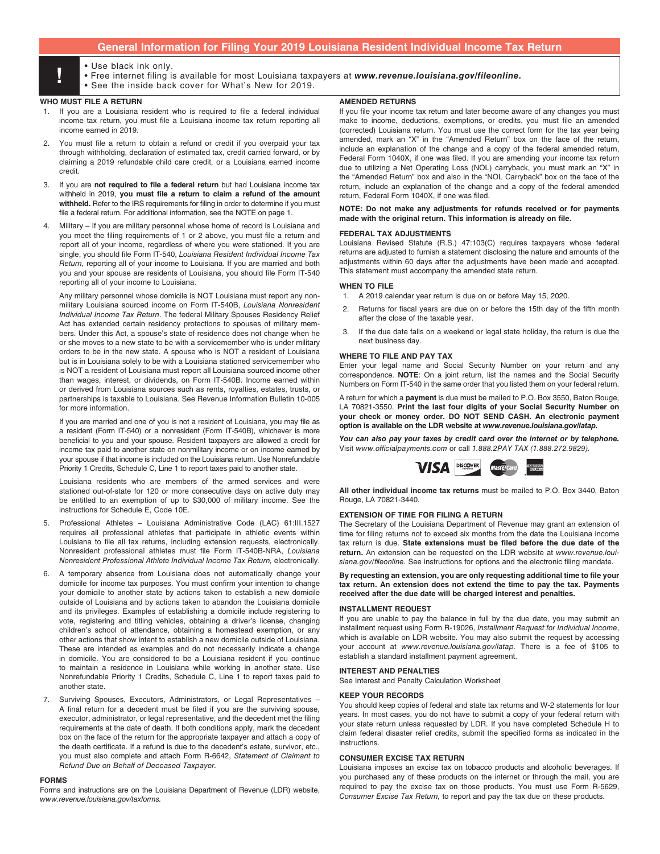## **General Information for Filing Your 2019 Louisiana Resident Individual Income Tax Return**

- 
- Use black ink only.<br>• Free internet filing is available for most Louisiana taxpayers at *www.revenue.louisiana.gov/fileonline.*<br>• See the inside back cover for What's New for 2019
	- See the inside back cover for What's New for 2019.

### **WHO MUST FILE A RETURN**

- 1. If you are a Louisiana resident who is required to fle a federal individual income tax return, you must fle a Louisiana income tax return reporting all income earned in 2019.
- 2. You must fle a return to obtain a refund or credit if you overpaid your tax through withholding, declaration of estimated tax, credit carried forward, or by claiming a 2019 refundable child care credit, or a Louisiana earned income credit.
- If you are not required to file a federal return but had Louisiana income tax withheld in 2019, **you must fle a return to claim a refund of the amount withheld.** Refer to the IRS requirements for fling in order to determine if you must file a federal return. For additional information, see the NOTE on page 1.
- 4. Military If you are military personnel whose home of record is Louisiana and you meet the filing requirements of 1 or 2 above, you must file a return and report all of your income, regardless of where you were stationed. If you are single, you should fle Form IT-540, *Louisiana Resident Individual Income Tax Return,* reporting all of your income to Louisiana. If you are married and both you and your spouse are residents of Louisiana, you should fle Form IT-540 reporting all of your income to Louisiana.

Any military personnel whose domicile is NOT Louisiana must report any nonmilitary Louisiana sourced income on Form IT-540B, *Louisiana Nonresident Individual Income Tax Return*. The federal Military Spouses Residency Relief Act has extended certain residency protections to spouses of military members. Under this Act, a spouse's state of residence does not change when he or she moves to a new state to be with a servicemember who is under military orders to be in the new state. A spouse who is NOT a resident of Louisiana but is in Louisiana solely to be with a Louisiana stationed servicemember who is NOT a resident of Louisiana must report all Louisiana sourced income other than wages, interest, or dividends, on Form IT-540B. Income earned within or derived from Louisiana sources such as rents, royalties, estates, trusts, or partnerships is taxable to Louisiana. See Revenue Information Bulletin 10-005 for more information.

If you are married and one of you is not a resident of Louisiana, you may fle as a resident (Form IT-540) or a nonresident (Form IT-540B), whichever is more beneficial to you and your spouse. Resident taxpayers are allowed a credit for income tax paid to another state on nonmilitary income or on income earned by your spouse if that income is included on the Louisiana return. Use Nonrefundable Priority 1 Credits, Schedule C, Line 1 to report taxes paid to another state.

Louisiana residents who are members of the armed services and were stationed out-of-state for 120 or more consecutive days on active duty may be entitled to an exemption of up to \$30,000 of military income. See the instructions for Schedule E, Code 10E.

- 5. Professional Athletes Louisiana Administrative Code (LAC) 61:III.1527 requires all professional athletes that participate in athletic events within Louisiana to fle all tax returns, including extension requests, electronically. Nonresident professional athletes must fle Form IT-540B-NRA, *Louisiana Nonresident Professional Athlete Individual Income Tax Return, electronically.*
- 6. A temporary absence from Louisiana does not automatically change your domicile for income tax purposes. You must confrm your intention to change your domicile to another state by actions taken to establish a new domicile outside of Louisiana and by actions taken to abandon the Louisiana domicile and its privileges. Examples of establishing a domicile include registering to vote, registering and titling vehicles, obtaining a driver's license, changing children's school of attendance, obtaining a homestead exemption, or any other actions that show intent to establish a new domicile outside of Louisiana. These are intended as examples and do not necessarily indicate a change in domicile. You are considered to be a Louisiana resident if you continue to maintain a residence in Louisiana while working in another state. Use Nonrefundable Priority 1 Credits, Schedule C, Line 1 to report taxes paid to another state.
- Surviving Spouses, Executors, Administrators, or Legal Representatives -A final return for a decedent must be filed if you are the surviving spouse, executor, administrator, or legal representative, and the decedent met the fling requirements at the date of death. If both conditions apply, mark the decedent box on the face of the return for the appropriate taxpayer and attach a copy of the death certifcate. If a refund is due to the decedent's estate, survivor, etc., you must also complete and attach Form R-6642, *Statement of Claimant to Refund Due on Behalf of Deceased Taxpayer.*

### **FORMS**

Forms and instructions are on the Louisiana Department of Revenue (LDR) website, *www.revenue.louisiana.gov/taxforms.*

### **AMENDED RETURNS**

If you file your income tax return and later become aware of any changes you must make to income, deductions, exemptions, or credits, you must fle an amended (corrected) Louisiana return. You must use the correct form for the tax year being amended, mark an "X" in the "Amended Return" box on the face of the return, include an explanation of the change and a copy of the federal amended return, Federal Form 1040X, if one was filed. If you are amending your income tax return due to utilizing a Net Operating Loss (NOL) carryback, you must mark an "X" in the "Amended Return" box and also in the "NOL Carryback" box on the face of the return, include an explanation of the change and a copy of the federal amended return, Federal Form 1040X, if one was filed.

### **NOTE: Do not make any adjustments for refunds received or for payments made with the original return. This information is already on fle.**

### **FEDERAL TAX ADJUSTMENTS**

Louisiana Revised Statute (R.S.) 47:103(C) requires taxpayers whose federal returns are adjusted to furnish a statement disclosing the nature and amounts of the adjustments within 60 days after the adjustments have been made and accepted. This statement must accompany the amended state return.

### **WHEN TO FILE**

- 1. A 2019 calendar year return is due on or before May 15, 2020.
- 2. Returns for fiscal years are due on or before the 15th day of the fifth month after the close of the taxable year.
- 3. If the due date falls on a weekend or legal state holiday, the return is due the next business day.

### **WHERE TO FILE AND PAY TAX**

Enter your legal name and Social Security Number on your return and any correspondence. **NOTE**: On a joint return, list the names and the Social Security Numbers on Form IT-540 in the same order that you listed them on your federal return.

A return for which a **payment** is due must be mailed to P.O. Box 3550, Baton Rouge, LA 70821-3550. **Print the last four digits of your Social Security Number on your check or money order. DO NOT SEND CASH. An electronic payment option is available on the LDR website at** *www.revenue.louisiana.gov/latap.*

*You can also pay your taxes by credit card over the internet or by telephone.*  Visit *www.officialpayments.com* or call *1.888.2PAY TAX (1.888.272.9829).*



**All other individual income tax returns** must be mailed to P.O. Box 3440, Baton Rouge, LA 70821-3440.

### **EXTENSION OF TIME FOR FILING A RETURN**

The Secretary of the Louisiana Department of Revenue may grant an extension of time for fling returns not to exceed six months from the date the Louisiana income tax return is due. **State extensions must be fled before the due date of the return.** An extension can be requested on the LDR website at *www.revenue.louisiana.gov/*f*leonline.* See instructions for options and the electronic fling mandate.

**By requesting an extension, you are only requesting additional time to fle your tax return. An extension does not extend the time to pay the tax. Payments received after the due date will be charged interest and penalties.** 

### **INSTALLMENT REQUEST**

If you are unable to pay the balance in full by the due date, you may submit an installment request using Form R-19026, *Installment Request for Individual Income*, which is available on LDR website. You may also submit the request by accessing your account at *www.revenue.louisiana.gov/latap.* There is a fee of \$105 to establish a standard installment payment agreement.

### **INTEREST AND PENALTIES**

See Interest and Penalty Calculation Worksheet

### **KEEP YOUR RECORDS**

You should keep copies of federal and state tax returns and W-2 statements for four years. In most cases, you do not have to submit a copy of your federal return with your state return unless requested by LDR. If you have completed Schedule H to claim federal disaster relief credits, submit the specifed forms as indicated in the instructions.

### **CONSUMER EXCISE TAX RETURN**

Louisiana imposes an excise tax on tobacco products and alcoholic beverages. If you purchased any of these products on the internet or through the mail, you are required to pay the excise tax on those products. You must use Form R-5629, *Consumer Excise Tax Return,* to report and pay the tax due on these products.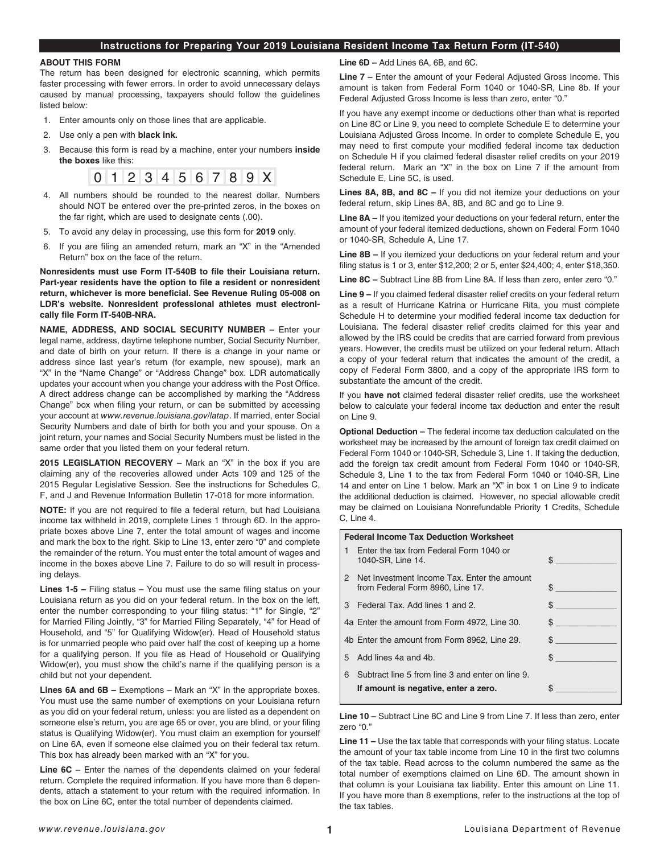## **Instructions for Preparing Your 2019 Louisiana Resident Income Tax Return Form (IT-540)**

### **ABOUT THIS FORM**

The return has been designed for electronic scanning, which permits faster processing with fewer errors. In order to avoid unnecessary delays caused by manual processing, taxpayers should follow the guidelines listed below:

- 1. Enter amounts only on those lines that are applicable.
- 2. Use only a pen with **black ink.**
- 3. Because this form is read by a machine, enter your numbers **inside the boxes** like this:



- 4. All numbers should be rounded to the nearest dollar. Numbers should NOT be entered over the pre-printed zeros, in the boxes on the far right, which are used to designate cents (.00).
- 5. To avoid any delay in processing, use this form for **2019** only.
- 6. If you are fling an amended return, mark an "X" in the "Amended Return" box on the face of the return.

**Nonresidents must use Form IT-540B to fle their Louisiana return. Part-year residents have the option to fle a resident or nonresident return, whichever is more benefcial. See Revenue Ruling 05-008 on LDR's website. Nonresident professional athletes must electronically fle Form IT-540B-NRA.**

**NAME, ADDRESS, AND SOCIAL SECURITY NUMBER –** Enter your legal name, address, daytime telephone number, Social Security Number, and date of birth on your return. If there is a change in your name or address since last year's return (for example, new spouse), mark an "X" in the "Name Change" or "Address Change" box. LDR automatically updates your account when you change your address with the Post Office. A direct address change can be accomplished by marking the "Address Change" box when filing your return, or can be submitted by accessing your account at *www.revenue.louisiana.gov/latap*. If married, enter Social Security Numbers and date of birth for both you and your spouse. On a joint return, your names and Social Security Numbers must be listed in the same order that you listed them on your federal return.

**2015 LEGISLATION RECOVERY –** Mark an "X" in the box if you are claiming any of the recoveries allowed under Acts 109 and 125 of the 2015 Regular Legislative Session. See the instructions for Schedules C, F, and J and Revenue Information Bulletin 17-018 for more information.

**NOTE:** If you are not required to fle a federal return, but had Louisiana income tax withheld in 2019, complete Lines 1 through 6D. In the appropriate boxes above Line 7, enter the total amount of wages and income and mark the box to the right. Skip to Line 13, enter zero "0" and complete the remainder of the return. You must enter the total amount of wages and income in the boxes above Line 7. Failure to do so will result in processing delays.

**Lines 1-5 –** Filing status – You must use the same fling status on your Louisiana return as you did on your federal return. In the box on the left, enter the number corresponding to your filing status: "1" for Single, "2" for Married Filing Jointly, "3" for Married Filing Separately, "4" for Head of Household, and "5" for Qualifying Widow(er). Head of Household status is for unmarried people who paid over half the cost of keeping up a home for a qualifying person. If you file as Head of Household or Qualifying Widow(er), you must show the child's name if the qualifying person is a child but not your dependent.

**Lines 6A and 6B –** Exemptions – Mark an "X" in the appropriate boxes. You must use the same number of exemptions on your Louisiana return as you did on your federal return, unless: you are listed as a dependent on someone else's return, you are age 65 or over, you are blind, or your fling status is Qualifying Widow(er). You must claim an exemption for yourself on Line 6A, even if someone else claimed you on their federal tax return. This box has already been marked with an "X" for you.

**Line 6C –** Enter the names of the dependents claimed on your federal return. Complete the required information. If you have more than 6 dependents, attach a statement to your return with the required information. In the box on Line 6C, enter the total number of dependents claimed.

**Line 6D –** Add Lines 6A, 6B, and 6C.

**Line 7 –** Enter the amount of your Federal Adjusted Gross Income. This amount is taken from Federal Form 1040 or 1040-SR, Line 8b. If your Federal Adjusted Gross Income is less than zero, enter "0."

If you have any exempt income or deductions other than what is reported on Line 8C or Line 9, you need to complete Schedule E to determine your Louisiana Adjusted Gross Income. In order to complete Schedule E, you may need to first compute your modified federal income tax deduction on Schedule H if you claimed federal disaster relief credits on your 2019 federal return. Mark an "X" in the box on Line 7 if the amount from Schedule E, Line 5C, is used.

**Lines 8A, 8B, and 8C –** If you did not itemize your deductions on your federal return, skip Lines 8A, 8B, and 8C and go to Line 9.

**Line 8A –** If you itemized your deductions on your federal return, enter the amount of your federal itemized deductions, shown on Federal Form 1040 or 1040-SR, Schedule A, Line 17.

**Line 8B –** If you itemized your deductions on your federal return and your filing status is 1 or 3, enter \$12,200; 2 or 5, enter \$24,400; 4, enter \$18,350.

**Line 8C –** Subtract Line 8B from Line 8A. If less than zero, enter zero "0."

**Line 9 –** If you claimed federal disaster relief credits on your federal return as a result of Hurricane Katrina or Hurricane Rita, you must complete Schedule H to determine your modifed federal income tax deduction for Louisiana. The federal disaster relief credits claimed for this year and allowed by the IRS could be credits that are carried forward from previous years. However, the credits must be utilized on your federal return. Attach a copy of your federal return that indicates the amount of the credit, a copy of Federal Form 3800, and a copy of the appropriate IRS form to substantiate the amount of the credit.

If you **have not** claimed federal disaster relief credits, use the worksheet below to calculate your federal income tax deduction and enter the result on Line 9.

**Optional Deduction –** The federal income tax deduction calculated on the worksheet may be increased by the amount of foreign tax credit claimed on Federal Form 1040 or 1040-SR, Schedule 3, Line 1. If taking the deduction, add the foreign tax credit amount from Federal Form 1040 or 1040-SR, Schedule 3, Line 1 to the tax from Federal Form 1040 or 1040-SR, Line 14 and enter on Line 1 below. Mark an "X" in box 1 on Line 9 to indicate the additional deduction is claimed. However, no special allowable credit may be claimed on Louisiana Nonrefundable Priority 1 Credits, Schedule C, Line 4.

|   | <b>Federal Income Tax Deduction Worksheet</b>                                            |                               |
|---|------------------------------------------------------------------------------------------|-------------------------------|
|   | Enter the tax from Federal Form 1040 or<br>1040-SR, Line 14.                             | \$                            |
| 2 | Net Investment Income Tax. Enter the amount<br>from Federal Form 8960, Line 17.          | \$                            |
| 3 | Federal Tax, Add lines 1 and 2.                                                          | \$                            |
|   | 4a Enter the amount from Form 4972, Line 30.                                             | $s \sim$                      |
|   | 4b Enter the amount from Form 8962, Line 29.                                             | $\mathbb{S}$ and $\mathbb{S}$ |
| 5 | Add lines 4a and 4b.                                                                     | \$                            |
| 6 | Subtract line 5 from line 3 and enter on line 9.<br>If amount is negative, enter a zero. |                               |

**Line 10** – Subtract Line 8C and Line 9 from Line 7. If less than zero, enter zero "0."

**Line 11 –** Use the tax table that corresponds with your fling status. Locate the amount of your tax table income from Line 10 in the first two columns of the tax table. Read across to the column numbered the same as the total number of exemptions claimed on Line 6D. The amount shown in that column is your Louisiana tax liability. Enter this amount on Line 11. If you have more than 8 exemptions, refer to the instructions at the top of the tax tables.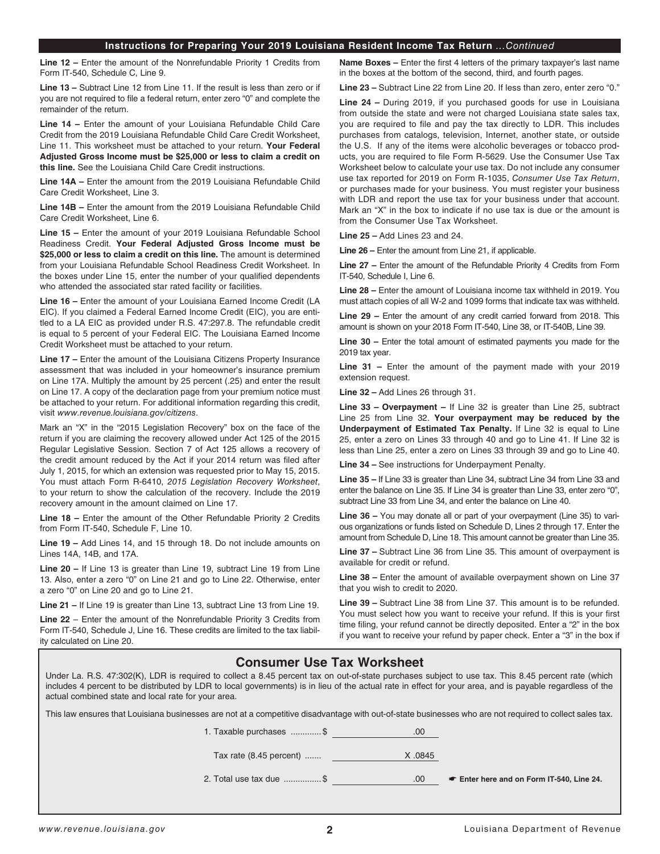### **Instructions for Preparing Your 2019 Louisiana Resident Income Tax Return** *...Continued*

**Line 12 –** Enter the amount of the Nonrefundable Priority 1 Credits from Form IT-540, Schedule C, Line 9.

**Line 13 –** Subtract Line 12 from Line 11. If the result is less than zero or if you are not required to fle a federal return, enter zero "0" and complete the remainder of the return.

**Line 14 –** Enter the amount of your Louisiana Refundable Child Care Credit from the 2019 Louisiana Refundable Child Care Credit Worksheet, Line 11. This worksheet must be attached to your return. **Your Federal Adjusted Gross Income must be \$25,000 or less to claim a credit on this line.** See the Louisiana Child Care Credit instructions.

**Line 14A –** Enter the amount from the 2019 Louisiana Refundable Child Care Credit Worksheet, Line 3.

**Line 14B –** Enter the amount from the 2019 Louisiana Refundable Child Care Credit Worksheet, Line 6.

**Line 15 –** Enter the amount of your 2019 Louisiana Refundable School Readiness Credit. **Your Federal Adjusted Gross Income must be \$25,000 or less to claim a credit on this line.** The amount is determined from your Louisiana Refundable School Readiness Credit Worksheet. In the boxes under Line 15, enter the number of your qualifed dependents who attended the associated star rated facility or facilities.

**Line 16 –** Enter the amount of your Louisiana Earned Income Credit (LA EIC). If you claimed a Federal Earned Income Credit (EIC), you are entitled to a LA EIC as provided under R.S. 47:297.8. The refundable credit is equal to 5 percent of your Federal EIC. The Louisiana Earned Income Credit Worksheet must be attached to your return.

**Line 17 –** Enter the amount of the Louisiana Citizens Property Insurance assessment that was included in your homeowner's insurance premium on Line 17A. Multiply the amount by 25 percent (.25) and enter the result on Line 17. A copy of the declaration page from your premium notice must be attached to your return. For additional information regarding this credit, visit *www.revenue.louisiana.gov/citizens*.

Mark an "X" in the "2015 Legislation Recovery" box on the face of the return if you are claiming the recovery allowed under Act 125 of the 2015 Regular Legislative Session. Section 7 of Act 125 allows a recovery of the credit amount reduced by the Act if your 2014 return was fled after July 1, 2015, for which an extension was requested prior to May 15, 2015. You must attach Form R-6410, *2015 Legislation Recovery Worksheet*, to your return to show the calculation of the recovery. Include the 2019 recovery amount in the amount claimed on Line 17.

**Line 18 –** Enter the amount of the Other Refundable Priority 2 Credits from Form IT-540, Schedule F, Line 10.

**Line 19 –** Add Lines 14, and 15 through 18. Do not include amounts on Lines 14A, 14B, and 17A.

**Line 20 –** If Line 13 is greater than Line 19, subtract Line 19 from Line 13. Also, enter a zero "0" on Line 21 and go to Line 22. Otherwise, enter a zero "0" on Line 20 and go to Line 21.

**Line 21 –** If Line 19 is greater than Line 13, subtract Line 13 from Line 19.

**Line 22** – Enter the amount of the Nonrefundable Priority 3 Credits from Form IT-540, Schedule J, Line 16. These credits are limited to the tax liability calculated on Line 20.

**Name Boxes –** Enter the first 4 letters of the primary taxpayer's last name in the boxes at the bottom of the second, third, and fourth pages.

**Line 23 –** Subtract Line 22 from Line 20. If less than zero, enter zero "0."

**Line 24 –** During 2019, if you purchased goods for use in Louisiana from outside the state and were not charged Louisiana state sales tax, you are required to fle and pay the tax directly to LDR. This includes purchases from catalogs, television, Internet, another state, or outside the U.S. If any of the items were alcoholic beverages or tobacco products, you are required to fle Form R-5629. Use the Consumer Use Tax Worksheet below to calculate your use tax. Do not include any consumer use tax reported for 2019 on Form R-1035, *Consumer Use Tax Return*, or purchases made for your business. You must register your business with LDR and report the use tax for your business under that account. Mark an "X" in the box to indicate if no use tax is due or the amount is from the Consumer Use Tax Worksheet.

**Line 25 –** Add Lines 23 and 24.

**Line 26 –** Enter the amount from Line 21, if applicable.

**Line 27 –** Enter the amount of the Refundable Priority 4 Credits from Form IT-540, Schedule I, Line 6.

**Line 28 –** Enter the amount of Louisiana income tax withheld in 2019. You must attach copies of all W-2 and 1099 forms that indicate tax was withheld.

**Line 29 –** Enter the amount of any credit carried forward from 2018. This amount is shown on your 2018 Form IT-540, Line 38, or IT-540B, Line 39.

**Line 30 –** Enter the total amount of estimated payments you made for the 2019 tax year.

**Line 31 –** Enter the amount of the payment made with your 2019 extension request.

**Line 32 –** Add Lines 26 through 31.

**Line 33 – Overpayment –** If Line 32 is greater than Line 25, subtract Line 25 from Line 32. **Your overpayment may be reduced by the Underpayment of Estimated Tax Penalty.** If Line 32 is equal to Line 25, enter a zero on Lines 33 through 40 and go to Line 41. If Line 32 is less than Line 25, enter a zero on Lines 33 through 39 and go to Line 40.

**Line 34 –** See instructions for Underpayment Penalty.

**Line 35 –** If Line 33 is greater than Line 34, subtract Line 34 from Line 33 and enter the balance on Line 35. If Line 34 is greater than Line 33, enter zero "0", subtract Line 33 from Line 34, and enter the balance on Line 40.

**Line 36 –** You may donate all or part of your overpayment (Line 35) to various organizations or funds listed on Schedule D, Lines 2 through 17. Enter the amount from Schedule D, Line 18. This amount cannot be greater than Line 35.

**Line 37 –** Subtract Line 36 from Line 35. This amount of overpayment is available for credit or refund.

**Line 38 –** Enter the amount of available overpayment shown on Line 37 that you wish to credit to 2020.

**Line 39 –** Subtract Line 38 from Line 37. This amount is to be refunded. You must select how you want to receive your refund. If this is your first time fling, your refund cannot be directly deposited. Enter a "2" in the box if you want to receive your refund by paper check. Enter a "3" in the box if

# **Consumer Use Tax Worksheet**

Under La. R.S. 47:302(K), LDR is required to collect a 8.45 percent tax on out-of-state purchases subject to use tax. This 8.45 percent rate (which includes 4 percent to be distributed by LDR to local governments) is in lieu of the actual rate in effect for your area, and is payable regardless of the actual combined state and local rate for your area.

This law ensures that Louisiana businesses are not at a competitive disadvantage with out-of-state businesses who are not required to collect sales tax.

| 1. Taxable purchases \$      |        |                        |
|------------------------------|--------|------------------------|
| Tax rate $(8.45$ percent $)$ | X.0845 |                        |
| 2. Total use tax due \$      | OC.    | $\bullet$ Enter here a |

nd on Form IT-540, Line 24.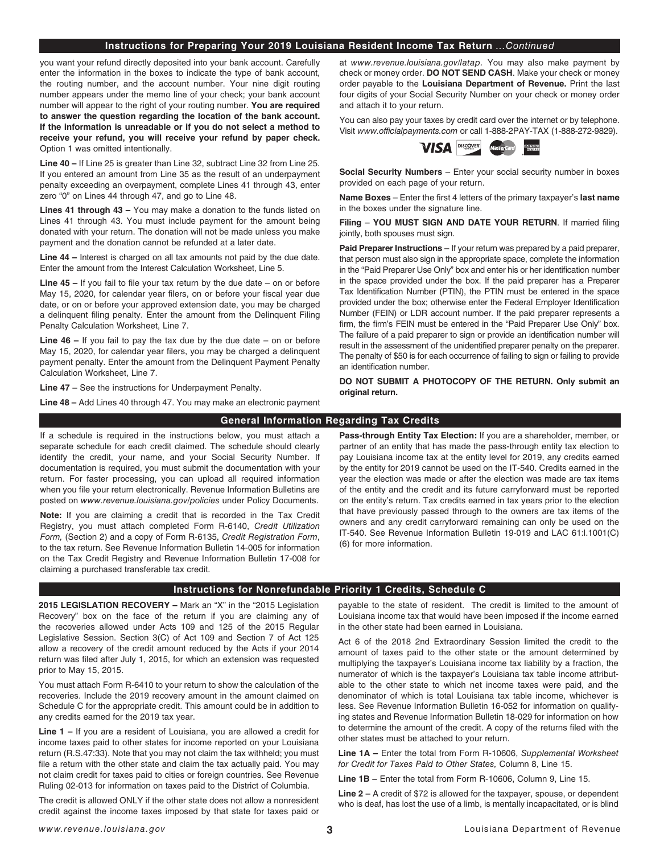### **Instructions for Preparing Your 2019 Louisiana Resident Income Tax Return** *...Continued*

you want your refund directly deposited into your bank account. Carefully enter the information in the boxes to indicate the type of bank account, the routing number, and the account number. Your nine digit routing number appears under the memo line of your check; your bank account number will appear to the right of your routing number. **You are required to answer the question regarding the location of the bank account. If the information is unreadable or if you do not select a method to receive your refund, you will receive your refund by paper check.** Option 1 was omitted intentionally.

**Line 40 –** If Line 25 is greater than Line 32, subtract Line 32 from Line 25. If you entered an amount from Line 35 as the result of an underpayment penalty exceeding an overpayment, complete Lines 41 through 43, enter zero "0" on Lines 44 through 47, and go to Line 48.

**Lines 41 through 43 –** You may make a donation to the funds listed on Lines 41 through 43. You must include payment for the amount being donated with your return. The donation will not be made unless you make payment and the donation cannot be refunded at a later date.

**Line 44 –** Interest is charged on all tax amounts not paid by the due date. Enter the amount from the Interest Calculation Worksheet, Line 5.

Line 45 - If you fail to file your tax return by the due date - on or before May 15, 2020, for calendar year filers, on or before your fiscal year due date, or on or before your approved extension date, you may be charged a delinquent fling penalty. Enter the amount from the Delinquent Filing Penalty Calculation Worksheet, Line 7.

**Line 46 –** If you fail to pay the tax due by the due date – on or before May 15, 2020, for calendar year flers, you may be charged a delinquent payment penalty. Enter the amount from the Delinquent Payment Penalty Calculation Worksheet, Line 7.

**Line 47 –** See the instructions for Underpayment Penalty.

**Line 48 –** Add Lines 40 through 47. You may make an electronic payment

at *www.revenue.louisiana.gov/latap.* You may also make payment by check or money order. **DO NOT SEND CASH**. Make your check or money order payable to the **Louisiana Department of Revenue.** Print the last four digits of your Social Security Number on your check or money order and attach it to your return.

You can also pay your taxes by credit card over the internet or by telephone. Visit *www.officialpayments.com* or call 1-888-2PAY-TAX (1-888-272-9829).



**Social Security Numbers** – Enter your social security number in boxes provided on each page of your return.

**Name Boxes** – Enter the frst 4 letters of the primary taxpayer's **last name** in the boxes under the signature line.

**Filing** – **YOU MUST SIGN AND DATE YOUR RETURN**. If married fling jointly, both spouses must sign.

**Paid Preparer Instructions** – If your return was prepared by a paid preparer, that person must also sign in the appropriate space, complete the information in the "Paid Preparer Use Only" box and enter his or her identification number in the space provided under the box. If the paid preparer has a Preparer Tax Identifcation Number (PTIN), the PTIN must be entered in the space provided under the box; otherwise enter the Federal Employer Identification Number (FEIN) or LDR account number. If the paid preparer represents a firm, the firm's FEIN must be entered in the "Paid Preparer Use Only" box. The failure of a paid preparer to sign or provide an identifcation number will result in the assessment of the unidentifed preparer penalty on the preparer. The penalty of \$50 is for each occurrence of failing to sign or failing to provide an identification number.

**DO NOT SUBMIT A PHOTOCOPY OF THE RETURN. Only submit an original return.**

## **General Information Regarding Tax Credits**

If a schedule is required in the instructions below, you must attach a separate schedule for each credit claimed. The schedule should clearly identify the credit, your name, and your Social Security Number. If documentation is required, you must submit the documentation with your return. For faster processing, you can upload all required information when you file your return electronically. Revenue Information Bulletins are posted on *www.revenue.louisiana.gov/policies* under Policy Documents.

**Note:** If you are claiming a credit that is recorded in the Tax Credit Registry, you must attach completed Form R-6140, *Credit Utilization Form,* (Section 2) and a copy of Form R-6135, *Credit Registration Form*, to the tax return. See Revenue Information Bulletin 14-005 for information on the Tax Credit Registry and Revenue Information Bulletin 17-008 for claiming a purchased transferable tax credit.

**Pass-through Entity Tax Election:** If you are a shareholder, member, or partner of an entity that has made the pass-through entity tax election to pay Louisiana income tax at the entity level for 2019, any credits earned by the entity for 2019 cannot be used on the IT-540. Credits earned in the year the election was made or after the election was made are tax items of the entity and the credit and its future carryforward must be reported on the entity's return. Tax credits earned in tax years prior to the election that have previously passed through to the owners are tax items of the owners and any credit carryforward remaining can only be used on the IT-540. See Revenue Information Bulletin 19-019 and LAC 61:l.1001(C) (6) for more information.

### **Instructions for Nonrefundable Priority 1 Credits, Schedule C**

**2015 LEGISLATION RECOVERY –** Mark an "X" in the "2015 Legislation Recovery" box on the face of the return if you are claiming any of the recoveries allowed under Acts 109 and 125 of the 2015 Regular Legislative Session. Section 3(C) of Act 109 and Section 7 of Act 125 allow a recovery of the credit amount reduced by the Acts if your 2014 return was filed after July 1, 2015, for which an extension was requested prior to May 15, 2015.

You must attach Form R-6410 to your return to show the calculation of the recoveries. Include the 2019 recovery amount in the amount claimed on Schedule C for the appropriate credit. This amount could be in addition to any credits earned for the 2019 tax year.

**Line 1 –** If you are a resident of Louisiana, you are allowed a credit for income taxes paid to other states for income reported on your Louisiana return (R.S.47:33). Note that you may not claim the tax withheld; you must file a return with the other state and claim the tax actually paid. You may not claim credit for taxes paid to cities or foreign countries. See Revenue Ruling 02-013 for information on taxes paid to the District of Columbia.

The credit is allowed ONLY if the other state does not allow a nonresident credit against the income taxes imposed by that state for taxes paid or payable to the state of resident. The credit is limited to the amount of Louisiana income tax that would have been imposed if the income earned in the other state had been earned in Louisiana.

Act 6 of the 2018 2nd Extraordinary Session limited the credit to the amount of taxes paid to the other state or the amount determined by multiplying the taxpayer's Louisiana income tax liability by a fraction, the numerator of which is the taxpayer's Louisiana tax table income attributable to the other state to which net income taxes were paid, and the denominator of which is total Louisiana tax table income, whichever is less. See Revenue Information Bulletin 16-052 for information on qualifying states and Revenue Information Bulletin 18-029 for information on how to determine the amount of the credit. A copy of the returns fled with the other states must be attached to your return.

**Line 1A –** Enter the total from Form R-10606, *Supplemental Worksheet for Credit for Taxes Paid to Other States,* Column 8, Line 15.

**Line 1B –** Enter the total from Form R-10606, Column 9, Line 15.

**Line 2 –** A credit of \$72 is allowed for the taxpayer, spouse, or dependent who is deaf, has lost the use of a limb, is mentally incapacitated, or is blind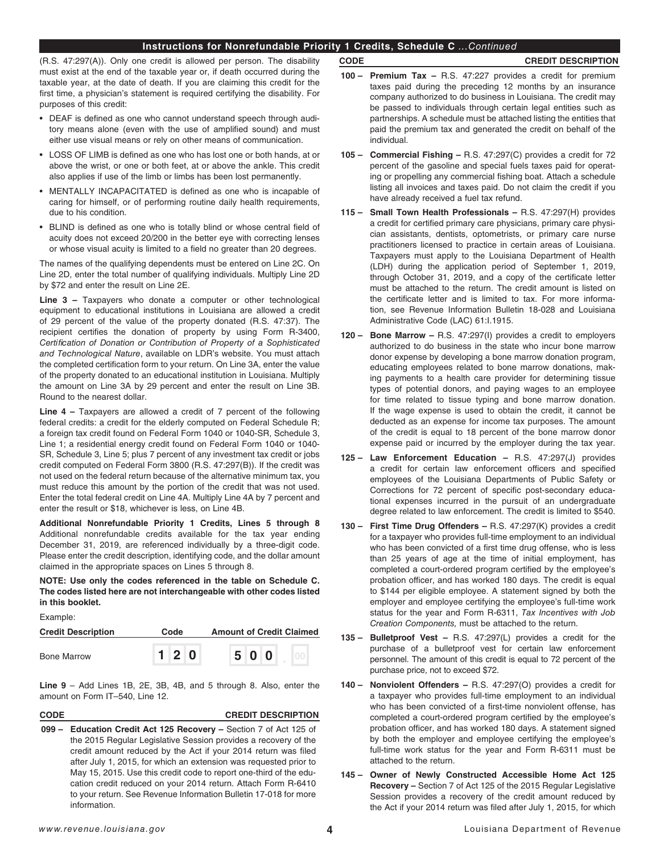## **Instructions for Nonrefundable Priority 1 Credits, Schedule C** *...Continued*

(R.S. 47:297(A)). Only one credit is allowed per person. The disability must exist at the end of the taxable year or, if death occurred during the taxable year, at the date of death. If you are claiming this credit for the frst time, a physician's statement is required certifying the disability. For purposes of this credit:

- DEAF is defned as one who cannot understand speech through auditory means alone (even with the use of amplifed sound) and must either use visual means or rely on other means of communication.
- LOSS OF LIMB is defned as one who has lost one or both hands, at or above the wrist, or one or both feet, at or above the ankle. This credit also applies if use of the limb or limbs has been lost permanently.
- MENTALLY INCAPACITATED is defned as one who is incapable of caring for himself, or of performing routine daily health requirements, due to his condition.
- BLIND is defned as one who is totally blind or whose central feld of acuity does not exceed 20/200 in the better eye with correcting lenses or whose visual acuity is limited to a field no greater than 20 degrees.

The names of the qualifying dependents must be entered on Line 2C. On Line 2D, enter the total number of qualifying individuals. Multiply Line 2D by \$72 and enter the result on Line 2E.

**Line 3 –** Taxpayers who donate a computer or other technological equipment to educational institutions in Louisiana are allowed a credit of 29 percent of the value of the property donated (R.S. 47:37). The recipient certifes the donation of property by using Form R-3400, *Certi*f*cation of Donation or Contribution of Property of a Sophisticated and Technological Nature*, available on LDR's website. You must attach the completed certification form to your return. On Line 3A, enter the value of the property donated to an educational institution in Louisiana. Multiply the amount on Line 3A by 29 percent and enter the result on Line 3B. Round to the nearest dollar.

**Line 4 –** Taxpayers are allowed a credit of 7 percent of the following federal credits: a credit for the elderly computed on Federal Schedule R; a foreign tax credit found on Federal Form 1040 or 1040-SR, Schedule 3, Line 1; a residential energy credit found on Federal Form 1040 or 1040- SR, Schedule 3, Line 5; plus 7 percent of any investment tax credit or jobs credit computed on Federal Form 3800 (R.S. 47:297(B)). If the credit was not used on the federal return because of the alternative minimum tax, you must reduce this amount by the portion of the credit that was not used. Enter the total federal credit on Line 4A. Multiply Line 4A by 7 percent and enter the result or \$18, whichever is less, on Line 4B.

**Additional Nonrefundable Priority 1 Credits, Lines 5 through 8**  Additional nonrefundable credits available for the tax year ending December 31, 2019, are referenced individually by a three-digit code. Please enter the credit description, identifying code, and the dollar amount claimed in the appropriate spaces on Lines 5 through 8.

**NOTE: Use only the codes referenced in the table on Schedule C. The codes listed here are not interchangeable with other codes listed in this booklet.** 

Example:

| <b>Credit Description</b> | Code |     | <b>Amount of Credit Claimed</b> |  |     |  |  |
|---------------------------|------|-----|---------------------------------|--|-----|--|--|
| <b>Bone Marrow</b>        |      | 120 |                                 |  | 500 |  |  |

**Line 9** – Add Lines 1B, 2E, 3B, 4B, and 5 through 8. Also, enter the amount on Form IT–540, Line 12.

### **CODE CREDIT DESCRIPTION**

**099 – Education Credit Act 125 Recovery –** Section 7 of Act 125 of the 2015 Regular Legislative Session provides a recovery of the credit amount reduced by the Act if your 2014 return was fled after July 1, 2015, for which an extension was requested prior to May 15, 2015. Use this credit code to report one-third of the education credit reduced on your 2014 return. Attach Form R-6410 to your return. See Revenue Information Bulletin 17-018 for more information.

## **CODE CREDIT DESCRIPTION**

- **100 Premium Tax** R.S. 47:227 provides a credit for premium taxes paid during the preceding 12 months by an insurance company authorized to do business in Louisiana. The credit may be passed to individuals through certain legal entities such as partnerships. A schedule must be attached listing the entities that paid the premium tax and generated the credit on behalf of the individual.
- **105 Commercial Fishing** R.S. 47:297(C) provides a credit for 72 percent of the gasoline and special fuels taxes paid for operating or propelling any commercial fishing boat. Attach a schedule listing all invoices and taxes paid. Do not claim the credit if you have already received a fuel tax refund.
- **115 Small Town Health Professionals** R.S. 47:297(H) provides a credit for certifed primary care physicians, primary care physician assistants, dentists, optometrists, or primary care nurse practitioners licensed to practice in certain areas of Louisiana. Taxpayers must apply to the Louisiana Department of Health (LDH) during the application period of September 1, 2019, through October 31, 2019, and a copy of the certifcate letter must be attached to the return. The credit amount is listed on the certificate letter and is limited to tax. For more information, see Revenue Information Bulletin 18-028 and Louisiana Administrative Code (LAC) 61:I.1915.
- **120 Bone Marrow** R.S. 47:297(I) provides a credit to employers authorized to do business in the state who incur bone marrow donor expense by developing a bone marrow donation program, educating employees related to bone marrow donations, making payments to a health care provider for determining tissue types of potential donors, and paying wages to an employee for time related to tissue typing and bone marrow donation. If the wage expense is used to obtain the credit, it cannot be deducted as an expense for income tax purposes. The amount of the credit is equal to 18 percent of the bone marrow donor expense paid or incurred by the employer during the tax year.
- **125 Law Enforcement Education** R.S. 47:297(J) provides a credit for certain law enforcement officers and specifed employees of the Louisiana Departments of Public Safety or Corrections for 72 percent of specific post-secondary educational expenses incurred in the pursuit of an undergraduate degree related to law enforcement. The credit is limited to \$540.
- **130 – First Time Drug Offenders** R.S. 47:297(K) provides a credit for a taxpayer who provides full-time employment to an individual who has been convicted of a first time drug offense, who is less than 25 years of age at the time of initial employment, has completed a court-ordered program certifed by the employee's probation officer, and has worked 180 days. The credit is equal to \$144 per eligible employee. A statement signed by both the employer and employee certifying the employee's full-time work status for the year and Form R-6311, *Tax Incentives with Job Creation Components,* must be attached to the return.
- **135 – Bulletproof Vest** R.S. 47:297(L) provides a credit for the purchase of a bulletproof vest for certain law enforcement personnel. The amount of this credit is equal to 72 percent of the purchase price, not to exceed \$72.
- **140 – Nonviolent Offenders** R.S. 47:297(O) provides a credit for a taxpayer who provides full-time employment to an individual who has been convicted of a first-time nonviolent offense, has completed a court-ordered program certifed by the employee's probation officer, and has worked 180 days. A statement signed by both the employer and employee certifying the employee's full-time work status for the year and Form R-6311 must be attached to the return.
- **145 – Owner of Newly Constructed Accessible Home Act 125 Recovery –** Section 7 of Act 125 of the 2015 Regular Legislative Session provides a recovery of the credit amount reduced by the Act if your 2014 return was filed after July 1, 2015, for which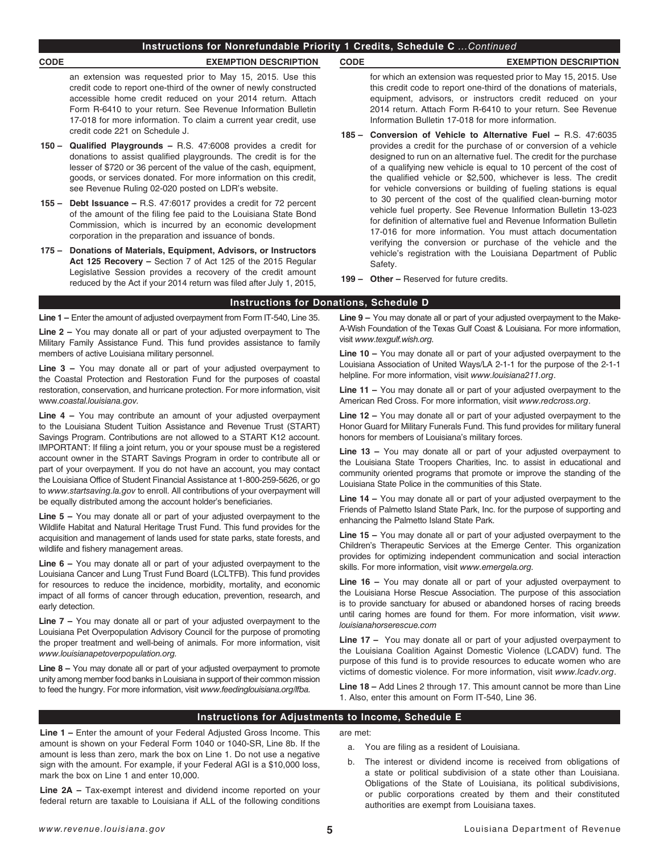## **Instructions for Nonrefundable Priority 1 Credits, Schedule C** *...Continued*

## **CODE EXEMPTION DESCRIPTION CODE EXEMPTION DESCRIPTION**

an extension was requested prior to May 15, 2015. Use this credit code to report one-third of the owner of newly constructed accessible home credit reduced on your 2014 return. Attach Form R-6410 to your return. See Revenue Information Bulletin 17-018 for more information. To claim a current year credit, use credit code 221 on Schedule J.

- **150 – Qualifed Playgrounds** R.S. 47:6008 provides a credit for donations to assist qualifed playgrounds. The credit is for the lesser of \$720 or 36 percent of the value of the cash, equipment, goods, or services donated. For more information on this credit, see Revenue Ruling 02-020 posted on LDR's website.
- **155 Debt Issuance** R.S. 47:6017 provides a credit for 72 percent of the amount of the fling fee paid to the Louisiana State Bond Commission, which is incurred by an economic development corporation in the preparation and issuance of bonds.
- **175 – Donations of Materials, Equipment, Advisors, or Instructors Act 125 Recovery –** Section 7 of Act 125 of the 2015 Regular Legislative Session provides a recovery of the credit amount reduced by the Act if your 2014 return was fled after July 1, 2015,

for which an extension was requested prior to May 15, 2015. Use this credit code to report one-third of the donations of materials, equipment, advisors, or instructors credit reduced on your 2014 return. Attach Form R-6410 to your return. See Revenue Information Bulletin 17-018 for more information.

- **185 Conversion of Vehicle to Alternative Fuel** R.S. 47:6035 provides a credit for the purchase of or conversion of a vehicle designed to run on an alternative fuel. The credit for the purchase of a qualifying new vehicle is equal to 10 percent of the cost of the qualifed vehicle or \$2,500, whichever is less. The credit for vehicle conversions or building of fueling stations is equal to 30 percent of the cost of the qualifed clean-burning motor vehicle fuel property. See Revenue Information Bulletin 13-023 for definition of alternative fuel and Revenue Information Bulletin 17-016 for more information. You must attach documentation verifying the conversion or purchase of the vehicle and the vehicle's registration with the Louisiana Department of Public Safety.
- **199 Other –** Reserved for future credits.

## **Instructions for Donations, Schedule D**

**Line 1 –** Enter the amount of adjusted overpayment from Form IT-540, Line 35.

**Line 2 –** You may donate all or part of your adjusted overpayment to The Military Family Assistance Fund. This fund provides assistance to family members of active Louisiana military personnel.

**Line 3 –** You may donate all or part of your adjusted overpayment to the Coastal Protection and Restoration Fund for the purposes of coastal restoration, conservation, and hurricane protection. For more information, visit www.*coastal.louisiana.gov.*

**Line 4 –** You may contribute an amount of your adjusted overpayment to the Louisiana Student Tuition Assistance and Revenue Trust (START) Savings Program. Contributions are not allowed to a START K12 account. IMPORTANT: If fling a joint return, you or your spouse must be a registered account owner in the START Savings Program in order to contribute all or part of your overpayment. If you do not have an account, you may contact the Louisiana Office of Student Financial Assistance at 1-800-259-5626, or go to *www.startsaving.la.gov* to enroll. All contributions of your overpayment will be equally distributed among the account holder's beneficiaries.

**Line 5 –** You may donate all or part of your adjusted overpayment to the Wildlife Habitat and Natural Heritage Trust Fund. This fund provides for the acquisition and management of lands used for state parks, state forests, and wildlife and fishery management areas.

**Line 6 –** You may donate all or part of your adjusted overpayment to the Louisiana Cancer and Lung Trust Fund Board (LCLTFB). This fund provides for resources to reduce the incidence, morbidity, mortality, and economic impact of all forms of cancer through education, prevention, research, and early detection.

**Line 7 –** You may donate all or part of your adjusted overpayment to the Louisiana Pet Overpopulation Advisory Council for the purpose of promoting the proper treatment and well-being of animals. For more information, visit *www.louisianapetoverpopulation.org.*

**Line 8 –** You may donate all or part of your adjusted overpayment to promote unity among member food banks in Louisiana in support of their common mission to feed the hungry. For more information, visit *www.feedinglouisiana.org/lfba.*

**Line 9 –** You may donate all or part of your adjusted overpayment to the Make-A-Wish Foundation of the Texas Gulf Coast & Louisiana. For more information, visit *www.texgulf.wish.org.*

**Line 10 –** You may donate all or part of your adjusted overpayment to the Louisiana Association of United Ways/LA 2-1-1 for the purpose of the 2-1-1 helpline. For more information, visit *www.louisiana211.org*.

**Line 11 –** You may donate all or part of your adjusted overpayment to the American Red Cross. For more information, visit *www.redcross.org*.

**Line 12 –** You may donate all or part of your adjusted overpayment to the Honor Guard for Military Funerals Fund. This fund provides for military funeral honors for members of Louisiana's military forces.

**Line 13 –** You may donate all or part of your adjusted overpayment to the Louisiana State Troopers Charities, Inc. to assist in educational and community oriented programs that promote or improve the standing of the Louisiana State Police in the communities of this State.

**Line 14 –** You may donate all or part of your adjusted overpayment to the Friends of Palmetto Island State Park, Inc. for the purpose of supporting and enhancing the Palmetto Island State Park.

**Line 15 –** You may donate all or part of your adjusted overpayment to the Children's Therapeutic Services at the Emerge Center. This organization provides for optimizing independent communication and social interaction skills. For more information, visit *www.emergela.org.*

**Line 16 –** You may donate all or part of your adjusted overpayment to the Louisiana Horse Rescue Association. The purpose of this association is to provide sanctuary for abused or abandoned horses of racing breeds until caring homes are found for them. For more information, visit *www. louisianahorserescue.com*

**Line 17 –** You may donate all or part of your adjusted overpayment to the Louisiana Coalition Against Domestic Violence (LCADV) fund. The purpose of this fund is to provide resources to educate women who are victims of domestic violence. For more information, visit *www.lcadv.org*.

**Line 18 –** Add Lines 2 through 17. This amount cannot be more than Line 1. Also, enter this amount on Form IT-540, Line 36.

## **Instructions for Adjustments to Income, Schedule E**

**Line 1 –** Enter the amount of your Federal Adjusted Gross Income. This amount is shown on your Federal Form 1040 or 1040-SR, Line 8b. If the amount is less than zero, mark the box on Line 1. Do not use a negative sign with the amount. For example, if your Federal AGI is a \$10,000 loss, mark the box on Line 1 and enter 10,000.

**Line 2A –** Tax-exempt interest and dividend income reported on your federal return are taxable to Louisiana if ALL of the following conditions are met:

- a. You are fling as a resident of Louisiana.
- b. The interest or dividend income is received from obligations of a state or political subdivision of a state other than Louisiana. Obligations of the State of Louisiana, its political subdivisions, or public corporations created by them and their constituted authorities are exempt from Louisiana taxes.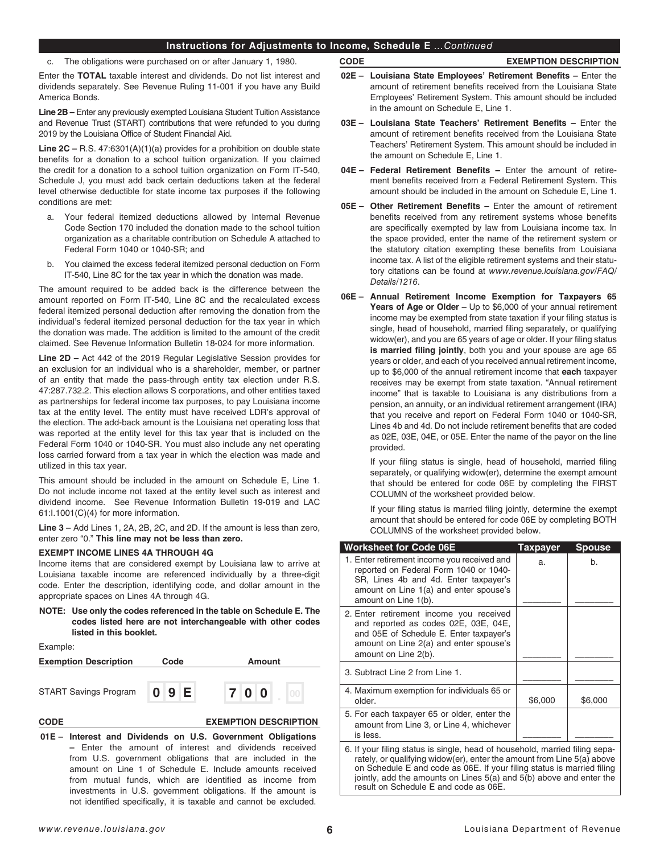## **Instructions for Adjustments to Income, Schedule E** *...Continued*

c. The obligations were purchased on or after January 1, 1980.

Enter the **TOTAL** taxable interest and dividends. Do not list interest and dividends separately. See Revenue Ruling 11-001 if you have any Build America Bonds.

**Line 2B –** Enter any previously exempted Louisiana Student Tuition Assistance and Revenue Trust (START) contributions that were refunded to you during 2019 by the Louisiana Office of Student Financial Aid.

**Line 2C –** R.S. 47:6301(A)(1)(a) provides for a prohibition on double state benefits for a donation to a school tuition organization. If you claimed the credit for a donation to a school tuition organization on Form IT-540, Schedule J, you must add back certain deductions taken at the federal level otherwise deductible for state income tax purposes if the following conditions are met:

- a. Your federal itemized deductions allowed by Internal Revenue Code Section 170 included the donation made to the school tuition organization as a charitable contribution on Schedule A attached to Federal Form 1040 or 1040-SR; and
- b. You claimed the excess federal itemized personal deduction on Form IT-540, Line 8C for the tax year in which the donation was made.

The amount required to be added back is the difference between the amount reported on Form IT-540, Line 8C and the recalculated excess federal itemized personal deduction after removing the donation from the individual's federal itemized personal deduction for the tax year in which the donation was made. The addition is limited to the amount of the credit claimed. See Revenue Information Bulletin 18-024 for more information.

**Line 2D –** Act 442 of the 2019 Regular Legislative Session provides for an exclusion for an individual who is a shareholder, member, or partner of an entity that made the pass-through entity tax election under R.S. 47:287.732.2. This election allows S corporations, and other entities taxed as partnerships for federal income tax purposes, to pay Louisiana income tax at the entity level. The entity must have received LDR's approval of the election. The add-back amount is the Louisiana net operating loss that was reported at the entity level for this tax year that is included on the Federal Form 1040 or 1040-SR. You must also include any net operating loss carried forward from a tax year in which the election was made and utilized in this tax year.

This amount should be included in the amount on Schedule E, Line 1. Do not include income not taxed at the entity level such as interest and dividend income. See Revenue Information Bulletin 19-019 and LAC 61:I.1001(C)(4) for more information.

**Line 3 –** Add Lines 1, 2A, 2B, 2C, and 2D. If the amount is less than zero, enter zero "0." **This line may not be less than zero.** 

### **EXEMPT INCOME LINES 4A THROUGH 4G**

Income items that are considered exempt by Louisiana law to arrive at Louisiana taxable income are referenced individually by a three-digit code. Enter the description, identifying code, and dollar amount in the appropriate spaces on Lines 4A through 4G.

**NOTE: Use only the codes referenced in the table on Schedule E. The codes listed here are not interchangeable with other codes listed in this booklet.** 

Example:

| <b>Exemption Description</b> | Code |  | Amount |     |  |                              |  |
|------------------------------|------|--|--------|-----|--|------------------------------|--|
| <b>START Savings Program</b> | 0 9E |  |        | 700 |  |                              |  |
| <b>CODE</b>                  |      |  |        |     |  | <b>EXEMPTION DESCRIPTION</b> |  |

**01E – Interest and Dividends on U.S. Government Obligations –** Enter the amount of interest and dividends received from U.S. government obligations that are included in the amount on Line 1 of Schedule E. Include amounts received from mutual funds, which are identifed as income from investments in U.S. government obligations. If the amount is not identified specifically, it is taxable and cannot be excluded.

### **CODE EXEMPTION DESCRIPTION**

- **02E – Louisiana State Employees' Retirement Benefts –** Enter the amount of retirement benefits received from the Louisiana State Employees' Retirement System. This amount should be included in the amount on Schedule E, Line 1.
- **03E – Louisiana State Teachers' Retirement Benefts** Enter the amount of retirement benefits received from the Louisiana State Teachers' Retirement System. This amount should be included in the amount on Schedule E, Line 1.
- **04E – Federal Retirement Benefts** Enter the amount of retirement benefits received from a Federal Retirement System. This amount should be included in the amount on Schedule E, Line 1.
- **05E – Other Retirement Benefts** Enter the amount of retirement benefits received from any retirement systems whose benefits are specifically exempted by law from Louisiana income tax. In the space provided, enter the name of the retirement system or the statutory citation exempting these benefits from Louisiana income tax. A list of the eligible retirement systems and their statutory citations can be found at *www.revenue.louisiana.gov/FAQ/ Details/1216*.
- **06E – Annual Retirement Income Exemption for Taxpayers 65 Years of Age or Older –** Up to \$6,000 of your annual retirement income may be exempted from state taxation if your fling status is single, head of household, married fling separately, or qualifying widow(er), and you are 65 years of age or older. If your filing status **is married filing jointly**, both you and your spouse are age 65 years or older, and each of you received annual retirement income, up to \$6,000 of the annual retirement income that **each** taxpayer receives may be exempt from state taxation. "Annual retirement income" that is taxable to Louisiana is any distributions from a pension, an annuity, or an individual retirement arrangement (IRA) that you receive and report on Federal Form 1040 or 1040-SR, Lines 4b and 4d. Do not include retirement benefits that are coded as 02E, 03E, 04E, or 05E. Enter the name of the payor on the line provided.

If your filing status is single, head of household, married filing separately, or qualifying widow(er), determine the exempt amount that should be entered for code 06E by completing the FIRST COLUMN of the worksheet provided below.

If your filing status is married filing jointly, determine the exempt amount that should be entered for code 06E by completing BOTH COLUMNS of the worksheet provided below.

| <b>Worksheet for Code 06E</b>                                                                                                                                                                                                                                                                                                                   | <b>Taxpayer</b> | <b>Spouse</b> |
|-------------------------------------------------------------------------------------------------------------------------------------------------------------------------------------------------------------------------------------------------------------------------------------------------------------------------------------------------|-----------------|---------------|
| 1. Enter retirement income you received and<br>reported on Federal Form 1040 or 1040-<br>SR, Lines 4b and 4d. Enter taxpayer's<br>amount on Line 1(a) and enter spouse's<br>amount on Line 1(b).                                                                                                                                                | a.              | b.            |
| 2. Enter retirement income you received<br>and reported as codes 02E, 03E, 04E,<br>and 05E of Schedule E. Enter taxpayer's<br>amount on Line 2(a) and enter spouse's<br>amount on Line 2(b).                                                                                                                                                    |                 |               |
| 3. Subtract Line 2 from Line 1.                                                                                                                                                                                                                                                                                                                 |                 |               |
| 4. Maximum exemption for individuals 65 or<br>older.                                                                                                                                                                                                                                                                                            | \$6,000         | \$6,000       |
| 5. For each taxpayer 65 or older, enter the<br>amount from Line 3, or Line 4, whichever<br>is less.                                                                                                                                                                                                                                             |                 |               |
| 6. If your filing status is single, head of household, married filing sepa-<br>rately, or qualifying widow(er), enter the amount from Line 5(a) above<br>on Schedule E and code as 06E. If your filing status is married filing<br>jointly, add the amounts on Lines 5(a) and 5(b) above and enter the<br>result on Schedule E and code as 06E. |                 |               |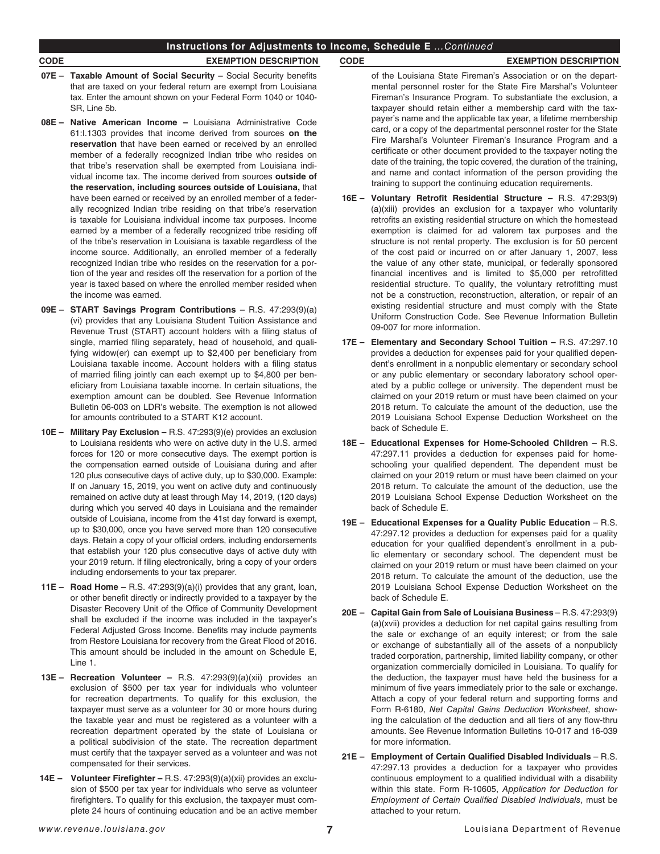## **Instructions for Adjustments to Income, Schedule E** *...Continued*

- **07E – Taxable Amount of Social Security –** Social Security benefts that are taxed on your federal return are exempt from Louisiana tax. Enter the amount shown on your Federal Form 1040 or 1040- SR, Line 5b.
- **08E – Native American Income –** Louisiana Administrative Code 61:I.1303 provides that income derived from sources **on the reservation** that have been earned or received by an enrolled member of a federally recognized Indian tribe who resides on that tribe's reservation shall be exempted from Louisiana individual income tax. The income derived from sources **outside of the reservation, including sources outside of Louisiana,** that have been earned or received by an enrolled member of a federally recognized Indian tribe residing on that tribe's reservation is taxable for Louisiana individual income tax purposes. Income earned by a member of a federally recognized tribe residing off of the tribe's reservation in Louisiana is taxable regardless of the income source. Additionally, an enrolled member of a federally recognized Indian tribe who resides on the reservation for a portion of the year and resides off the reservation for a portion of the year is taxed based on where the enrolled member resided when the income was earned.
- **09E – START Savings Program Contributions –** R.S. 47:293(9)(a) (vi) provides that any Louisiana Student Tuition Assistance and Revenue Trust (START) account holders with a fling status of single, married filing separately, head of household, and qualifying widow(er) can exempt up to \$2,400 per beneficiary from Louisiana taxable income. Account holders with a filing status of married fling jointly can each exempt up to \$4,800 per beneficiary from Louisiana taxable income. In certain situations, the exemption amount can be doubled. See Revenue Information Bulletin 06-003 on LDR's website. The exemption is not allowed for amounts contributed to a START K12 account.
- **10E – Military Pay Exclusion –** R.S. 47:293(9)(e) provides an exclusion to Louisiana residents who were on active duty in the U.S. armed forces for 120 or more consecutive days. The exempt portion is the compensation earned outside of Louisiana during and after 120 plus consecutive days of active duty, up to \$30,000. Example: If on January 15, 2019, you went on active duty and continuously remained on active duty at least through May 14, 2019, (120 days) during which you served 40 days in Louisiana and the remainder outside of Louisiana, income from the 41st day forward is exempt, up to \$30,000, once you have served more than 120 consecutive days. Retain a copy of your official orders, including endorsements that establish your 120 plus consecutive days of active duty with your 2019 return. If fling electronically, bring a copy of your orders including endorsements to your tax preparer.
- **11E – Road Home –** R.S. 47:293(9)(a)(i) provides that any grant, loan, or other beneft directly or indirectly provided to a taxpayer by the Disaster Recovery Unit of the Office of Community Development shall be excluded if the income was included in the taxpayer's Federal Adjusted Gross Income. Benefits may include payments from Restore Louisiana for recovery from the Great Flood of 2016. This amount should be included in the amount on Schedule E, Line 1.
- **13E – Recreation Volunteer** R.S. 47:293(9)(a)(xii) provides an exclusion of \$500 per tax year for individuals who volunteer for recreation departments. To qualify for this exclusion, the taxpayer must serve as a volunteer for 30 or more hours during the taxable year and must be registered as a volunteer with a recreation department operated by the state of Louisiana or a political subdivision of the state. The recreation department must certify that the taxpayer served as a volunteer and was not compensated for their services.
- **14E – Volunteer Firefghter** R.S. 47:293(9)(a)(xii) provides an exclusion of \$500 per tax year for individuals who serve as volunteer firefighters. To qualify for this exclusion, the taxpayer must complete 24 hours of continuing education and be an active member

## **CODE EXEMPTION DESCRIPTION CODE EXEMPTION DESCRIPTION**

- of the Louisiana State Fireman's Association or on the departmental personnel roster for the State Fire Marshal's Volunteer Fireman's Insurance Program. To substantiate the exclusion, a taxpayer should retain either a membership card with the taxpayer's name and the applicable tax year, a lifetime membership card, or a copy of the departmental personnel roster for the State Fire Marshal's Volunteer Fireman's Insurance Program and a certifcate or other document provided to the taxpayer noting the date of the training, the topic covered, the duration of the training, and name and contact information of the person providing the training to support the continuing education requirements.
- **16E Voluntary Retroft Residential Structure –** R.S. 47:293(9) (a)(xiii) provides an exclusion for a taxpayer who voluntarily retrofits an existing residential structure on which the homestead exemption is claimed for ad valorem tax purposes and the structure is not rental property. The exclusion is for 50 percent of the cost paid or incurred on or after January 1, 2007, less the value of any other state, municipal, or federally sponsored financial incentives and is limited to \$5,000 per retrofitted residential structure. To qualify, the voluntary retrofitting must not be a construction, reconstruction, alteration, or repair of an existing residential structure and must comply with the State Uniform Construction Code. See Revenue Information Bulletin 09-007 for more information.
- **17E Elementary and Secondary School Tuition** R.S. 47:297.10 provides a deduction for expenses paid for your qualifed dependent's enrollment in a nonpublic elementary or secondary school or any public elementary or secondary laboratory school operated by a public college or university. The dependent must be claimed on your 2019 return or must have been claimed on your 2018 return. To calculate the amount of the deduction, use the 2019 Louisiana School Expense Deduction Worksheet on the back of Schedule E.
- **18E – Educational Expenses for Home-Schooled Children –** R.S. 47:297.11 provides a deduction for expenses paid for homeschooling your qualifed dependent. The dependent must be claimed on your 2019 return or must have been claimed on your 2018 return. To calculate the amount of the deduction, use the 2019 Louisiana School Expense Deduction Worksheet on the back of Schedule E.
- **19E Educational Expenses for a Quality Public Education** R.S. 47:297.12 provides a deduction for expenses paid for a quality education for your qualifed dependent's enrollment in a public elementary or secondary school. The dependent must be claimed on your 2019 return or must have been claimed on your 2018 return. To calculate the amount of the deduction, use the 2019 Louisiana School Expense Deduction Worksheet on the back of Schedule E.
- **20E Capital Gain from Sale of Louisiana Business** R.S. 47:293(9) (a)(xvii) provides a deduction for net capital gains resulting from the sale or exchange of an equity interest; or from the sale or exchange of substantially all of the assets of a nonpublicly traded corporation, partnership, limited liability company, or other organization commercially domiciled in Louisiana. To qualify for the deduction, the taxpayer must have held the business for a minimum of five years immediately prior to the sale or exchange. Attach a copy of your federal return and supporting forms and Form R-6180, *Net Capital Gains Deduction Worksheet,* showing the calculation of the deduction and all tiers of any flow-thru amounts. See Revenue Information Bulletins 10-017 and 16-039 for more information.
- **21E Employment of Certain Qualifed Disabled Individuals** R.S. 47:297.13 provides a deduction for a taxpayer who provides continuous employment to a qualifed individual with a disability within this state. Form R-10605, *Application for Deduction for Employment of Certain Quali*f*ed Disabled Individuals*, must be attached to your return.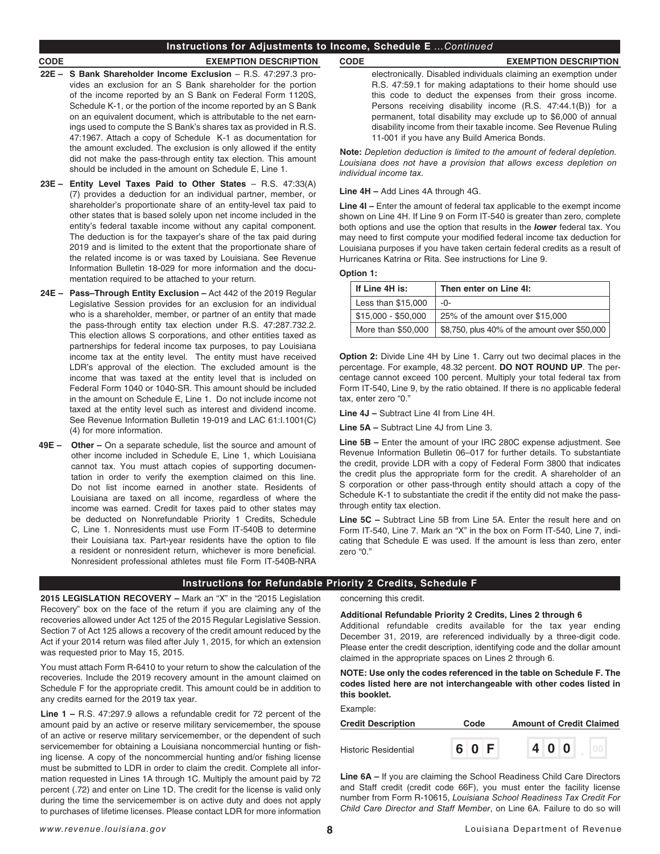## **Instructions for Adjustments to Income, Schedule E** *...Continued*

- **22E S Bank Shareholder Income Exclusion** R.S. 47:297.3 provides an exclusion for an S Bank shareholder for the portion of the income reported by an S Bank on Federal Form 1120S, Schedule K-1, or the portion of the income reported by an S Bank on an equivalent document, which is attributable to the net earnings used to compute the S Bank's shares tax as provided in R.S. 47:1967. Attach a copy of Schedule K-1 as documentation for the amount excluded. The exclusion is only allowed if the entity did not make the pass-through entity tax election. This amount should be included in the amount on Schedule E, Line 1.
- **23E Entity Level Taxes Paid to Other States**  R.S. 47:33(A) (7) provides a deduction for an individual partner, member, or shareholder's proportionate share of an entity-level tax paid to other states that is based solely upon net income included in the entity's federal taxable income without any capital component. The deduction is for the taxpayer's share of the tax paid during 2019 and is limited to the extent that the proportionate share of the related income is or was taxed by Louisiana. See Revenue Information Bulletin 18-029 for more information and the documentation required to be attached to your return.
- **24E – Pass–Through Entity Exclusion –** Act 442 of the 2019 Regular Legislative Session provides for an exclusion for an individual who is a shareholder, member, or partner of an entity that made the pass-through entity tax election under R.S. 47:287.732.2. This election allows S corporations, and other entities taxed as partnerships for federal income tax purposes, to pay Louisiana income tax at the entity level. The entity must have received LDR's approval of the election. The excluded amount is the income that was taxed at the entity level that is included on Federal Form 1040 or 1040-SR. This amount should be included in the amount on Schedule E, Line 1. Do not include income not taxed at the entity level such as interest and dividend income. See Revenue Information Bulletin 19-019 and LAC 61:I.1001(C) (4) for more information.
- **49E – Other –** On a separate schedule, list the source and amount of other income included in Schedule E, Line 1, which Louisiana cannot tax. You must attach copies of supporting documentation in order to verify the exemption claimed on this line. Do not list income earned in another state. Residents of Louisiana are taxed on all income, regardless of where the income was earned. Credit for taxes paid to other states may be deducted on Nonrefundable Priority 1 Credits, Schedule C, Line 1. Nonresidents must use Form IT-540B to determine their Louisiana tax. Part-year residents have the option to fle a resident or nonresident return, whichever is more beneficial. Nonresident professional athletes must fle Form IT-540B-NRA

### **CODE EXEMPTION DESCRIPTION CODE EXEMPTION DESCRIPTION**

electronically. Disabled individuals claiming an exemption under R.S. 47:59.1 for making adaptations to their home should use this code to deduct the expenses from their gross income. Persons receiving disability income (R.S. 47:44.1(B)) for a permanent, total disability may exclude up to \$6,000 of annual disability income from their taxable income. See Revenue Ruling 11-001 if you have any Build America Bonds.

**Note:** *Depletion deduction is limited to the amount of federal depletion. Louisiana does not have a provision that allows excess depletion on individual income tax.*

### **Line 4H –** Add Lines 4A through 4G.

**Line 4I –** Enter the amount of federal tax applicable to the exempt income shown on Line 4H. If Line 9 on Form IT-540 is greater than zero, complete both options and use the option that results in the *lower* federal tax. You may need to first compute your modified federal income tax deduction for Louisiana purposes if you have taken certain federal credits as a result of Hurricanes Katrina or Rita. See instructions for Line 9.

### **Option 1:**

| If Line 4H is:      | Then enter on Line 4I:                        |
|---------------------|-----------------------------------------------|
| Less than $$15.000$ | -೧-                                           |
| $$15.000 - $50.000$ | 25% of the amount over \$15,000               |
| More than \$50,000  | \$8,750, plus 40% of the amount over \$50,000 |

**Option 2:** Divide Line 4H by Line 1. Carry out two decimal places in the percentage. For example, 48.32 percent. **DO NOT ROUND UP**. The percentage cannot exceed 100 percent. Multiply your total federal tax from Form IT-540, Line 9, by the ratio obtained. If there is no applicable federal tax, enter zero "0."

**Line 4J –** Subtract Line 4I from Line 4H.

**Line 5A –** Subtract Line 4J from Line 3.

**Line 5B –** Enter the amount of your IRC 280C expense adjustment. See Revenue Information Bulletin 06–017 for further details. To substantiate the credit, provide LDR with a copy of Federal Form 3800 that indicates the credit plus the appropriate form for the credit. A shareholder of an S corporation or other pass-through entity should attach a copy of the Schedule K-1 to substantiate the credit if the entity did not make the passthrough entity tax election.

**Line 5C –** Subtract Line 5B from Line 5A. Enter the result here and on Form IT-540, Line 7. Mark an "X" in the box on Form IT-540, Line 7, indicating that Schedule E was used. If the amount is less than zero, enter zero "0."

## **Instructions for Refundable Priority 2 Credits, Schedule F**

**2015 LEGISLATION RECOVERY –** Mark an "X" in the "2015 Legislation Recovery" box on the face of the return if you are claiming any of the recoveries allowed under Act 125 of the 2015 Regular Legislative Session. Section 7 of Act 125 allows a recovery of the credit amount reduced by the Act if your 2014 return was fled after July 1, 2015, for which an extension was requested prior to May 15, 2015.

You must attach Form R-6410 to your return to show the calculation of the recoveries. Include the 2019 recovery amount in the amount claimed on Schedule F for the appropriate credit. This amount could be in addition to any credits earned for the 2019 tax year.

**Line 1 –** R.S. 47:297.9 allows a refundable credit for 72 percent of the amount paid by an active or reserve military servicemember, the spouse of an active or reserve military servicemember, or the dependent of such servicemember for obtaining a Louisiana noncommercial hunting or fishing license. A copy of the noncommercial hunting and/or fishing license must be submitted to LDR in order to claim the credit. Complete all information requested in Lines 1A through 1C. Multiply the amount paid by 72 percent (.72) and enter on Line 1D. The credit for the license is valid only during the time the servicemember is on active duty and does not apply to purchases of lifetime licenses. Please contact LDR for more information

concerning this credit.

### **Additional Refundable Priority 2 Credits, Lines 2 through 6**

Additional refundable credits available for the tax year ending December 31, 2019, are referenced individually by a three-digit code. Please enter the credit description, identifying code and the dollar amount claimed in the appropriate spaces on Lines 2 through 6.

**NOTE: Use only the codes referenced in the table on Schedule F. The codes listed here are not interchangeable with other codes listed in this booklet.**

## Example:

| <b>Credit Description</b> | Code  | <b>Amount of Credit Claimed</b> |
|---------------------------|-------|---------------------------------|
| Historic Residential      | 6 0 F | 400                             |

**Line 6A –** If you are claiming the School Readiness Child Care Directors and Staff credit (credit code 66F), you must enter the facility license number from Form R-10615, *Louisiana School Readiness Tax Credit For Child Care Director and Staff Member*, on Line 6A. Failure to do so will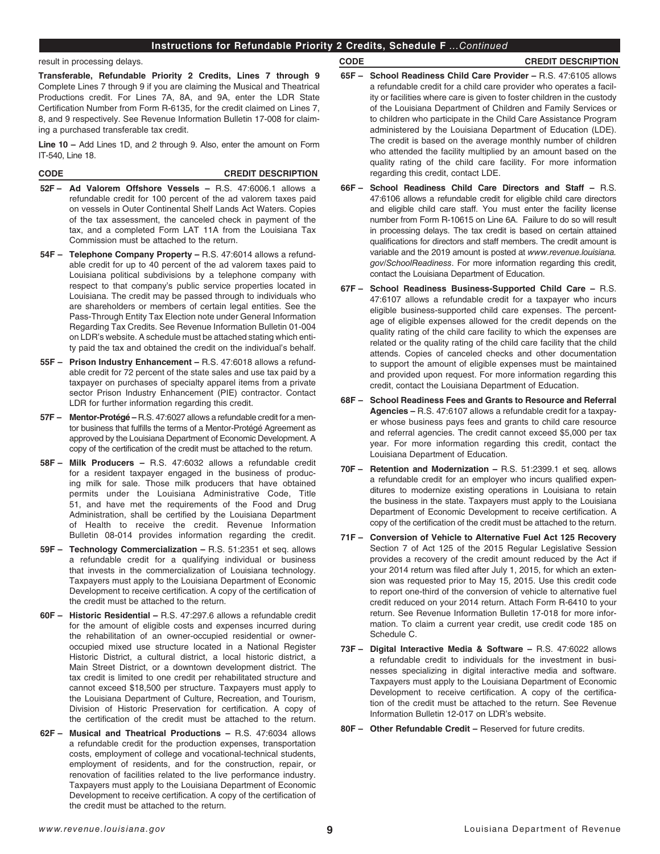## **Instructions for Refundable Priority 2 Credits, Schedule F** *...Continued*

### result in processing delays.

**Transferable, Refundable Priority 2 Credits, Lines 7 through 9**  Complete Lines 7 through 9 if you are claiming the Musical and Theatrical Productions credit. For Lines 7A, 8A, and 9A, enter the LDR State Certifcation Number from Form R-6135, for the credit claimed on Lines 7, 8, and 9 respectively. See Revenue Information Bulletin 17-008 for claiming a purchased transferable tax credit.

**Line 10 –** Add Lines 1D, and 2 through 9. Also, enter the amount on Form IT-540, Line 18.

### **CODE CREDIT DESCRIPTION**

- **52F – Ad Valorem Offshore Vessels –** R.S. 47:6006.1 allows a refundable credit for 100 percent of the ad valorem taxes paid on vessels in Outer Continental Shelf Lands Act Waters. Copies of the tax assessment, the canceled check in payment of the tax, and a completed Form LAT 11A from the Louisiana Tax Commission must be attached to the return.
- **54F – Telephone Company Property –** R.S. 47:6014 allows a refundable credit for up to 40 percent of the ad valorem taxes paid to Louisiana political subdivisions by a telephone company with respect to that company's public service properties located in Louisiana. The credit may be passed through to individuals who are shareholders or members of certain legal entities. See the Pass-Through Entity Tax Election note under General Information Regarding Tax Credits. See Revenue Information Bulletin 01-004 on LDR's website. A schedule must be attached stating which entity paid the tax and obtained the credit on the individual's behalf.
- **55F – Prison Industry Enhancement** R.S. 47:6018 allows a refundable credit for 72 percent of the state sales and use tax paid by a taxpayer on purchases of specialty apparel items from a private sector Prison Industry Enhancement (PIE) contractor. Contact LDR for further information regarding this credit.
- **57F – Mentor-Protégé –** R.S. 47:6027 allows a refundable credit for a mentor business that fulfills the terms of a Mentor-Protégé Agreement as approved by the Louisiana Department of Economic Development. A copy of the certifcation of the credit must be attached to the return.
- **58F – Milk Producers –** R.S. 47:6032 allows a refundable credit for a resident taxpayer engaged in the business of producing milk for sale. Those milk producers that have obtained permits under the Louisiana Administrative Code, Title 51, and have met the requirements of the Food and Drug Administration, shall be certifed by the Louisiana Department of Health to receive the credit. Revenue Information Bulletin 08-014 provides information regarding the credit.
- **59F – Technology Commercialization –** R.S. 51:2351 et seq. allows a refundable credit for a qualifying individual or business that invests in the commercialization of Louisiana technology. Taxpayers must apply to the Louisiana Department of Economic Development to receive certification. A copy of the certification of the credit must be attached to the return.
- **60F – Historic Residential –** R.S. 47:297.6 allows a refundable credit for the amount of eligible costs and expenses incurred during the rehabilitation of an owner-occupied residential or owneroccupied mixed use structure located in a National Register Historic District, a cultural district, a local historic district, a Main Street District, or a downtown development district. The tax credit is limited to one credit per rehabilitated structure and cannot exceed \$18,500 per structure. Taxpayers must apply to the Louisiana Department of Culture, Recreation, and Tourism, Division of Historic Preservation for certification. A copy of the certifcation of the credit must be attached to the return.
- **62F – Musical and Theatrical Productions –** R.S. 47:6034 allows a refundable credit for the production expenses, transportation costs, employment of college and vocational-technical students, employment of residents, and for the construction, repair, or renovation of facilities related to the live performance industry. Taxpayers must apply to the Louisiana Department of Economic Development to receive certification. A copy of the certification of the credit must be attached to the return.

## **CODE CREDIT DESCRIPTION**

- **65F – School Readiness Child Care Provider –** R.S. 47:6105 allows a refundable credit for a child care provider who operates a facility or facilities where care is given to foster children in the custody of the Louisiana Department of Children and Family Services or to children who participate in the Child Care Assistance Program administered by the Louisiana Department of Education (LDE). The credit is based on the average monthly number of children who attended the facility multiplied by an amount based on the quality rating of the child care facility. For more information regarding this credit, contact LDE.
- **66F – School Readiness Child Care Directors and Staff –** R.S. 47:6106 allows a refundable credit for eligible child care directors and eligible child care staff. You must enter the facility license number from Form R-10615 on Line 6A. Failure to do so will result in processing delays. The tax credit is based on certain attained qualifications for directors and staff members. The credit amount is variable and the 2019 amount is posted at *www.revenue.louisiana. gov/SchoolReadiness*. For more information regarding this credit, contact the Louisiana Department of Education.
- **67F – School Readiness Business-Supported Child Care –** R.S. 47:6107 allows a refundable credit for a taxpayer who incurs eligible business-supported child care expenses. The percentage of eligible expenses allowed for the credit depends on the quality rating of the child care facility to which the expenses are related or the quality rating of the child care facility that the child attends. Copies of canceled checks and other documentation to support the amount of eligible expenses must be maintained and provided upon request. For more information regarding this credit, contact the Louisiana Department of Education.
- **68F – School Readiness Fees and Grants to Resource and Referral Agencies –** R.S. 47:6107 allows a refundable credit for a taxpayer whose business pays fees and grants to child care resource and referral agencies. The credit cannot exceed \$5,000 per tax year. For more information regarding this credit, contact the Louisiana Department of Education.
- **70F – Retention and Modernization –** R.S. 51:2399.1 et seq. allows a refundable credit for an employer who incurs qualifed expenditures to modernize existing operations in Louisiana to retain the business in the state. Taxpayers must apply to the Louisiana Department of Economic Development to receive certification. A copy of the certifcation of the credit must be attached to the return.
- **71F – Conversion of Vehicle to Alternative Fuel Act 125 Recovery**  Section 7 of Act 125 of the 2015 Regular Legislative Session provides a recovery of the credit amount reduced by the Act if your 2014 return was filed after July 1, 2015, for which an extension was requested prior to May 15, 2015. Use this credit code to report one-third of the conversion of vehicle to alternative fuel credit reduced on your 2014 return. Attach Form R-6410 to your return. See Revenue Information Bulletin 17-018 for more information. To claim a current year credit, use credit code 185 on Schedule C.
- **73F – Digital Interactive Media & Software** R.S. 47:6022 allows a refundable credit to individuals for the investment in businesses specializing in digital interactive media and software. Taxpayers must apply to the Louisiana Department of Economic Development to receive certification. A copy of the certification of the credit must be attached to the return. See Revenue Information Bulletin 12-017 on LDR's website.
- **80F – Other Refundable Credit –** Reserved for future credits.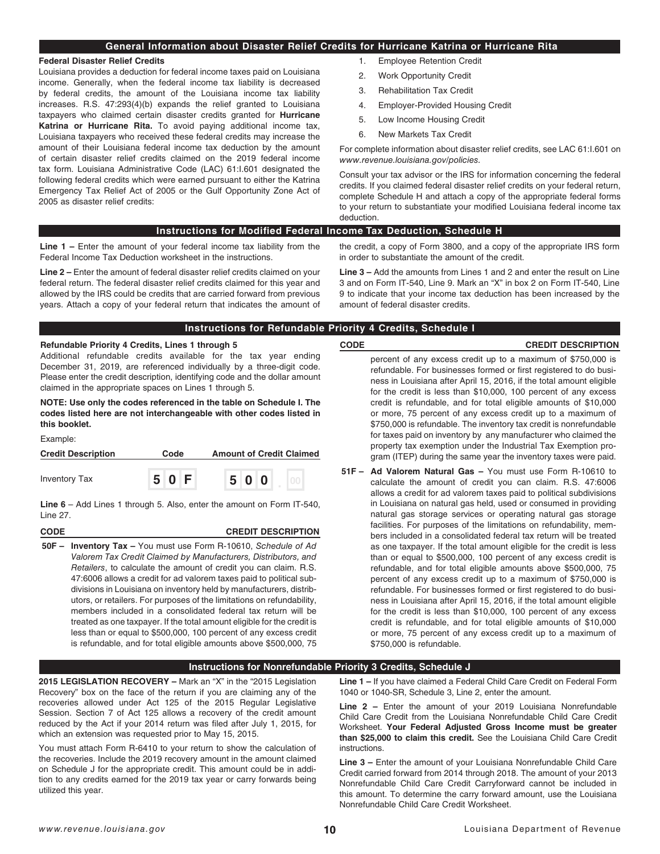## **General Information about Disaster Relief Credits for Hurricane Katrina or Hurricane Rita**

### **Federal Disaster Relief Credits**

Louisiana provides a deduction for federal income taxes paid on Louisiana income. Generally, when the federal income tax liability is decreased by federal credits, the amount of the Louisiana income tax liability increases. R.S. 47:293(4)(b) expands the relief granted to Louisiana taxpayers who claimed certain disaster credits granted for **Hurricane Katrina or Hurricane Rita.** To avoid paying additional income tax, Louisiana taxpayers who received these federal credits may increase the amount of their Louisiana federal income tax deduction by the amount of certain disaster relief credits claimed on the 2019 federal income tax form. Louisiana Administrative Code (LAC) 61:I.601 designated the following federal credits which were earned pursuant to either the Katrina Emergency Tax Relief Act of 2005 or the Gulf Opportunity Zone Act of 2005 as disaster relief credits:

- 1. Employee Retention Credit
- 2. Work Opportunity Credit
- 3. Rehabilitation Tax Credit
- 4. Employer-Provided Housing Credit
- 5. Low Income Housing Credit
- 6. New Markets Tax Credit

For complete information about disaster relief credits, see LAC 61:I.601 on *www.revenue.louisiana.gov/policies.*

Consult your tax advisor or the IRS for information concerning the federal credits. If you claimed federal disaster relief credits on your federal return, complete Schedule H and attach a copy of the appropriate federal forms to your return to substantiate your modifed Louisiana federal income tax deduction.

### **Instructions for Modified Federal Income Tax Deduction, Schedule H**

**Line 1 –** Enter the amount of your federal income tax liability from the Federal Income Tax Deduction worksheet in the instructions.

**Line 2 –** Enter the amount of federal disaster relief credits claimed on your federal return. The federal disaster relief credits claimed for this year and allowed by the IRS could be credits that are carried forward from previous years. Attach a copy of your federal return that indicates the amount of the credit, a copy of Form 3800, and a copy of the appropriate IRS form in order to substantiate the amount of the credit.

**Line 3 –** Add the amounts from Lines 1 and 2 and enter the result on Line 3 and on Form IT-540, Line 9. Mark an "X" in box 2 on Form IT-540, Line 9 to indicate that your income tax deduction has been increased by the amount of federal disaster credits.

| Instructions for Refundable Priority 4 Credits, Schedule I |  |
|------------------------------------------------------------|--|
|------------------------------------------------------------|--|

## **Refundable Priority 4 Credits, Lines 1 through 5**

Additional refundable credits available for the tax year ending December 31, 2019, are referenced individually by a three-digit code. Please enter the credit description, identifying code and the dollar amount claimed in the appropriate spaces on Lines 1 through 5.

**NOTE: Use only the codes referenced in the table on Schedule I. The codes listed here are not interchangeable with other codes listed in this booklet.**

Example:

| <b>Credit Description</b> | Code |     | <b>Amount of Credit Claimed</b> |  |     |  |  |  |
|---------------------------|------|-----|---------------------------------|--|-----|--|--|--|
| <b>Inventory Tax</b>      |      | 50F |                                 |  | 500 |  |  |  |

**Line 6** – Add Lines 1 through 5. Also, enter the amount on Form IT-540, Line 27.

# **CODE CREDIT DESCRIPTION**

**50F – Inventory Tax –** You must use Form R-10610, *Schedule of Ad Valorem Tax Credit Claimed by Manufacturers, Distributors, and Retailers*, to calculate the amount of credit you can claim. R.S. 47:6006 allows a credit for ad valorem taxes paid to political subdivisions in Louisiana on inventory held by manufacturers, distributors, or retailers. For purposes of the limitations on refundability, members included in a consolidated federal tax return will be treated as one taxpayer. If the total amount eligible for the credit is less than or equal to \$500,000, 100 percent of any excess credit is refundable, and for total eligible amounts above \$500,000, 75

## **CODE CREDIT DESCRIPTION** percent of any excess credit up to a maximum of \$750,000 is refundable. For businesses formed or first registered to do business in Louisiana after April 15, 2016, if the total amount eligible for the credit is less than \$10,000, 100 percent of any excess credit is refundable, and for total eligible amounts of \$10,000 or more, 75 percent of any excess credit up to a maximum of \$750,000 is refundable. The inventory tax credit is nonrefundable for taxes paid on inventory by any manufacturer who claimed the property tax exemption under the Industrial Tax Exemption program (ITEP) during the same year the inventory taxes were paid.

**51F – Ad Valorem Natural Gas –** You must use Form R-10610 to calculate the amount of credit you can claim. R.S. 47:6006 allows a credit for ad valorem taxes paid to political subdivisions in Louisiana on natural gas held, used or consumed in providing natural gas storage services or operating natural gas storage facilities. For purposes of the limitations on refundability, members included in a consolidated federal tax return will be treated as one taxpayer. If the total amount eligible for the credit is less than or equal to \$500,000, 100 percent of any excess credit is refundable, and for total eligible amounts above \$500,000, 75 percent of any excess credit up to a maximum of \$750,000 is refundable. For businesses formed or first registered to do business in Louisiana after April 15, 2016, if the total amount eligible for the credit is less than \$10,000, 100 percent of any excess credit is refundable, and for total eligible amounts of \$10,000 or more, 75 percent of any excess credit up to a maximum of \$750,000 is refundable.

## **Instructions for Nonrefundable Priority 3 Credits, Schedule J**

**2015 LEGISLATION RECOVERY –** Mark an "X" in the "2015 Legislation Recovery" box on the face of the return if you are claiming any of the recoveries allowed under Act 125 of the 2015 Regular Legislative Session. Section 7 of Act 125 allows a recovery of the credit amount reduced by the Act if your 2014 return was fled after July 1, 2015, for which an extension was requested prior to May 15, 2015.

You must attach Form R-6410 to your return to show the calculation of the recoveries. Include the 2019 recovery amount in the amount claimed on Schedule J for the appropriate credit. This amount could be in addition to any credits earned for the 2019 tax year or carry forwards being utilized this year.

**Line 1 –** If you have claimed a Federal Child Care Credit on Federal Form 1040 or 1040-SR, Schedule 3, Line 2, enter the amount.

**Line 2 –** Enter the amount of your 2019 Louisiana Nonrefundable Child Care Credit from the Louisiana Nonrefundable Child Care Credit Worksheet. **Your Federal Adjusted Gross Income must be greater than \$25,000 to claim this credit.** See the Louisiana Child Care Credit instructions.

**Line 3 –** Enter the amount of your Louisiana Nonrefundable Child Care Credit carried forward from 2014 through 2018. The amount of your 2013 Nonrefundable Child Care Credit Carryforward cannot be included in this amount. To determine the carry forward amount, use the Louisiana Nonrefundable Child Care Credit Worksheet.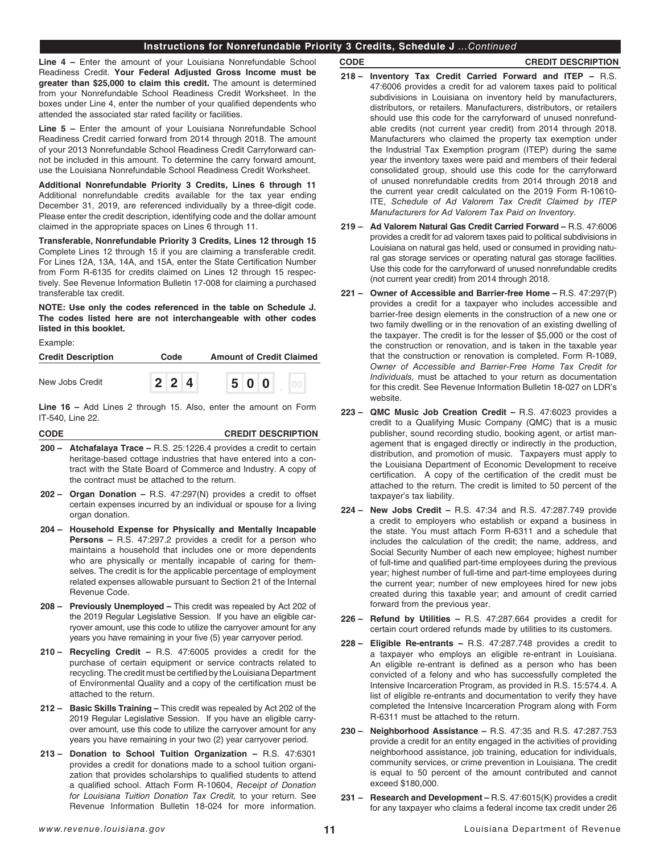## **Instructions for Nonrefundable Priority 3 Credits, Schedule J** *...Continued*

**Line 4 –** Enter the amount of your Louisiana Nonrefundable School Readiness Credit. **Your Federal Adjusted Gross Income must be greater than \$25,000 to claim this credit.** The amount is determined from your Nonrefundable School Readiness Credit Worksheet. In the boxes under Line 4, enter the number of your qualifed dependents who attended the associated star rated facility or facilities.

**Line 5 –** Enter the amount of your Louisiana Nonrefundable School Readiness Credit carried forward from 2014 through 2018. The amount of your 2013 Nonrefundable School Readiness Credit Carryforward cannot be included in this amount. To determine the carry forward amount, use the Louisiana Nonrefundable School Readiness Credit Worksheet.

**Additional Nonrefundable Priority 3 Credits, Lines 6 through 11**  Additional nonrefundable credits available for the tax year ending December 31, 2019, are referenced individually by a three-digit code. Please enter the credit description, identifying code and the dollar amount claimed in the appropriate spaces on Lines 6 through 11.

**Transferable, Nonrefundable Priority 3 Credits, Lines 12 through 15**  Complete Lines 12 through 15 if you are claiming a transferable credit. For Lines 12A, 13A, 14A, and 15A, enter the State Certification Number from Form R-6135 for credits claimed on Lines 12 through 15 respectively. See Revenue Information Bulletin 17-008 for claiming a purchased transferable tax credit.

### **NOTE: Use only the codes referenced in the table on Schedule J. The codes listed here are not interchangeable with other codes listed in this booklet.**

Example:

| <b>Credit Description</b> | Code |                     | <b>Amount of Credit Claimed</b> |  |  |     |  |  |
|---------------------------|------|---------------------|---------------------------------|--|--|-----|--|--|
| New Jobs Credit           |      | $2 \quad 2 \quad 4$ |                                 |  |  | 500 |  |  |

**Line 16 –** Add Lines 2 through 15. Also, enter the amount on Form IT-540, Line 22.

| <b>CODE</b> | <b>CREDIT DESCRIPTION</b> |
|-------------|---------------------------|
|             |                           |

- **200 Atchafalaya Trace** R.S. 25:1226.4 provides a credit to certain heritage-based cottage industries that have entered into a contract with the State Board of Commerce and Industry. A copy of the contract must be attached to the return.
- **202 Organ Donation** R.S. 47:297(N) provides a credit to offset certain expenses incurred by an individual or spouse for a living organ donation.
- **204 Household Expense for Physically and Mentally Incapable Persons –** R.S. 47:297.2 provides a credit for a person who maintains a household that includes one or more dependents who are physically or mentally incapable of caring for themselves. The credit is for the applicable percentage of employment related expenses allowable pursuant to Section 21 of the Internal Revenue Code.
- **208 Previously Unemployed** This credit was repealed by Act 202 of the 2019 Regular Legislative Session. If you have an eligible carryover amount, use this code to utilize the carryover amount for any years you have remaining in your five (5) year carryover period.
- **210 Recycling Credit –** R.S. 47:6005 provides a credit for the purchase of certain equipment or service contracts related to recycling. The credit must be certifed by the Louisiana Department of Environmental Quality and a copy of the certifcation must be attached to the return.
- **212 Basic Skills Training –** This credit was repealed by Act 202 of the 2019 Regular Legislative Session. If you have an eligible carryover amount, use this code to utilize the carryover amount for any years you have remaining in your two (2) year carryover period.
- **213 Donation to School Tuition Organization –** R.S. 47:6301 provides a credit for donations made to a school tuition organization that provides scholarships to qualifed students to attend a qualifed school. Attach Form R-10604, *Receipt of Donation for Louisiana Tuition Donation Tax Credit,* to your return. See Revenue Information Bulletin 18-024 for more information.

## **CODE CREDIT DESCRIPTION**

- **218 Inventory Tax Credit Carried Forward and ITEP –** R.S. 47:6006 provides a credit for ad valorem taxes paid to political subdivisions in Louisiana on inventory held by manufacturers, distributors, or retailers. Manufacturers, distributors, or retailers should use this code for the carryforward of unused nonrefundable credits (not current year credit) from 2014 through 2018. Manufacturers who claimed the property tax exemption under the Industrial Tax Exemption program (ITEP) during the same year the inventory taxes were paid and members of their federal consolidated group, should use this code for the carryforward of unused nonrefundable credits from 2014 through 2018 and the current year credit calculated on the 2019 Form R-10610- ITE, *Schedule of Ad Valorem Tax Credit Claimed by ITEP Manufacturers for Ad Valorem Tax Paid on Inventory.*
- **219 Ad Valorem Natural Gas Credit Carried Forward** R.S. 47:6006 provides a credit for ad valorem taxes paid to political subdivisions in Louisiana on natural gas held, used or consumed in providing natural gas storage services or operating natural gas storage facilities. Use this code for the carryforward of unused nonrefundable credits (not current year credit) from 2014 through 2018.
- **221 Owner of Accessible and Barrier-free Home** R.S. 47:297(P) provides a credit for a taxpayer who includes accessible and barrier-free design elements in the construction of a new one or two family dwelling or in the renovation of an existing dwelling of the taxpayer. The credit is for the lesser of \$5,000 or the cost of the construction or renovation, and is taken in the taxable year that the construction or renovation is completed. Form R-1089, *Owner of Accessible and Barrier-Free Home Tax Credit for Individuals,* must be attached to your return as documentation for this credit. See Revenue Information Bulletin 18-027 on LDR's website.
- **223 QMC Music Job Creation Credit** R.S. 47:6023 provides a credit to a Qualifying Music Company (QMC) that is a music publisher, sound recording studio, booking agent, or artist management that is engaged directly or indirectly in the production, distribution, and promotion of music. Taxpayers must apply to the Louisiana Department of Economic Development to receive certification. A copy of the certification of the credit must be attached to the return. The credit is limited to 50 percent of the taxpayer's tax liability.
- **224 New Jobs Credit –** R.S. 47:34 and R.S. 47:287.749 provide a credit to employers who establish or expand a business in the state. You must attach Form R-6311 and a schedule that includes the calculation of the credit; the name, address, and Social Security Number of each new employee; highest number of full-time and qualifed part-time employees during the previous year; highest number of full-time and part-time employees during the current year; number of new employees hired for new jobs created during this taxable year; and amount of credit carried forward from the previous year.
- **226 Refund by Utilities –** R.S. 47:287.664 provides a credit for certain court ordered refunds made by utilities to its customers.
- **228 Eligible Re-entrants –** R.S. 47:287.748 provides a credit to a taxpayer who employs an eligible re-entrant in Louisiana. An eligible re-entrant is defned as a person who has been convicted of a felony and who has successfully completed the Intensive Incarceration Program, as provided in R.S. 15:574.4. A list of eligible re-entrants and documentation to verify they have completed the Intensive Incarceration Program along with Form R-6311 must be attached to the return.
- **230 Neighborhood Assistance –** R.S. 47:35 and R.S. 47:287.753 provide a credit for an entity engaged in the activities of providing neighborhood assistance, job training, education for individuals, community services, or crime prevention in Louisiana. The credit is equal to 50 percent of the amount contributed and cannot exceed \$180,000.
- **231 – Research and Development –** R.S. 47:6015(K) provides a credit for any taxpayer who claims a federal income tax credit under 26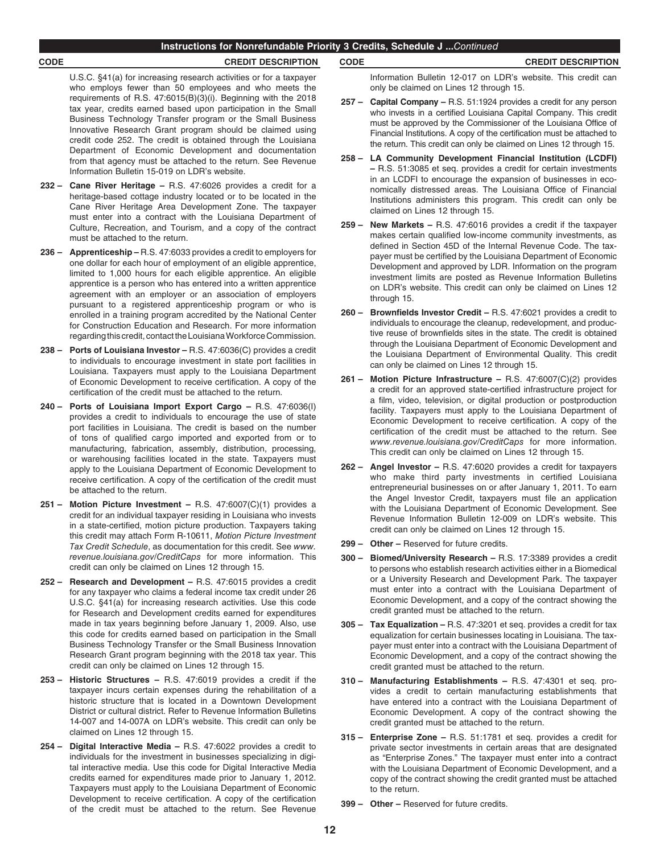### **Instructions for Nonrefundable Priority 3 Credits, Schedule J ...***Continued*

## **CODE CREDIT DESCRIPTION CODE CREDIT DESCRIPTION**

U.S.C. §41(a) for increasing research activities or for a taxpayer who employs fewer than 50 employees and who meets the requirements of R.S. 47:6015(B)(3)(i). Beginning with the 2018 tax year, credits earned based upon participation in the Small Business Technology Transfer program or the Small Business Innovative Research Grant program should be claimed using credit code 252. The credit is obtained through the Louisiana Department of Economic Development and documentation from that agency must be attached to the return. See Revenue Information Bulletin 15-019 on LDR's website.

- **232 Cane River Heritage –** R.S. 47:6026 provides a credit for a heritage-based cottage industry located or to be located in the Cane River Heritage Area Development Zone. The taxpayer must enter into a contract with the Louisiana Department of Culture, Recreation, and Tourism, and a copy of the contract must be attached to the return.
- **236 Apprenticeship –** R.S. 47:6033 provides a credit to employers for one dollar for each hour of employment of an eligible apprentice, limited to 1,000 hours for each eligible apprentice. An eligible apprentice is a person who has entered into a written apprentice agreement with an employer or an association of employers pursuant to a registered apprenticeship program or who is enrolled in a training program accredited by the National Center for Construction Education and Research. For more information regarding this credit, contact the Louisiana Workforce Commission.
- **238 Ports of Louisiana Investor –** R.S. 47:6036(C) provides a credit to individuals to encourage investment in state port facilities in Louisiana. Taxpayers must apply to the Louisiana Department of Economic Development to receive certifcation. A copy of the certifcation of the credit must be attached to the return.
- **240 Ports of Louisiana Import Export Cargo –** R.S. 47:6036(I) provides a credit to individuals to encourage the use of state port facilities in Louisiana. The credit is based on the number of tons of qualifed cargo imported and exported from or to manufacturing, fabrication, assembly, distribution, processing, or warehousing facilities located in the state. Taxpayers must apply to the Louisiana Department of Economic Development to receive certification. A copy of the certification of the credit must be attached to the return.
- **251 Motion Picture Investment –** R.S. 47:6007(C)(1) provides a credit for an individual taxpayer residing in Louisiana who invests in a state-certifed, motion picture production. Taxpayers taking this credit may attach Form R-10611, *Motion Picture Investment Tax Credit Schedule*, as documentation for this credit. See *www. revenue.louisiana.gov/CreditCaps* for more information. This credit can only be claimed on Lines 12 through 15.
- **252 Research and Development –** R.S. 47:6015 provides a credit for any taxpayer who claims a federal income tax credit under 26 U.S.C. §41(a) for increasing research activities. Use this code for Research and Development credits earned for expenditures made in tax years beginning before January 1, 2009. Also, use this code for credits earned based on participation in the Small Business Technology Transfer or the Small Business Innovation Research Grant program beginning with the 2018 tax year. This credit can only be claimed on Lines 12 through 15.
- **253 Historic Structures –** R.S. 47:6019 provides a credit if the taxpayer incurs certain expenses during the rehabilitation of a historic structure that is located in a Downtown Development District or cultural district. Refer to Revenue Information Bulletins 14-007 and 14-007A on LDR's website. This credit can only be claimed on Lines 12 through 15.
- **254 Digital Interactive Media –** R.S. 47:6022 provides a credit to individuals for the investment in businesses specializing in digital interactive media. Use this code for Digital Interactive Media credits earned for expenditures made prior to January 1, 2012. Taxpayers must apply to the Louisiana Department of Economic Development to receive certification. A copy of the certification of the credit must be attached to the return. See Revenue

Information Bulletin 12-017 on LDR's website. This credit can only be claimed on Lines 12 through 15.

- **257 Capital Company** R.S. 51:1924 provides a credit for any person who invests in a certifed Louisiana Capital Company. This credit must be approved by the Commissioner of the Louisiana Office of Financial Institutions. A copy of the certification must be attached to the return. This credit can only be claimed on Lines 12 through 15.
- **258 LA Community Development Financial Institution (LCDFI) –** R.S. 51:3085 et seq. provides a credit for certain investments in an LCDFI to encourage the expansion of businesses in economically distressed areas. The Louisiana Office of Financial Institutions administers this program. This credit can only be claimed on Lines 12 through 15.
- **259 New Markets –** R.S. 47:6016 provides a credit if the taxpayer makes certain qualifed low-income community investments, as defined in Section 45D of the Internal Revenue Code. The taxpayer must be certifed by the Louisiana Department of Economic Development and approved by LDR. Information on the program investment limits are posted as Revenue Information Bulletins on LDR's website. This credit can only be claimed on Lines 12 through 15.
- **260 Brownfelds Investor Credit** R.S. 47:6021 provides a credit to individuals to encourage the cleanup, redevelopment, and productive reuse of brownfields sites in the state. The credit is obtained through the Louisiana Department of Economic Development and the Louisiana Department of Environmental Quality. This credit can only be claimed on Lines 12 through 15.
- **261 Motion Picture Infrastructure –** R.S. 47:6007(C)(2) provides a credit for an approved state-certifed infrastructure project for a film, video, television, or digital production or postproduction facility. Taxpayers must apply to the Louisiana Department of Economic Development to receive certifcation. A copy of the certifcation of the credit must be attached to the return. See *www.revenue.louisiana.gov/CreditCaps* for more information. This credit can only be claimed on Lines 12 through 15.
- **262 Angel Investor** R.S. 47:6020 provides a credit for taxpayers who make third party investments in certified Louisiana entrepreneurial businesses on or after January 1, 2011. To earn the Angel Investor Credit, taxpayers must fle an application with the Louisiana Department of Economic Development. See Revenue Information Bulletin 12-009 on LDR's website. This credit can only be claimed on Lines 12 through 15.
- **299 Other –** Reserved for future credits.
- **300 Biomed/University Research** R.S. 17:3389 provides a credit to persons who establish research activities either in a Biomedical or a University Research and Development Park. The taxpayer must enter into a contract with the Louisiana Department of Economic Development, and a copy of the contract showing the credit granted must be attached to the return.
- **305 Tax Equalization –** R.S. 47:3201 et seq. provides a credit for tax equalization for certain businesses locating in Louisiana. The taxpayer must enter into a contract with the Louisiana Department of Economic Development, and a copy of the contract showing the credit granted must be attached to the return.
- **310 Manufacturing Establishments –** R.S. 47:4301 et seq. provides a credit to certain manufacturing establishments that have entered into a contract with the Louisiana Department of Economic Development. A copy of the contract showing the credit granted must be attached to the return.
- **315 Enterprise Zone –** R.S. 51:1781 et seq. provides a credit for private sector investments in certain areas that are designated as "Enterprise Zones." The taxpayer must enter into a contract with the Louisiana Department of Economic Development, and a copy of the contract showing the credit granted must be attached to the return.
- **399 Other** Reserved for future credits.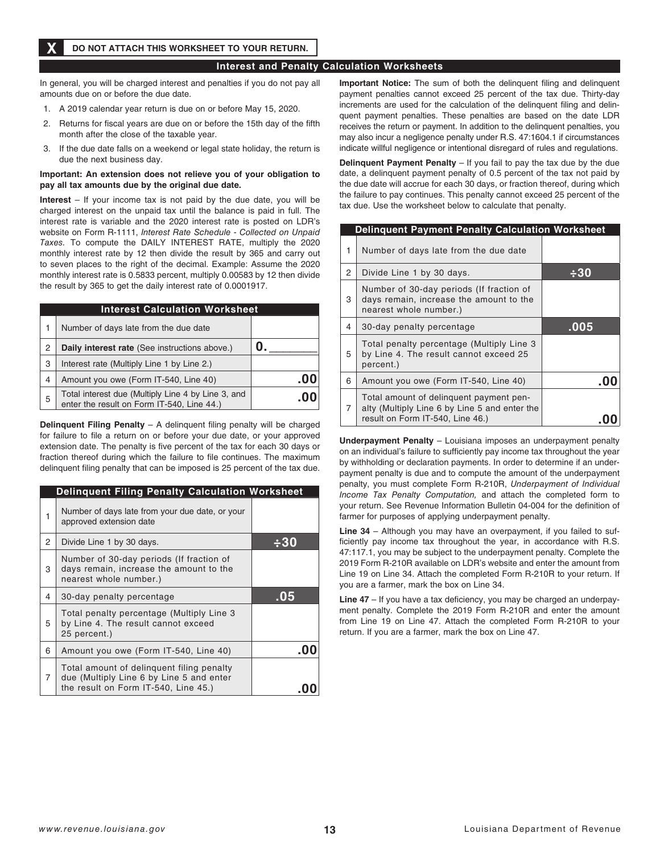## **DO NOT ATTACH THIS WORKSHEET TO YOUR RETURN.**

## **Interest and Penalty Calculation Worksheets**

In general, you will be charged interest and penalties if you do not pay all amounts due on or before the due date.

- 1. A 2019 calendar year return is due on or before May 15, 2020.
- 2. Returns for fiscal years are due on or before the 15th day of the fifth month after the close of the taxable year.
- 3. If the due date falls on a weekend or legal state holiday, the return is due the next business day.

### **Important: An extension does not relieve you of your obligation to pay all tax amounts due by the original due date.**

**Interest** – If your income tax is not paid by the due date, you will be charged interest on the unpaid tax until the balance is paid in full. The interest rate is variable and the 2020 interest rate is posted on LDR's website on Form R-1111, *Interest Rate Schedule - Collected on Unpaid Taxes.* To compute the DAILY INTEREST RATE, multiply the 2020 monthly interest rate by 12 then divide the result by 365 and carry out to seven places to the right of the decimal. Example: Assume the 2020 monthly interest rate is 0.5833 percent, multiply 0.00583 by 12 then divide the result by 365 to get the daily interest rate of 0.0001917.

|   | <b>Interest Calculation Worksheet</b>                                                            |     |  |  |
|---|--------------------------------------------------------------------------------------------------|-----|--|--|
| 1 | Number of days late from the due date                                                            |     |  |  |
| 2 | Daily interest rate (See instructions above.)                                                    |     |  |  |
| 3 | Interest rate (Multiply Line 1 by Line 2.)                                                       |     |  |  |
| 4 | Amount you owe (Form IT-540, Line 40)                                                            | .ut |  |  |
| 5 | Total interest due (Multiply Line 4 by Line 3, and<br>enter the result on Form IT-540, Line 44.) |     |  |  |

**Delinquent Filing Penalty** – A delinquent filing penalty will be charged for failure to fle a return on or before your due date, or your approved extension date. The penalty is five percent of the tax for each 30 days or fraction thereof during which the failure to file continues. The maximum delinquent fling penalty that can be imposed is 25 percent of the tax due.

|   | <b>Delinquent Filing Penalty Calculation Worksheet</b>                                                                        |     |
|---|-------------------------------------------------------------------------------------------------------------------------------|-----|
| 1 | Number of days late from your due date, or your<br>approved extension date                                                    |     |
| 2 | Divide Line 1 by 30 days.                                                                                                     | -30 |
| 3 | Number of 30-day periods (If fraction of<br>days remain, increase the amount to the<br>nearest whole number.)                 |     |
| 4 | 30-day penalty percentage                                                                                                     | .05 |
| 5 | Total penalty percentage (Multiply Line 3<br>by Line 4. The result cannot exceed<br>25 percent.)                              |     |
| 6 | Amount you owe (Form IT-540, Line 40)                                                                                         |     |
| 7 | Total amount of delinguent filing penalty<br>due (Multiply Line 6 by Line 5 and enter<br>the result on Form IT-540, Line 45.) |     |

**Important Notice:** The sum of both the delinquent fling and delinquent payment penalties cannot exceed 25 percent of the tax due. Thirty-day increments are used for the calculation of the delinquent fling and delinquent payment penalties. These penalties are based on the date LDR receives the return or payment. In addition to the delinquent penalties, you may also incur a negligence penalty under R.S. 47:1604.1 if circumstances indicate willful negligence or intentional disregard of rules and regulations.

**Delinquent Payment Penalty** – If you fail to pay the tax due by the due date, a delinquent payment penalty of 0.5 percent of the tax not paid by the due date will accrue for each 30 days, or fraction thereof, during which the failure to pay continues. This penalty cannot exceed 25 percent of the tax due. Use the worksheet below to calculate that penalty.

|   | <b>Delinguent Payment Penalty Calculation Worksheet</b>                                                                      |      |
|---|------------------------------------------------------------------------------------------------------------------------------|------|
| 1 | Number of days late from the due date                                                                                        |      |
| 2 | Divide Line 1 by 30 days.                                                                                                    | ÷30  |
| 3 | Number of 30-day periods (If fraction of<br>days remain, increase the amount to the<br>nearest whole number.)                |      |
| 4 | 30-day penalty percentage                                                                                                    | .005 |
| 5 | Total penalty percentage (Multiply Line 3<br>by Line 4. The result cannot exceed 25<br>percent.)                             |      |
| 6 | Amount you owe (Form IT-540, Line 40)                                                                                        |      |
| 7 | Total amount of delinguent payment pen-<br>alty (Multiply Line 6 by Line 5 and enter the<br>result on Form IT-540, Line 46.) |      |

**Underpayment Penalty** – Louisiana imposes an underpayment penalty on an individual's failure to sufficiently pay income tax throughout the year by withholding or declaration payments. In order to determine if an underpayment penalty is due and to compute the amount of the underpayment penalty, you must complete Form R-210R, *Underpayment of Individual Income Tax Penalty Computation,* and attach the completed form to your return. See Revenue Information Bulletin 04-004 for the defnition of farmer for purposes of applying underpayment penalty.

**Line 34** – Although you may have an overpayment, if you failed to sufficiently pay income tax throughout the year, in accordance with R.S. 47:117.1, you may be subject to the underpayment penalty. Complete the 2019 Form R-210R available on LDR's website and enter the amount from Line 19 on Line 34. Attach the completed Form R-210R to your return. If you are a farmer, mark the box on Line 34.

Line 47 – If you have a tax deficiency, you may be charged an underpayment penalty. Complete the 2019 Form R-210R and enter the amount from Line 19 on Line 47. Attach the completed Form R-210R to your return. If you are a farmer, mark the box on Line 47.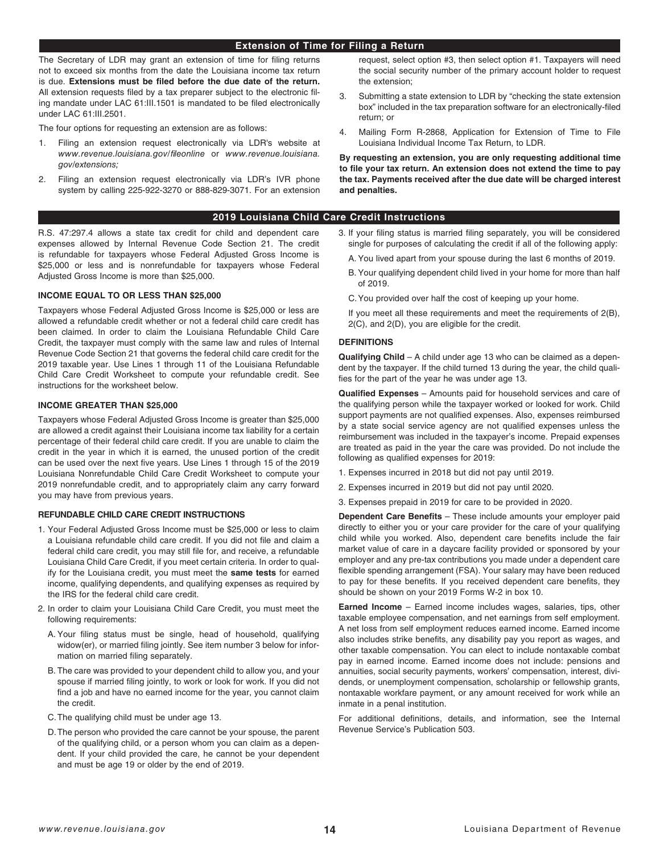### **Extension of Time for Filing a Return**

The Secretary of LDR may grant an extension of time for fling returns not to exceed six months from the date the Louisiana income tax return is due. **Extensions must be fled before the due date of the return.** All extension requests fled by a tax preparer subject to the electronic fling mandate under LAC 61:III.1501 is mandated to be fled electronically under LAC 61:III.2501.

The four options for requesting an extension are as follows:

- 1. Filing an extension request electronically via LDR's website at *www.revenue.louisiana.gov/*f*leonline* or *www.revenue.louisiana. gov/extensions;*
- 2. Filing an extension request electronically via LDR's IVR phone system by calling 225-922-3270 or 888-829-3071. For an extension

## **2019 Louisiana Child Care Credit Instructions**

R.S. 47:297.4 allows a state tax credit for child and dependent care expenses allowed by Internal Revenue Code Section 21. The credit is refundable for taxpayers whose Federal Adjusted Gross Income is \$25,000 or less and is nonrefundable for taxpayers whose Federal Adjusted Gross Income is more than \$25,000.

### **INCOME EQUAL TO OR LESS THAN \$25,000**

Taxpayers whose Federal Adjusted Gross Income is \$25,000 or less are allowed a refundable credit whether or not a federal child care credit has been claimed. In order to claim the Louisiana Refundable Child Care Credit, the taxpayer must comply with the same law and rules of Internal Revenue Code Section 21 that governs the federal child care credit for the 2019 taxable year. Use Lines 1 through 11 of the Louisiana Refundable Child Care Credit Worksheet to compute your refundable credit. See instructions for the worksheet below.

### **INCOME GREATER THAN \$25,000**

Taxpayers whose Federal Adjusted Gross Income is greater than \$25,000 are allowed a credit against their Louisiana income tax liability for a certain percentage of their federal child care credit. If you are unable to claim the credit in the year in which it is earned, the unused portion of the credit can be used over the next five years. Use Lines 1 through 15 of the 2019 Louisiana Nonrefundable Child Care Credit Worksheet to compute your 2019 nonrefundable credit, and to appropriately claim any carry forward you may have from previous years.

### **REFUNDABLE CHILD CARE CREDIT INSTRUCTIONS**

- 1. Your Federal Adjusted Gross Income must be \$25,000 or less to claim a Louisiana refundable child care credit. If you did not fle and claim a federal child care credit, you may still file for, and receive, a refundable Louisiana Child Care Credit, if you meet certain criteria. In order to qualify for the Louisiana credit, you must meet the **same tests** for earned income, qualifying dependents, and qualifying expenses as required by the IRS for the federal child care credit.
- 2. In order to claim your Louisiana Child Care Credit, you must meet the following requirements:
	- A. Your filing status must be single, head of household, qualifying widow(er), or married filing jointly. See item number 3 below for information on married filing separately.
	- B. The care was provided to your dependent child to allow you, and your spouse if married filing jointly, to work or look for work. If you did not find a job and have no earned income for the year, you cannot claim the credit.
	- C.The qualifying child must be under age 13.
	- D.The person who provided the care cannot be your spouse, the parent of the qualifying child, or a person whom you can claim as a dependent. If your child provided the care, he cannot be your dependent and must be age 19 or older by the end of 2019.

request, select option #3, then select option #1. Taxpayers will need the social security number of the primary account holder to request the extension;

- 3. Submitting a state extension to LDR by "checking the state extension box" included in the tax preparation software for an electronically-fled return; or
- 4. Mailing Form R-2868, Application for Extension of Time to File Louisiana Individual Income Tax Return, to LDR.

**By requesting an extension, you are only requesting additional time to fle your tax return. An extension does not extend the time to pay the tax. Payments received after the due date will be charged interest and penalties.**

### 3. If your fling status is married fling separately, you will be considered single for purposes of calculating the credit if all of the following apply:

- A. You lived apart from your spouse during the last 6 months of 2019.
- B. Your qualifying dependent child lived in your home for more than half of 2019.
- C.You provided over half the cost of keeping up your home.
- If you meet all these requirements and meet the requirements of 2(B), 2(C), and 2(D), you are eligible for the credit.

### **DEFINITIONS**

**Qualifying Child** – A child under age 13 who can be claimed as a dependent by the taxpayer. If the child turned 13 during the year, the child qualifies for the part of the year he was under age 13.

**Qualifed Expenses** – Amounts paid for household services and care of the qualifying person while the taxpayer worked or looked for work. Child support payments are not qualifed expenses. Also, expenses reimbursed by a state social service agency are not qualifed expenses unless the reimbursement was included in the taxpayer's income. Prepaid expenses are treated as paid in the year the care was provided. Do not include the following as qualified expenses for 2019:

- 1. Expenses incurred in 2018 but did not pay until 2019.
- 2. Expenses incurred in 2019 but did not pay until 2020.
- 3. Expenses prepaid in 2019 for care to be provided in 2020.

**Dependent Care Benefts** – These include amounts your employer paid directly to either you or your care provider for the care of your qualifying child while you worked. Also, dependent care benefts include the fair market value of care in a daycare facility provided or sponsored by your employer and any pre-tax contributions you made under a dependent care fexible spending arrangement (FSA). Your salary may have been reduced to pay for these benefits. If you received dependent care benefits, they should be shown on your 2019 Forms W-2 in box 10.

**Earned Income** – Earned income includes wages, salaries, tips, other taxable employee compensation, and net earnings from self employment. A net loss from self employment reduces earned income. Earned income also includes strike benefits, any disability pay you report as wages, and other taxable compensation. You can elect to include nontaxable combat pay in earned income. Earned income does not include: pensions and annuities, social security payments, workers' compensation, interest, dividends, or unemployment compensation, scholarship or fellowship grants, nontaxable workfare payment, or any amount received for work while an inmate in a penal institution.

For additional definitions, details, and information, see the Internal Revenue Service's Publication 503.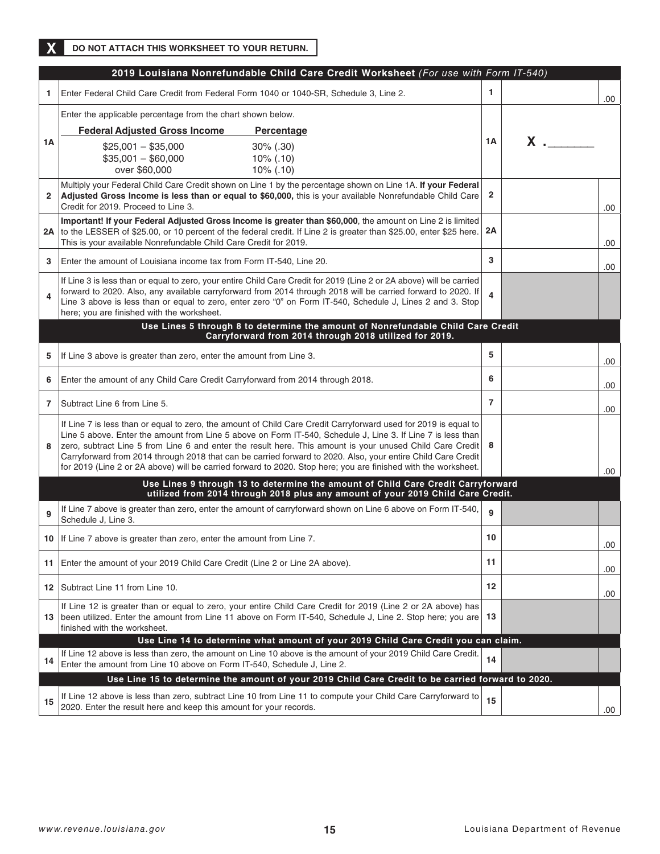**X DO NOT ATTACH THIS WORKSHEET TO YOUR RETURN.**

|              | 2019 Louisiana Nonrefundable Child Care Credit Worksheet (For use with Form IT-540)                                                                                                                                                                                                                                                                                                                                                                                                                                                                                           |                         |          |     |
|--------------|-------------------------------------------------------------------------------------------------------------------------------------------------------------------------------------------------------------------------------------------------------------------------------------------------------------------------------------------------------------------------------------------------------------------------------------------------------------------------------------------------------------------------------------------------------------------------------|-------------------------|----------|-----|
| -1           | Enter Federal Child Care Credit from Federal Form 1040 or 1040-SR, Schedule 3, Line 2.                                                                                                                                                                                                                                                                                                                                                                                                                                                                                        | 1                       |          | .00 |
| 1А           | Enter the applicable percentage from the chart shown below.                                                                                                                                                                                                                                                                                                                                                                                                                                                                                                                   |                         |          |     |
|              | <b>Federal Adjusted Gross Income</b><br>Percentage                                                                                                                                                                                                                                                                                                                                                                                                                                                                                                                            |                         |          |     |
|              | $$25,001 - $35,000$<br>$30\%$ (.30)<br>$$35,001 - $60,000$<br>$10\%$ (.10)<br>over \$60,000<br>$10\%$ (.10)                                                                                                                                                                                                                                                                                                                                                                                                                                                                   | 1A                      | $x \sim$ |     |
| $\mathbf{2}$ | Multiply your Federal Child Care Credit shown on Line 1 by the percentage shown on Line 1A. If your Federal<br>Adjusted Gross Income is less than or equal to \$60,000, this is your available Nonrefundable Child Care<br>Credit for 2019. Proceed to Line 3.                                                                                                                                                                                                                                                                                                                | $\overline{2}$          |          | .00 |
|              | Important! If your Federal Adjusted Gross Income is greater than \$60,000, the amount on Line 2 is limited<br>2A to the LESSER of \$25.00, or 10 percent of the federal credit. If Line 2 is greater than \$25.00, enter \$25 here.<br>This is your available Nonrefundable Child Care Credit for 2019.                                                                                                                                                                                                                                                                       | 2A                      |          | .00 |
| 3            | Enter the amount of Louisiana income tax from Form IT-540, Line 20.                                                                                                                                                                                                                                                                                                                                                                                                                                                                                                           | 3                       |          | .00 |
| 4            | If Line 3 is less than or equal to zero, your entire Child Care Credit for 2019 (Line 2 or 2A above) will be carried<br>forward to 2020. Also, any available carryforward from 2014 through 2018 will be carried forward to 2020. If<br>Line 3 above is less than or equal to zero, enter zero "0" on Form IT-540, Schedule J, Lines 2 and 3. Stop<br>here; you are finished with the worksheet.                                                                                                                                                                              | $\overline{\mathbf{4}}$ |          |     |
|              | Use Lines 5 through 8 to determine the amount of Nonrefundable Child Care Credit<br>Carryforward from 2014 through 2018 utilized for 2019.                                                                                                                                                                                                                                                                                                                                                                                                                                    |                         |          |     |
| 5            | If Line 3 above is greater than zero, enter the amount from Line 3.                                                                                                                                                                                                                                                                                                                                                                                                                                                                                                           | 5                       |          | .00 |
| 6            | Enter the amount of any Child Care Credit Carryforward from 2014 through 2018.                                                                                                                                                                                                                                                                                                                                                                                                                                                                                                | 6                       |          | .00 |
| 7            | Subtract Line 6 from Line 5.                                                                                                                                                                                                                                                                                                                                                                                                                                                                                                                                                  | $\overline{7}$          |          | .00 |
| 8            | If Line 7 is less than or equal to zero, the amount of Child Care Credit Carryforward used for 2019 is equal to<br>Line 5 above. Enter the amount from Line 5 above on Form IT-540, Schedule J, Line 3. If Line 7 is less than<br>zero, subtract Line 5 from Line 6 and enter the result here. This amount is your unused Child Care Credit<br>Carryforward from 2014 through 2018 that can be carried forward to 2020. Also, your entire Child Care Credit<br>for 2019 (Line 2 or 2A above) will be carried forward to 2020. Stop here; you are finished with the worksheet. | 8                       |          | .00 |
|              | Use Lines 9 through 13 to determine the amount of Child Care Credit Carryforward<br>utilized from 2014 through 2018 plus any amount of your 2019 Child Care Credit.                                                                                                                                                                                                                                                                                                                                                                                                           |                         |          |     |
| 9            | If Line 7 above is greater than zero, enter the amount of carryforward shown on Line 6 above on Form IT-540,<br>Schedule J, Line 3.                                                                                                                                                                                                                                                                                                                                                                                                                                           | 9                       |          |     |
|              | 10 If Line 7 above is greater than zero, enter the amount from Line 7.                                                                                                                                                                                                                                                                                                                                                                                                                                                                                                        | 10                      |          | .00 |
| 11           | Enter the amount of your 2019 Child Care Credit (Line 2 or Line 2A above).                                                                                                                                                                                                                                                                                                                                                                                                                                                                                                    | 11                      |          | .00 |
|              | 12   Subtract Line 11 from Line 10.                                                                                                                                                                                                                                                                                                                                                                                                                                                                                                                                           | 12                      |          | .00 |
|              | If Line 12 is greater than or equal to zero, your entire Child Care Credit for 2019 (Line 2 or 2A above) has<br>13 been utilized. Enter the amount from Line 11 above on Form IT-540, Schedule J, Line 2. Stop here; you are<br>finished with the worksheet.                                                                                                                                                                                                                                                                                                                  | 13                      |          |     |
| 14           | Use Line 14 to determine what amount of your 2019 Child Care Credit you can claim.<br>If Line 12 above is less than zero, the amount on Line 10 above is the amount of your 2019 Child Care Credit.<br>Enter the amount from Line 10 above on Form IT-540, Schedule J, Line 2.                                                                                                                                                                                                                                                                                                | 14                      |          |     |
|              | Use Line 15 to determine the amount of your 2019 Child Care Credit to be carried forward to 2020.                                                                                                                                                                                                                                                                                                                                                                                                                                                                             |                         |          |     |
| 15           | If Line 12 above is less than zero, subtract Line 10 from Line 11 to compute your Child Care Carryforward to<br>2020. Enter the result here and keep this amount for your records.                                                                                                                                                                                                                                                                                                                                                                                            | 15                      |          | .00 |